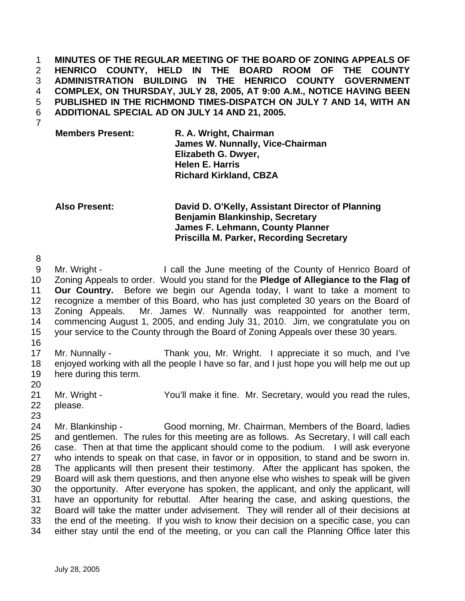**MINUTES OF THE REGULAR MEETING OF THE BOARD OF ZONING APPEALS OF HENRICO COUNTY, HELD IN THE BOARD ROOM OF THE COUNTY ADMINISTRATION BUILDING IN THE HENRICO COUNTY GOVERNMENT COMPLEX, ON THURSDAY, JULY 28, 2005, AT 9:00 A.M., NOTICE HAVING BEEN PUBLISHED IN THE RICHMOND TIMES-DISPATCH ON JULY 7 AND 14, WITH AN ADDITIONAL SPECIAL AD ON JULY 14 AND 21, 2005.** 

7

**Members Present: R. A. Wright, Chairman James W. Nunnally, Vice-Chairman Elizabeth G. Dwyer, Helen E. Harris Richard Kirkland, CBZA** 

**Also Present: David D. O'Kelly, Assistant Director of Planning Benjamin Blankinship, Secretary James F. Lehmann, County Planner Priscilla M. Parker, Recording Secretary** 

8

9 Mr. Wright - I call the June meeting of the County of Henrico Board of 10 Zoning Appeals to order. Would you stand for the **Pledge of Allegiance to the Flag of**  11 **Our Country.** Before we begin our Agenda today, I want to take a moment to 12 recognize a member of this Board, who has just completed 30 years on the Board of 13 Zoning Appeals. Mr. James W. Nunnally was reappointed for another term, 14 commencing August 1, 2005, and ending July 31, 2010. Jim, we congratulate you on 15 your service to the County through the Board of Zoning Appeals over these 30 years.

16

17 Mr. Nunnally - Thank you, Mr. Wright. I appreciate it so much, and I've 18 enjoyed working with all the people I have so far, and I just hope you will help me out up 19 here during this term.

20

21 Mr. Wright - You'll make it fine.Mr. Secretary, would you read the rules,

22 please. 23

24 Mr. Blankinship - Good morning, Mr. Chairman, Members of the Board, ladies 25 and gentlemen. The rules for this meeting are as follows. As Secretary, I will call each 26 case. Then at that time the applicant should come to the podium. I will ask everyone 27 who intends to speak on that case, in favor or in opposition, to stand and be sworn in. 28 The applicants will then present their testimony. After the applicant has spoken, the 29 Board will ask them questions, and then anyone else who wishes to speak will be given 30 the opportunity. After everyone has spoken, the applicant, and only the applicant, will 31 have an opportunity for rebuttal. After hearing the case, and asking questions, the 32 Board will take the matter under advisement. They will render all of their decisions at 33 the end of the meeting. If you wish to know their decision on a specific case, you can 34 either stay until the end of the meeting, or you can call the Planning Office later this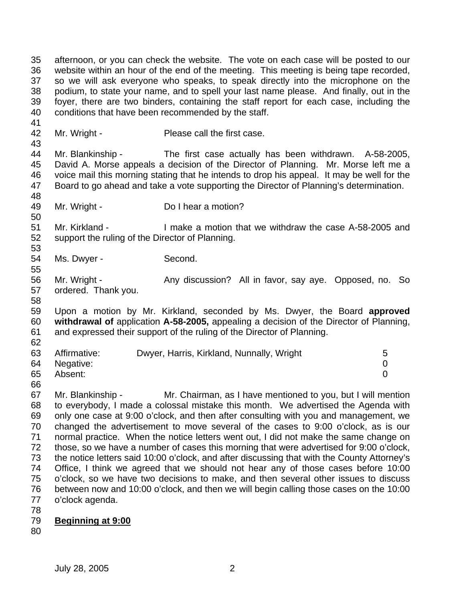35 afternoon, or you can check the website. The vote on each case will be posted to our 36 website within an hour of the end of the meeting. This meeting is being tape recorded, 37 so we will ask everyone who speaks, to speak directly into the microphone on the 38 podium, to state your name, and to spell your last name please. And finally, out in the 39 foyer, there are two binders, containing the staff report for each case, including the 40 conditions that have been recommended by the staff.

42 Mr. Wright - Please call the first case.

43 44 Mr. Blankinship - The first case actually has been withdrawn. A-58-2005, 45 David A. Morse appeals a decision of the Director of Planning. Mr. Morse left me a 46 voice mail this morning stating that he intends to drop his appeal. It may be well for the 47 Board to go ahead and take a vote supporting the Director of Planning's determination. 48

49 Mr. Wright - Do I hear a motion?

51 Mr. Kirkland - I make a motion that we withdraw the case A-58-2005 and 52 support the ruling of the Director of Planning.

54 Ms. Dwyer - Second.

56 Mr. Wright - Any discussion? All in favor, say aye. Opposed, no. So 57 ordered. Thank you.

59 Upon a motion by Mr. Kirkland, seconded by Ms. Dwyer, the Board **approved**  60 **withdrawal of** application **A-58-2005,** appealing a decision of the Director of Planning, 61 and expressed their support of the ruling of the Director of Planning.

| 63 | Affirmative: | Dwyer, Harris, Kirkland, Nunnally, Wright | 5 |
|----|--------------|-------------------------------------------|---|
| 64 | Negative:    |                                           |   |
| 65 | Absent:      |                                           |   |
| 66 |              |                                           |   |

67 Mr. Blankinship - Mr. Chairman, as I have mentioned to you, but I will mention 68 to everybody, I made a colossal mistake this month. We advertised the Agenda with 69 only one case at 9:00 o'clock, and then after consulting with you and management, we 70 changed the advertisement to move several of the cases to 9:00 o'clock, as is our 71 normal practice. When the notice letters went out, I did not make the same change on 72 those, so we have a number of cases this morning that were advertised for 9:00 o'clock, 73 the notice letters said 10:00 o'clock, and after discussing that with the County Attorney's 74 Office, I think we agreed that we should not hear any of those cases before 10:00 75 o'clock, so we have two decisions to make, and then several other issues to discuss 76 between now and 10:00 o'clock, and then we will begin calling those cases on the 10:00 77 o'clock agenda.

78

41

50

53

55

58

- 79 **Beginning at 9:00**
- 80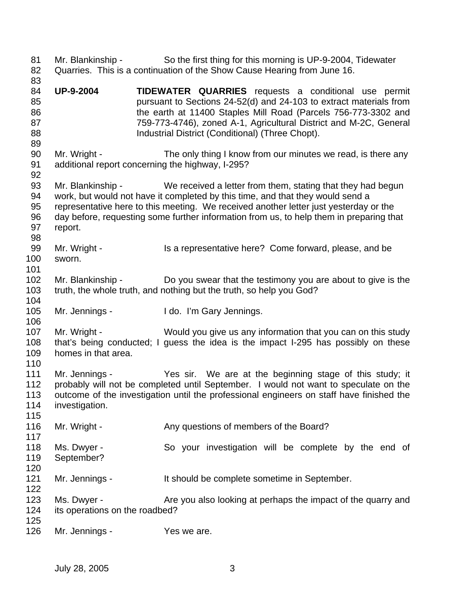81 Mr. Blankinship - So the first thing for this morning is UP-9-2004, Tidewater 82 Quarries. This is a continuation of the Show Cause Hearing from June 16. 83 84 **UP-9-2004 TIDEWATER QUARRIES** requests a conditional use permit 85 pursuant to Sections 24-52(d) and 24-103 to extract materials from 86 the earth at 11400 Staples Mill Road (Parcels 756-773-3302 and 87 759-773-4746), zoned A-1, Agricultural District and M-2C, General 88 **Industrial District (Conditional) (Three Chopt).** 89 90 Mr. Wright - The only thing I know from our minutes we read, is there any 91 additional report concerning the highway, I-295? 92 93 Mr. Blankinship - We received a letter from them, stating that they had begun 94 work, but would not have it completed by this time, and that they would send a 95 representative here to this meeting. We received another letter just yesterday or the 96 day before, requesting some further information from us, to help them in preparing that 97 report. 98 99 Mr. Wright - Is a representative here? Come forward, please, and be 100 sworn. 101 102 Mr. Blankinship - Do you swear that the testimony you are about to give is the 103 truth, the whole truth, and nothing but the truth, so help you God? 104 105 Mr. Jennings - I do. I'm Gary Jennings. 106 107 Mr. Wright - Would you give us any information that you can on this study 108 that's being conducted; I guess the idea is the impact I-295 has possibly on these 109 homes in that area. 110 111 Mr. Jennings - Yes sir. We are at the beginning stage of this study; it 112 probably will not be completed until September. I would not want to speculate on the 113 outcome of the investigation until the professional engineers on staff have finished the 114 investigation. 115 116 Mr. Wright - Any questions of members of the Board? 117 118 Ms. Dwyer - So your investigation will be complete by the end of 119 September? 120 121 Mr. Jennings - It should be complete sometime in September. 122 123 Ms. Dwyer - Are you also looking at perhaps the impact of the quarry and 124 its operations on the roadbed? 125 126 Mr. Jennings - Yes we are.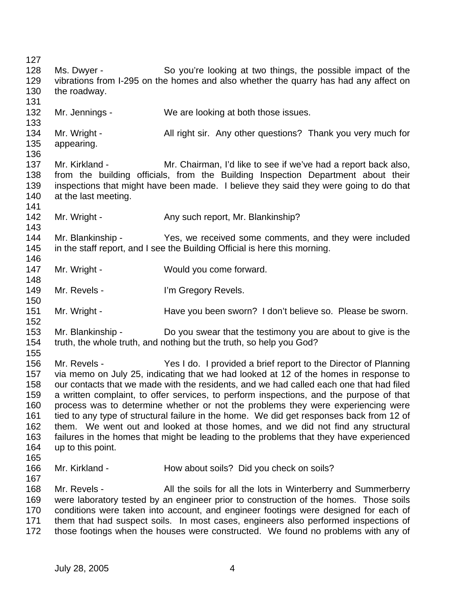127 128 Ms. Dwyer - So you're looking at two things, the possible impact of the 129 vibrations from I-295 on the homes and also whether the quarry has had any affect on 130 the roadway. 131 132 Mr. Jennings - We are looking at both those issues. 133 134 Mr. Wright - All right sir. Any other questions? Thank you very much for 135 appearing. 136 137 Mr. Kirkland - Mr. Chairman, I'd like to see if we've had a report back also, 138 from the building officials, from the Building Inspection Department about their 139 inspections that might have been made. I believe they said they were going to do that 140 at the last meeting. 141 142 Mr. Wright - Any such report, Mr. Blankinship? 143 144 Mr. Blankinship - Yes, we received some comments, and they were included 145 in the staff report, and I see the Building Official is here this morning. 146 147 Mr. Wright - Would you come forward. 148 149 Mr. Revels - I'm Gregory Revels. 150 151 Mr. Wright - Have you been sworn? I don't believe so. Please be sworn. 152 153 Mr. Blankinship - Do you swear that the testimony you are about to give is the 154 truth, the whole truth, and nothing but the truth, so help you God? 155 156 Mr. Revels - Yes I do. I provided a brief report to the Director of Planning 157 via memo on July 25, indicating that we had looked at 12 of the homes in response to 158 our contacts that we made with the residents, and we had called each one that had filed 159 a written complaint, to offer services, to perform inspections, and the purpose of that 160 process was to determine whether or not the problems they were experiencing were 161 tied to any type of structural failure in the home. We did get responses back from 12 of 162 them. We went out and looked at those homes, and we did not find any structural 163 failures in the homes that might be leading to the problems that they have experienced 164 up to this point. 165 166 Mr. Kirkland - How about soils? Did you check on soils? 167 168 Mr. Revels - All the soils for all the lots in Winterberry and Summerberry 169 were laboratory tested by an engineer prior to construction of the homes. Those soils 170 conditions were taken into account, and engineer footings were designed for each of 171 them that had suspect soils. In most cases, engineers also performed inspections of 172 those footings when the houses were constructed. We found no problems with any of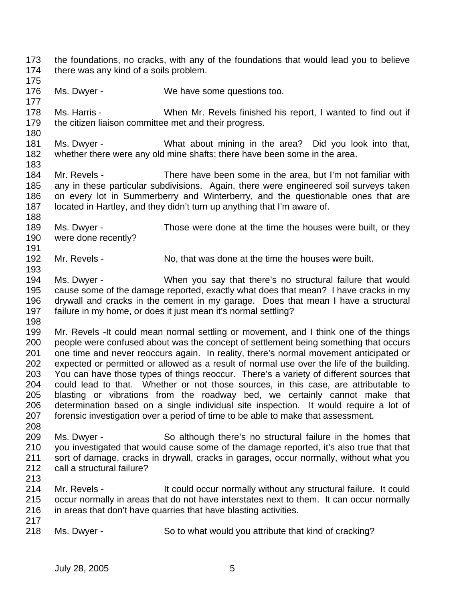173 the foundations, no cracks, with any of the foundations that would lead you to believe 174 there was any kind of a soils problem.

175

177

180

188

191

193

176 Ms. Dwyer - We have some questions too.

178 Ms. Harris - When Mr. Revels finished his report, I wanted to find out if 179 the citizen liaison committee met and their progress.

181 Ms. Dwyer - What about mining in the area? Did you look into that, 182 whether there were any old mine shafts; there have been some in the area. 183

184 Mr. Revels - There have been some in the area, but I'm not familiar with 185 any in these particular subdivisions. Again, there were engineered soil surveys taken 186 on every lot in Summerberry and Winterberry, and the questionable ones that are 187 located in Hartley, and they didn't turn up anything that I'm aware of.

189 Ms. Dwyer - Those were done at the time the houses were built, or they 190 were done recently?

192 Mr. Revels - No, that was done at the time the houses were built.

194 Ms. Dwyer - When you say that there's no structural failure that would 195 cause some of the damage reported, exactly what does that mean? I have cracks in my 196 drywall and cracks in the cement in my garage. Does that mean I have a structural 197 failure in my home, or does it just mean it's normal settling?

198

199 Mr. Revels -It could mean normal settling or movement, and I think one of the things 200 people were confused about was the concept of settlement being something that occurs 201 one time and never reoccurs again. In reality, there's normal movement anticipated or 202 expected or permitted or allowed as a result of normal use over the life of the building. 203 You can have those types of things reoccur. There's a variety of different sources that 204 could lead to that. Whether or not those sources, in this case, are attributable to 205 blasting or vibrations from the roadway bed, we certainly cannot make that 206 determination based on a single individual site inspection. It would require a lot of 207 forensic investigation over a period of time to be able to make that assessment. 208

- 209 Ms. Dwyer So although there's no structural failure in the homes that 210 you investigated that would cause some of the damage reported, it's also true that that 211 sort of damage, cracks in drywall, cracks in garages, occur normally, without what you 212 call a structural failure?
- 213
- 214 Mr. Revels It could occur normally without any structural failure. It could 215 occur normally in areas that do not have interstates next to them. It can occur normally 216 in areas that don't have quarries that have blasting activities.
- 217

218 Ms. Dwyer - So to what would you attribute that kind of cracking?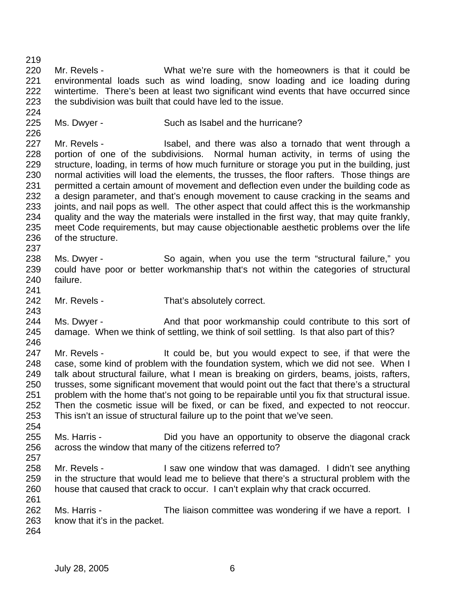220 Mr. Revels - What we're sure with the homeowners is that it could be 221 environmental loads such as wind loading, snow loading and ice loading during 222 wintertime. There's been at least two significant wind events that have occurred since 223 the subdivision was built that could have led to the issue. 224 225 Ms. Dwyer - Such as Isabel and the hurricane? 226 227 Mr. Revels - Isabel, and there was also a tornado that went through a 228 portion of one of the subdivisions. Normal human activity, in terms of using the 229 structure, loading, in terms of how much furniture or storage you put in the building, just 230 normal activities will load the elements, the trusses, the floor rafters. Those things are 231 permitted a certain amount of movement and deflection even under the building code as 232 a design parameter, and that's enough movement to cause cracking in the seams and

233 joints, and nail pops as well. The other aspect that could affect this is the workmanship 234 quality and the way the materials were installed in the first way, that may quite frankly, 235 meet Code requirements, but may cause objectionable aesthetic problems over the life 236 of the structure.

- 238 Ms. Dwyer So again, when you use the term "structural failure," you 239 could have poor or better workmanship that's not within the categories of structural 240 failure.
- 242 Mr. Revels That's absolutely correct.
- 244 Ms. Dwyer And that poor workmanship could contribute to this sort of 245 damage. When we think of settling, we think of soil settling. Is that also part of this?
- 246 247 Mr. Revels - It could be, but you would expect to see, if that were the 248 case, some kind of problem with the foundation system, which we did not see. When I 249 talk about structural failure, what I mean is breaking on girders, beams, joists, rafters, 250 trusses, some significant movement that would point out the fact that there's a structural 251 problem with the home that's not going to be repairable until you fix that structural issue. 252 Then the cosmetic issue will be fixed, or can be fixed, and expected to not reoccur. 253 This isn't an issue of structural failure up to the point that we've seen.
- 255 Ms. Harris Did you have an opportunity to observe the diagonal crack 256 across the window that many of the citizens referred to?
- 257

254

219

237

241

243

- 258 Mr. Revels I saw one window that was damaged. I didn't see anything 259 in the structure that would lead me to believe that there's a structural problem with the 260 house that caused that crack to occur. I can't explain why that crack occurred.
- 262 Ms. Harris The liaison committee was wondering if we have a report. I 263 know that it's in the packet.
- 264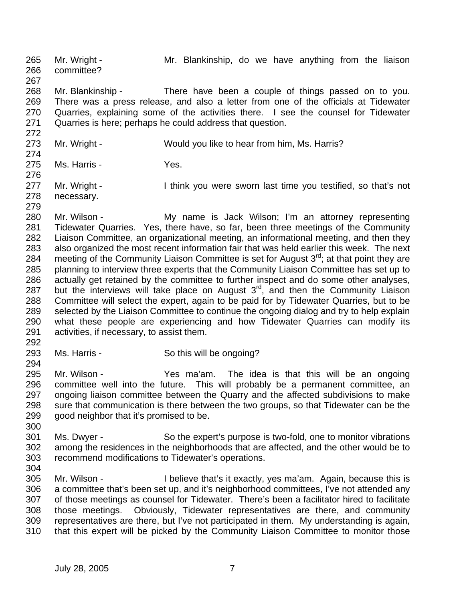265 Mr. Wright - Mr. Blankinship, do we have anything from the liaison 266 committee? 267

268 Mr. Blankinship - There have been a couple of things passed on to you. 269 There was a press release, and also a letter from one of the officials at Tidewater 270 Quarries, explaining some of the activities there. I see the counsel for Tidewater 271 Quarries is here; perhaps he could address that question.

272 273 Mr. Wright - Would you like to hear from him, Ms. Harris? 274

275 Ms. Harris - Yes. 276

277 Mr. Wright - I think you were sworn last time you testified, so that's not 278 necessary.

279

280 Mr. Wilson - My name is Jack Wilson; I'm an attorney representing 281 Tidewater Quarries. Yes, there have, so far, been three meetings of the Community 282 Liaison Committee, an organizational meeting, an informational meeting, and then they 283 also organized the most recent information fair that was held earlier this week. The next 284 meeting of the Community Liaison Committee is set for August  $3<sup>rd</sup>$ ; at that point they are 285 planning to interview three experts that the Community Liaison Committee has set up to 286 actually get retained by the committee to further inspect and do some other analyses, 287 but the interviews will take place on August  $3<sup>rd</sup>$ , and then the Community Liaison 288 Committee will select the expert, again to be paid for by Tidewater Quarries, but to be 289 selected by the Liaison Committee to continue the ongoing dialog and try to help explain 290 what these people are experiencing and how Tidewater Quarries can modify its 291 activities, if necessary, to assist them.

292

293 Ms. Harris - So this will be ongoing? 294

295 Mr. Wilson - Yes ma'am. The idea is that this will be an ongoing 296 committee well into the future. This will probably be a permanent committee, an 297 ongoing liaison committee between the Quarry and the affected subdivisions to make 298 sure that communication is there between the two groups, so that Tidewater can be the 299 good neighbor that it's promised to be.

301 Ms. Dwyer - So the expert's purpose is two-fold, one to monitor vibrations 302 among the residences in the neighborhoods that are affected, and the other would be to 303 recommend modifications to Tidewater's operations.

304

300

305 Mr. Wilson - I believe that's it exactly, yes ma'am. Again, because this is 306 a committee that's been set up, and it's neighborhood committees, I've not attended any 307 of those meetings as counsel for Tidewater. There's been a facilitator hired to facilitate 308 those meetings. Obviously, Tidewater representatives are there, and community 309 representatives are there, but I've not participated in them. My understanding is again, 310 that this expert will be picked by the Community Liaison Committee to monitor those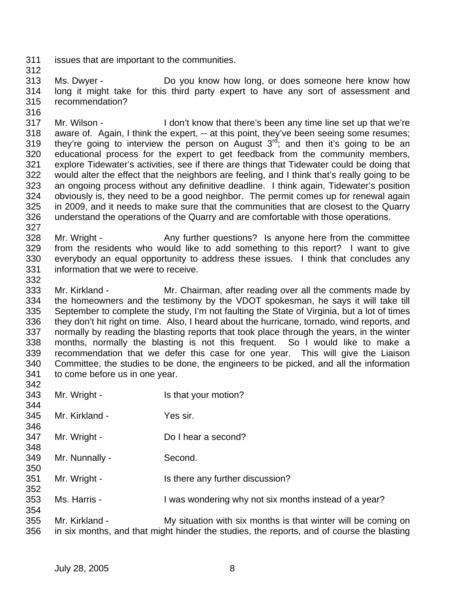- 311 issues that are important to the communities.
- 312

316

313 Ms. Dwyer - Do you know how long, or does someone here know how 314 long it might take for this third party expert to have any sort of assessment and 315 recommendation?

- 317 Mr. Wilson I don't know that there's been any time line set up that we're 318 aware of. Again, I think the expert, -- at this point, they've been seeing some resumes; 319 they're going to interview the person on August  $3<sup>rd</sup>$ ; and then it's going to be an 320 educational process for the expert to get feedback from the community members, 321 explore Tidewater's activities, see if there are things that Tidewater could be doing that 322 would alter the effect that the neighbors are feeling, and I think that's really going to be 323 an ongoing process without any definitive deadline. I think again, Tidewater's position 324 obviously is, they need to be a good neighbor. The permit comes up for renewal again 325 in 2009, and it needs to make sure that the communities that are closest to the Quarry 326 understand the operations of the Quarry and are comfortable with those operations.
- 328 Mr. Wright Any further questions? Is anyone here from the committee 329 from the residents who would like to add something to this report? I want to give 330 everybody an equal opportunity to address these issues. I think that concludes any 331 information that we were to receive.
- 332

327

333 Mr. Kirkland - Mr. Chairman, after reading over all the comments made by 334 the homeowners and the testimony by the VDOT spokesman, he says it will take till 335 September to complete the study, I'm not faulting the State of Virginia, but a lot of times 336 they don't hit right on time. Also, I heard about the hurricane, tornado, wind reports, and 337 normally by reading the blasting reports that took place through the years, in the winter 338 months, normally the blasting is not this frequent. So I would like to make a 339 recommendation that we defer this case for one year. This will give the Liaison 340 Committee, the studies to be done, the engineers to be picked, and all the information 341 to come before us in one year. 342

343 Mr. Wright - Is that your motion? 344 345 Mr. Kirkland - Yes sir. 346 347 Mr. Wright - Do I hear a second? 348 349 Mr. Nunnally - Second. 350 351 Mr. Wright - Is there any further discussion? 352 353 Ms. Harris - I was wondering why not six months instead of a year? 354 355 Mr. Kirkland - My situation with six months is that winter will be coming on 356 in six months, and that might hinder the studies, the reports, and of course the blasting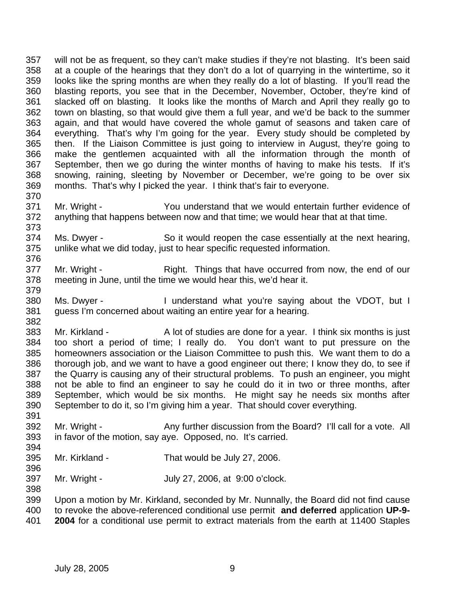357 will not be as frequent, so they can't make studies if they're not blasting. It's been said 358 at a couple of the hearings that they don't do a lot of quarrying in the wintertime, so it 359 looks like the spring months are when they really do a lot of blasting. If you'll read the 360 blasting reports, you see that in the December, November, October, they're kind of 361 slacked off on blasting. It looks like the months of March and April they really go to 362 town on blasting, so that would give them a full year, and we'd be back to the summer 363 again, and that would have covered the whole gamut of seasons and taken care of 364 everything. That's why I'm going for the year. Every study should be completed by 365 then. If the Liaison Committee is just going to interview in August, they're going to 366 make the gentlemen acquainted with all the information through the month of 367 September, then we go during the winter months of having to make his tests. If it's 368 snowing, raining, sleeting by November or December, we're going to be over six 369 months. That's why I picked the year. I think that's fair to everyone. 370

- 371 Mr. Wright You understand that we would entertain further evidence of 372 anything that happens between now and that time; we would hear that at that time. 373
- 374 Ms. Dwyer So it would reopen the case essentially at the next hearing, 375 unlike what we did today, just to hear specific requested information. 376
- 377 Mr. Wright Right. Things that have occurred from now, the end of our 378 meeting in June, until the time we would hear this, we'd hear it.
- 380 Ms. Dwyer I understand what you're saying about the VDOT, but I 381 guess I'm concerned about waiting an entire year for a hearing. 382
- 383 Mr. Kirkland A lot of studies are done for a year. I think six months is just 384 too short a period of time; I really do. You don't want to put pressure on the 385 homeowners association or the Liaison Committee to push this. We want them to do a 386 thorough job, and we want to have a good engineer out there; I know they do, to see if 387 the Quarry is causing any of their structural problems. To push an engineer, you might 388 not be able to find an engineer to say he could do it in two or three months, after 389 September, which would be six months. He might say he needs six months after 390 September to do it, so I'm giving him a year. That should cover everything. 391
- 392 Mr. Wright Any further discussion from the Board? I'll call for a vote. All 393 in favor of the motion, say aye. Opposed, no. It's carried.
- 395 Mr. Kirkland That would be July 27, 2006.
- 397 Mr. Wright July 27, 2006, at 9:00 o'clock.

398 399 Upon a motion by Mr. Kirkland, seconded by Mr. Nunnally, the Board did not find cause 400 to revoke the above-referenced conditional use permit **and deferred** application **UP-9-** 401 **2004** for a conditional use permit to extract materials from the earth at 11400 Staples

379

394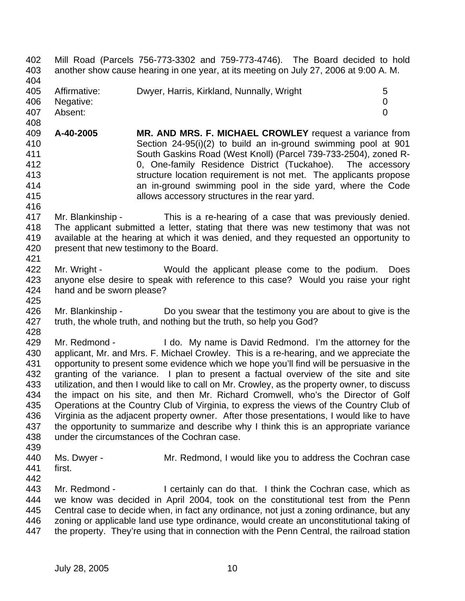402 Mill Road (Parcels 756-773-3302 and 759-773-4746). The Board decided to hold 403 another show cause hearing in one year, at its meeting on July 27, 2006 at 9:00 A. M.

404

405 Affirmative: Dwyer, Harris, Kirkland, Nunnally, Wright 5

406 Negative: 0

407 Absent: 0 408

- 409 **A-40-2005 MR. AND MRS. F. MICHAEL CROWLEY** request a variance from 410 Section 24-95(i)(2) to build an in-ground swimming pool at 901 411 South Gaskins Road (West Knoll) (Parcel 739-733-2504), zoned R-412 0, One-family Residence District (Tuckahoe). The accessory 413 structure location requirement is not met. The applicants propose 414 an in-ground swimming pool in the side yard, where the Code 415 allows accessory structures in the rear yard. 416
- 417 Mr. Blankinship This is a re-hearing of a case that was previously denied. 418 The applicant submitted a letter, stating that there was new testimony that was not 419 available at the hearing at which it was denied, and they requested an opportunity to 420 present that new testimony to the Board. 421
- 422 Mr. Wright Would the applicant please come to the podium. Does 423 anyone else desire to speak with reference to this case? Would you raise your right 424 hand and be sworn please?
- 426 Mr. Blankinship Do you swear that the testimony you are about to give is the 427 truth, the whole truth, and nothing but the truth, so help you God? 428
- 429 Mr. Redmond I do. My name is David Redmond. I'm the attorney for the 430 applicant, Mr. and Mrs. F. Michael Crowley. This is a re-hearing, and we appreciate the 431 opportunity to present some evidence which we hope you'll find will be persuasive in the 432 granting of the variance. I plan to present a factual overview of the site and site 433 utilization, and then I would like to call on Mr. Crowley, as the property owner, to discuss 434 the impact on his site, and then Mr. Richard Cromwell, who's the Director of Golf 435 Operations at the Country Club of Virginia, to express the views of the Country Club of 436 Virginia as the adjacent property owner. After those presentations, I would like to have 437 the opportunity to summarize and describe why I think this is an appropriate variance 438 under the circumstances of the Cochran case.
- 439

- 440 Ms. Dwyer Mr. Redmond, I would like you to address the Cochran case
- 441 first. 442
- 443 Mr. Redmond I certainly can do that. I think the Cochran case, which as 444 we know was decided in April 2004, took on the constitutional test from the Penn 445 Central case to decide when, in fact any ordinance, not just a zoning ordinance, but any 446 zoning or applicable land use type ordinance, would create an unconstitutional taking of 447 the property. They're using that in connection with the Penn Central, the railroad station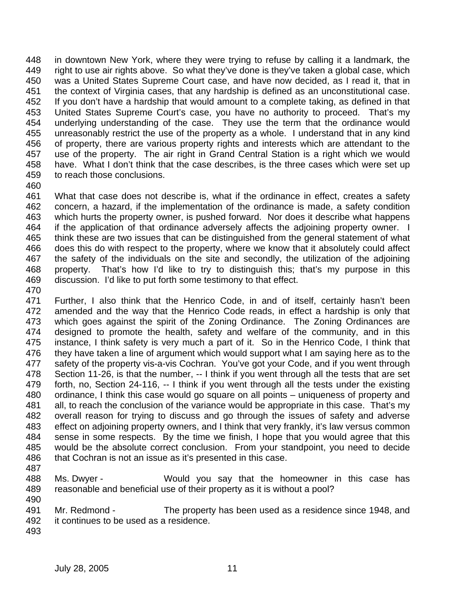448 in downtown New York, where they were trying to refuse by calling it a landmark, the 449 right to use air rights above. So what they've done is they've taken a global case, which 450 was a United States Supreme Court case, and have now decided, as I read it, that in 451 the context of Virginia cases, that any hardship is defined as an unconstitutional case. 452 If you don't have a hardship that would amount to a complete taking, as defined in that 453 United States Supreme Court's case, you have no authority to proceed. That's my 454 underlying understanding of the case. They use the term that the ordinance would 455 unreasonably restrict the use of the property as a whole. I understand that in any kind 456 of property, there are various property rights and interests which are attendant to the 457 use of the property. The air right in Grand Central Station is a right which we would 458 have. What I don't think that the case describes, is the three cases which were set up 459 to reach those conclusions.

460

461 What that case does not describe is, what if the ordinance in effect, creates a safety 462 concern, a hazard, if the implementation of the ordinance is made, a safety condition 463 which hurts the property owner, is pushed forward. Nor does it describe what happens 464 if the application of that ordinance adversely affects the adjoining property owner. I 465 think these are two issues that can be distinguished from the general statement of what 466 does this do with respect to the property, where we know that it absolutely could affect 467 the safety of the individuals on the site and secondly, the utilization of the adjoining 468 property. That's how I'd like to try to distinguish this; that's my purpose in this 469 discussion. I'd like to put forth some testimony to that effect. 470

471 Further, I also think that the Henrico Code, in and of itself, certainly hasn't been 472 amended and the way that the Henrico Code reads, in effect a hardship is only that 473 which goes against the spirit of the Zoning Ordinance. The Zoning Ordinances are 474 designed to promote the health, safety and welfare of the community, and in this 475 instance, I think safety is very much a part of it. So in the Henrico Code, I think that 476 they have taken a line of argument which would support what I am saying here as to the 477 safety of the property vis-a-vis Cochran. You've got your Code, and if you went through 478 Section 11-26, is that the number, -- I think if you went through all the tests that are set 479 forth, no, Section 24-116, -- I think if you went through all the tests under the existing 480 ordinance, I think this case would go square on all points – uniqueness of property and 481 all, to reach the conclusion of the variance would be appropriate in this case. That's my 482 overall reason for trying to discuss and go through the issues of safety and adverse 483 effect on adjoining property owners, and I think that very frankly, it's law versus common 484 sense in some respects. By the time we finish, I hope that you would agree that this 485 would be the absolute correct conclusion. From your standpoint, you need to decide 486 that Cochran is not an issue as it's presented in this case.

- 487
- 488 Ms. Dwyer Would you say that the homeowner in this case has 489 reasonable and beneficial use of their property as it is without a pool? 490

491 Mr. Redmond - The property has been used as a residence since 1948, and 492 it continues to be used as a residence.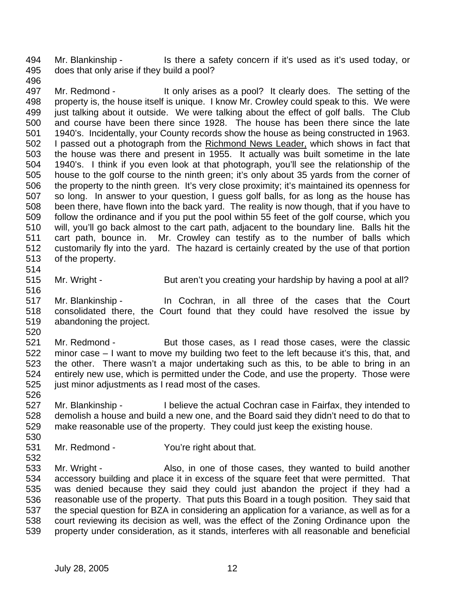494 Mr. Blankinship - Is there a safety concern if it's used as it's used today, or 495 does that only arise if they build a pool?

496

497 Mr. Redmond - It only arises as a pool? It clearly does. The setting of the 498 property is, the house itself is unique. I know Mr. Crowley could speak to this. We were 499 just talking about it outside. We were talking about the effect of golf balls. The Club 500 and course have been there since 1928. The house has been there since the late 501 1940's. Incidentally, your County records show the house as being constructed in 1963. 502 I passed out a photograph from the Richmond News Leader, which shows in fact that 503 the house was there and present in 1955. It actually was built sometime in the late 504 1940's. I think if you even look at that photograph, you'll see the relationship of the 505 house to the golf course to the ninth green; it's only about 35 yards from the corner of 506 the property to the ninth green. It's very close proximity; it's maintained its openness for 507 so long. In answer to your question, I guess golf balls, for as long as the house has 508 been there, have flown into the back yard. The reality is now though, that if you have to 509 follow the ordinance and if you put the pool within 55 feet of the golf course, which you 510 will, you'll go back almost to the cart path, adjacent to the boundary line. Balls hit the 511 cart path, bounce in. Mr. Crowley can testify as to the number of balls which 512 customarily fly into the yard. The hazard is certainly created by the use of that portion 513 of the property.

514

516

515 Mr. Wright - But aren't you creating your hardship by having a pool at all?

517 Mr. Blankinship - In Cochran, in all three of the cases that the Court 518 consolidated there, the Court found that they could have resolved the issue by 519 abandoning the project.

520

521 Mr. Redmond - But those cases, as I read those cases, were the classic 522 minor case – I want to move my building two feet to the left because it's this, that, and 523 the other. There wasn't a major undertaking such as this, to be able to bring in an 524 entirely new use, which is permitted under the Code, and use the property. Those were 525 just minor adjustments as I read most of the cases.

526

532

527 Mr. Blankinship - I believe the actual Cochran case in Fairfax, they intended to 528 demolish a house and build a new one, and the Board said they didn't need to do that to 529 make reasonable use of the property. They could just keep the existing house. 530

531 Mr. Redmond - You're right about that.

533 Mr. Wright - Also, in one of those cases, they wanted to build another 534 accessory building and place it in excess of the square feet that were permitted. That 535 was denied because they said they could just abandon the project if they had a 536 reasonable use of the property. That puts this Board in a tough position. They said that 537 the special question for BZA in considering an application for a variance, as well as for a 538 court reviewing its decision as well, was the effect of the Zoning Ordinance upon the 539 property under consideration, as it stands, interferes with all reasonable and beneficial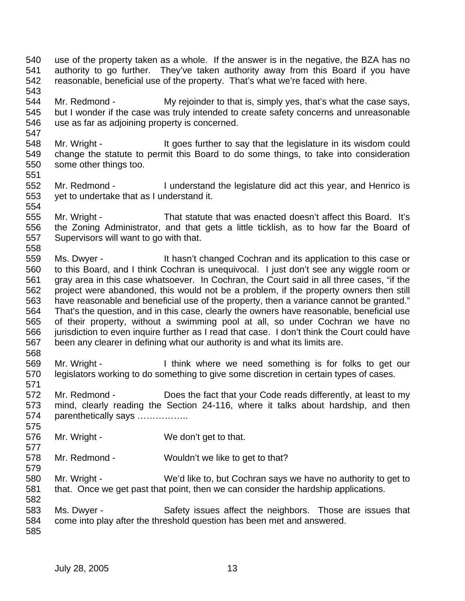- 540 use of the property taken as a whole. If the answer is in the negative, the BZA has no 541 authority to go further. They've taken authority away from this Board if you have 542 reasonable, beneficial use of the property. That's what we're faced with here. 543
- 544 Mr. Redmond My rejoinder to that is, simply yes, that's what the case says, 545 but I wonder if the case was truly intended to create safety concerns and unreasonable 546 use as far as adjoining property is concerned.
- 548 Mr. Wright It goes further to say that the legislature in its wisdom could 549 change the statute to permit this Board to do some things, to take into consideration 550 some other things too.
- 552 Mr. Redmond I understand the legislature did act this year, and Henrico is 553 yet to undertake that as I understand it. 554
- 555 Mr. Wright That statute that was enacted doesn't affect this Board. It's 556 the Zoning Administrator, and that gets a little ticklish, as to how far the Board of 557 Supervisors will want to go with that. 558
- 559 Ms. Dwyer It hasn't changed Cochran and its application to this case or 560 to this Board, and I think Cochran is unequivocal. I just don't see any wiggle room or 561 gray area in this case whatsoever. In Cochran, the Court said in all three cases, "if the 562 project were abandoned, this would not be a problem, if the property owners then still 563 have reasonable and beneficial use of the property, then a variance cannot be granted." 564 That's the question, and in this case, clearly the owners have reasonable, beneficial use 565 of their property, without a swimming pool at all, so under Cochran we have no 566 jurisdiction to even inquire further as I read that case. I don't think the Court could have 567 been any clearer in defining what our authority is and what its limits are.
- 568 569 Mr. Wright - I think where we need something is for folks to get our 570 legislators working to do something to give some discretion in certain types of cases. 571
- 572 Mr. Redmond Does the fact that your Code reads differently, at least to my 573 mind, clearly reading the Section 24-116, where it talks about hardship, and then 574 parenthetically says ……………..
- 576 Mr. Wright We don't get to that.
- 578 Mr. Redmond Wouldn't we like to get to that?
- 580 Mr. Wright We'd like to, but Cochran says we have no authority to get to 581 that. Once we get past that point, then we can consider the hardship applications.
- 583 Ms. Dwyer Safety issues affect the neighbors. Those are issues that 584 come into play after the threshold question has been met and answered.
- 585

582

575

577

579

547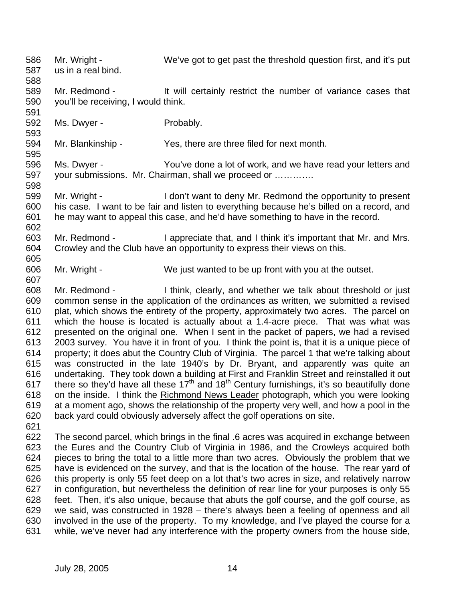586 Mr. Wright - We've got to get past the threshold question first, and it's put 587 us in a real bind. 588 589 Mr. Redmond - It will certainly restrict the number of variance cases that 590 you'll be receiving, I would think. 591 592 Ms. Dwyer - Probably. 593 594 Mr. Blankinship - Yes, there are three filed for next month. 595 596 Ms. Dwyer - You've done a lot of work, and we have read your letters and 597 your submissions. Mr. Chairman, shall we proceed or …………. 598 599 Mr. Wright - I don't want to deny Mr. Redmond the opportunity to present 600 his case. I want to be fair and listen to everything because he's billed on a record, and 601 he may want to appeal this case, and he'd have something to have in the record. 602 603 Mr. Redmond - I appreciate that, and I think it's important that Mr. and Mrs. 604 Crowley and the Club have an opportunity to express their views on this. 605 606 Mr. Wright - We just wanted to be up front with you at the outset. 607 608 Mr. Redmond - I think, clearly, and whether we talk about threshold or just 609 common sense in the application of the ordinances as written, we submitted a revised 610 plat, which shows the entirety of the property, approximately two acres. The parcel on 611 which the house is located is actually about a 1.4-acre piece. That was what was 612 presented on the original one. When I sent in the packet of papers, we had a revised 613 2003 survey. You have it in front of you. I think the point is, that it is a unique piece of 614 property; it does abut the Country Club of Virginia. The parcel 1 that we're talking about 615 was constructed in the late 1940's by Dr. Bryant, and apparently was quite an 616 undertaking. They took down a building at First and Franklin Street and reinstalled it out 617 there so they'd have all these  $17<sup>th</sup>$  and  $18<sup>th</sup>$  Century furnishings, it's so beautifully done 618 on the inside. I think the Richmond News Leader photograph, which you were looking 619 at a moment ago, shows the relationship of the property very well, and how a pool in the 620 back yard could obviously adversely affect the golf operations on site. 621 622 The second parcel, which brings in the final .6 acres was acquired in exchange between 623 the Eures and the Country Club of Virginia in 1986, and the Crowleys acquired both 624 pieces to bring the total to a little more than two acres. Obviously the problem that we 625 have is evidenced on the survey, and that is the location of the house. The rear yard of 626 this property is only 55 feet deep on a lot that's two acres in size, and relatively narrow 627 in configuration, but nevertheless the definition of rear line for your purposes is only 55 628 feet. Then, it's also unique, because that abuts the golf course, and the golf course, as

629 we said, was constructed in 1928 – there's always been a feeling of openness and all 630 involved in the use of the property. To my knowledge, and I've played the course for a 631 while, we've never had any interference with the property owners from the house side,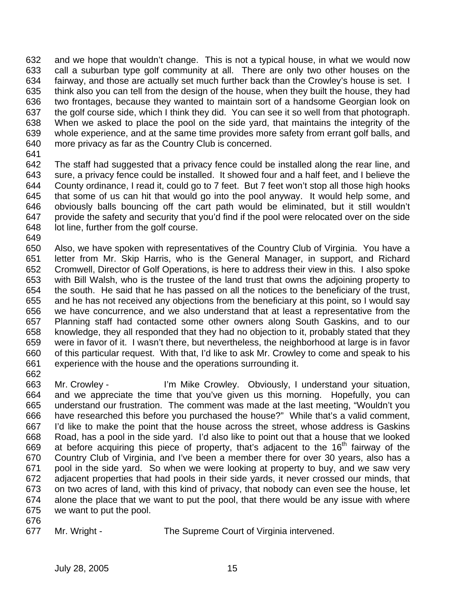632 and we hope that wouldn't change. This is not a typical house, in what we would now 633 call a suburban type golf community at all. There are only two other houses on the 634 fairway, and those are actually set much further back than the Crowley's house is set. I 635 think also you can tell from the design of the house, when they built the house, they had 636 two frontages, because they wanted to maintain sort of a handsome Georgian look on 637 the golf course side, which I think they did. You can see it so well from that photograph. 638 When we asked to place the pool on the side yard, that maintains the integrity of the 639 whole experience, and at the same time provides more safety from errant golf balls, and 640 more privacy as far as the Country Club is concerned.

641

642 The staff had suggested that a privacy fence could be installed along the rear line, and 643 sure, a privacy fence could be installed. It showed four and a half feet, and I believe the 644 County ordinance, I read it, could go to 7 feet. But 7 feet won't stop all those high hooks 645 that some of us can hit that would go into the pool anyway. It would help some, and 646 obviously balls bouncing off the cart path would be eliminated, but it still wouldn't 647 provide the safety and security that you'd find if the pool were relocated over on the side 648 lot line, further from the golf course.

649

662

650 Also, we have spoken with representatives of the Country Club of Virginia. You have a 651 letter from Mr. Skip Harris, who is the General Manager, in support, and Richard 652 Cromwell, Director of Golf Operations, is here to address their view in this. I also spoke 653 with Bill Walsh, who is the trustee of the land trust that owns the adjoining property to 654 the south. He said that he has passed on all the notices to the beneficiary of the trust, 655 and he has not received any objections from the beneficiary at this point, so I would say 656 we have concurrence, and we also understand that at least a representative from the 657 Planning staff had contacted some other owners along South Gaskins, and to our 658 knowledge, they all responded that they had no objection to it, probably stated that they 659 were in favor of it. I wasn't there, but nevertheless, the neighborhood at large is in favor 660 of this particular request. With that, I'd like to ask Mr. Crowley to come and speak to his 661 experience with the house and the operations surrounding it.

663 Mr. Crowley - I'm Mike Crowley. Obviously, I understand your situation, 664 and we appreciate the time that you've given us this morning. Hopefully, you can 665 understand our frustration. The comment was made at the last meeting, "Wouldn't you 666 have researched this before you purchased the house?" While that's a valid comment, 667 I'd like to make the point that the house across the street, whose address is Gaskins 668 Road, has a pool in the side yard. I'd also like to point out that a house that we looked 669 at before acquiring this piece of property, that's adiacent to the  $16<sup>th</sup>$  fairway of the 670 Country Club of Virginia, and I've been a member there for over 30 years, also has a 671 pool in the side yard. So when we were looking at property to buy, and we saw very 672 adjacent properties that had pools in their side yards, it never crossed our minds, that 673 on two acres of land, with this kind of privacy, that nobody can even see the house, let 674 alone the place that we want to put the pool, that there would be any issue with where 675 we want to put the pool.

676

677 Mr. Wright - The Supreme Court of Virginia intervened.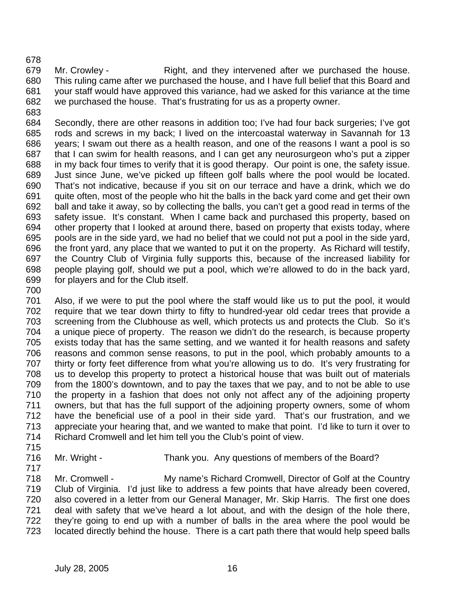678

679 Mr. Crowley - Right, and they intervened after we purchased the house. 680 This ruling came after we purchased the house, and I have full belief that this Board and 681 your staff would have approved this variance, had we asked for this variance at the time 682 we purchased the house. That's frustrating for us as a property owner.

683

684 Secondly, there are other reasons in addition too; I've had four back surgeries; I've got 685 rods and screws in my back; I lived on the intercoastal waterway in Savannah for 13 686 years; I swam out there as a health reason, and one of the reasons I want a pool is so 687 that I can swim for health reasons, and I can get any neurosurgeon who's put a zipper 688 in my back four times to verify that it is good therapy. Our point is one, the safety issue. 689 Just since June, we've picked up fifteen golf balls where the pool would be located. 690 That's not indicative, because if you sit on our terrace and have a drink, which we do 691 quite often, most of the people who hit the balls in the back yard come and get their own 692 ball and take it away, so by collecting the balls, you can't get a good read in terms of the 693 safety issue. It's constant. When I came back and purchased this property, based on 694 other property that I looked at around there, based on property that exists today, where 695 pools are in the side yard, we had no belief that we could not put a pool in the side yard, 696 the front yard, any place that we wanted to put it on the property. As Richard will testify, 697 the Country Club of Virginia fully supports this, because of the increased liability for 698 people playing golf, should we put a pool, which we're allowed to do in the back yard, 699 for players and for the Club itself.

700

701 Also, if we were to put the pool where the staff would like us to put the pool, it would 702 require that we tear down thirty to fifty to hundred-year old cedar trees that provide a 703 screening from the Clubhouse as well, which protects us and protects the Club. So it's 704 a unique piece of property. The reason we didn't do the research, is because property 705 exists today that has the same setting, and we wanted it for health reasons and safety 706 reasons and common sense reasons, to put in the pool, which probably amounts to a 707 thirty or forty feet difference from what you're allowing us to do. It's very frustrating for 708 us to develop this property to protect a historical house that was built out of materials 709 from the 1800's downtown, and to pay the taxes that we pay, and to not be able to use 710 the property in a fashion that does not only not affect any of the adjoining property 711 owners, but that has the full support of the adjoining property owners, some of whom 712 have the beneficial use of a pool in their side yard. That's our frustration, and we 713 appreciate your hearing that, and we wanted to make that point. I'd like to turn it over to 714 Richard Cromwell and let him tell you the Club's point of view.

- 715
- 717

716 Mr. Wright - Thank you. Any questions of members of the Board?

718 Mr. Cromwell - My name's Richard Cromwell, Director of Golf at the Country 719 Club of Virginia. I'd just like to address a few points that have already been covered, 720 also covered in a letter from our General Manager, Mr. Skip Harris. The first one does 721 deal with safety that we've heard a lot about, and with the design of the hole there, 722 they're going to end up with a number of balls in the area where the pool would be 723 located directly behind the house. There is a cart path there that would help speed balls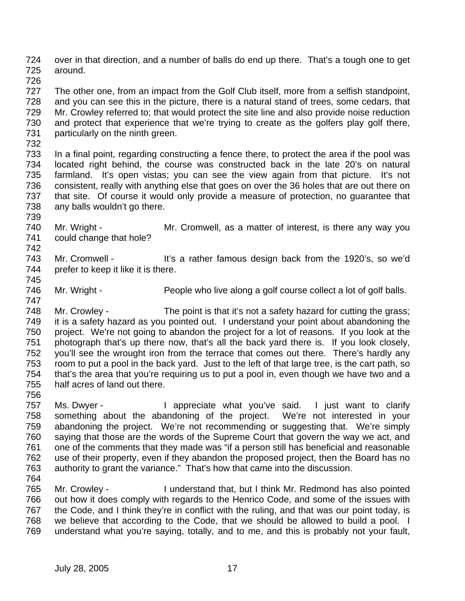724 over in that direction, and a number of balls do end up there. That's a tough one to get 725 around.

726

727 The other one, from an impact from the Golf Club itself, more from a selfish standpoint, 728 and you can see this in the picture, there is a natural stand of trees, some cedars, that 729 Mr. Crowley referred to; that would protect the site line and also provide noise reduction 730 and protect that experience that we're trying to create as the golfers play golf there, 731 particularly on the ninth green.

732

739

742

733 In a final point, regarding constructing a fence there, to protect the area if the pool was 734 located right behind, the course was constructed back in the late 20's on natural 735 farmland. It's open vistas; you can see the view again from that picture. It's not 736 consistent, really with anything else that goes on over the 36 holes that are out there on 737 that site. Of course it would only provide a measure of protection, no guarantee that 738 any balls wouldn't go there.

- 740 Mr. Wright Mr. Cromwell, as a matter of interest, is there any way you 741 could change that hole?
- 743 Mr. Cromwell It's a rather famous design back from the 1920's, so we'd 744 prefer to keep it like it is there. 745
- 746 Mr. Wright People who live along a golf course collect a lot of golf balls. 747

748 Mr. Crowley - The point is that it's not a safety hazard for cutting the grass; 749 it is a safety hazard as you pointed out. I understand your point about abandoning the 750 project. We're not going to abandon the project for a lot of reasons. If you look at the 751 photograph that's up there now, that's all the back yard there is. If you look closely, 752 you'll see the wrought iron from the terrace that comes out there. There's hardly any 753 room to put a pool in the back yard. Just to the left of that large tree, is the cart path, so 754 that's the area that you're requiring us to put a pool in, even though we have two and a 755 half acres of land out there.

756

757 Ms. Dwyer - I appreciate what you've said. I just want to clarify 758 something about the abandoning of the project. We're not interested in your 759 abandoning the project. We're not recommending or suggesting that. We're simply 760 saying that those are the words of the Supreme Court that govern the way we act, and 761 one of the comments that they made was "if a person still has beneficial and reasonable 762 use of their property, even if they abandon the proposed project, then the Board has no 763 authority to grant the variance." That's how that came into the discussion.

764

765 Mr. Crowley - I understand that, but I think Mr. Redmond has also pointed 766 out how it does comply with regards to the Henrico Code, and some of the issues with 767 the Code, and I think they're in conflict with the ruling, and that was our point today, is 768 we believe that according to the Code, that we should be allowed to build a pool. I 769 understand what you're saying, totally, and to me, and this is probably not your fault,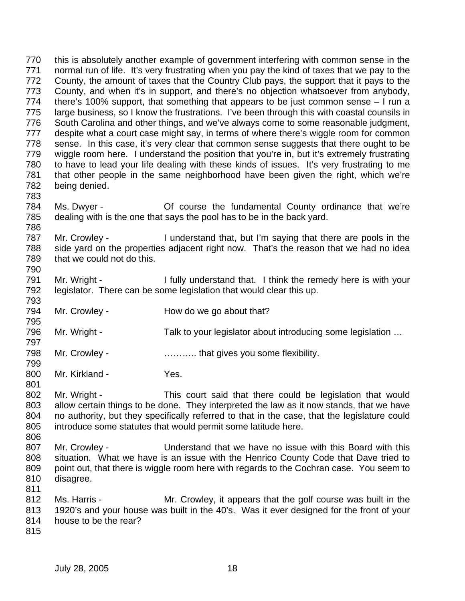770 this is absolutely another example of government interfering with common sense in the 771 normal run of life. It's very frustrating when you pay the kind of taxes that we pay to the 772 County, the amount of taxes that the Country Club pays, the support that it pays to the 773 County, and when it's in support, and there's no objection whatsoever from anybody, 774 there's 100% support, that something that appears to be just common sense – I run a 775 large business, so I know the frustrations. I've been through this with coastal counsils in 776 South Carolina and other things, and we've always come to some reasonable judgment, 777 despite what a court case might say, in terms of where there's wiggle room for common 778 sense. In this case, it's very clear that common sense suggests that there ought to be 779 wiggle room here. I understand the position that you're in, but it's extremely frustrating 780 to have to lead your life dealing with these kinds of issues. It's very frustrating to me 781 that other people in the same neighborhood have been given the right, which we're 782 being denied. 783

784 Ms. Dwyer - Of course the fundamental County ordinance that we're 785 dealing with is the one that says the pool has to be in the back yard. 786

787 Mr. Crowley - I understand that, but I'm saying that there are pools in the 788 side yard on the properties adjacent right now. That's the reason that we had no idea 789 that we could not do this. 790

791 Mr. Wright - I fully understand that. I think the remedy here is with your 792 legislator. There can be some legislation that would clear this up.

- 794 Mr. Crowley How do we go about that?
- 796 Mr. Wright Talk to your legislator about introducing some legislation ...
- 798 Mr. Crowley **Example 20** material that gives you some flexibility.
- 800 Mr. Kirkland Yes.

802 Mr. Wright - This court said that there could be legislation that would 803 allow certain things to be done. They interpreted the law as it now stands, that we have 804 no authority, but they specifically referred to that in the case, that the legislature could 805 introduce some statutes that would permit some latitude here.

- 807 Mr. Crowley Understand that we have no issue with this Board with this 808 situation. What we have is an issue with the Henrico County Code that Dave tried to 809 point out, that there is wiggle room here with regards to the Cochran case. You seem to 810 disagree.
- 811

793

795

797

799

801

- 812 Ms. Harris Mr. Crowley, it appears that the golf course was built in the 813 1920's and your house was built in the 40's. Was it ever designed for the front of your 814 house to be the rear?
- 815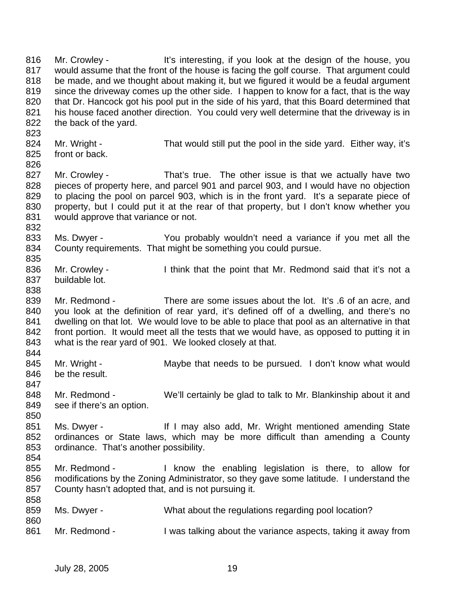816 Mr. Crowley - It's interesting, if you look at the design of the house, you 817 would assume that the front of the house is facing the golf course. That argument could 818 be made, and we thought about making it, but we figured it would be a feudal argument 819 since the driveway comes up the other side. I happen to know for a fact, that is the way 820 that Dr. Hancock got his pool put in the side of his yard, that this Board determined that 821 his house faced another direction. You could very well determine that the driveway is in 822 the back of the yard. 823 824 Mr. Wright - That would still put the pool in the side yard. Either way, it's 825 front or back. 826 827 Mr. Crowley - That's true. The other issue is that we actually have two 828 pieces of property here, and parcel 901 and parcel 903, and I would have no objection 829 to placing the pool on parcel 903, which is in the front yard. It's a separate piece of 830 property, but I could put it at the rear of that property, but I don't know whether you 831 would approve that variance or not. 832 833 Ms. Dwyer - You probably wouldn't need a variance if you met all the 834 County requirements. That might be something you could pursue. 835 836 Mr. Crowley - I think that the point that Mr. Redmond said that it's not a 837 buildable lot. 838 839 Mr. Redmond - There are some issues about the lot. It's .6 of an acre, and 840 you look at the definition of rear yard, it's defined off of a dwelling, and there's no 841 dwelling on that lot. We would love to be able to place that pool as an alternative in that 842 front portion. It would meet all the tests that we would have, as opposed to putting it in 843 what is the rear yard of 901. We looked closely at that. 844 845 Mr. Wright - Maybe that needs to be pursued. I don't know what would 846 be the result. 847 848 Mr. Redmond - We'll certainly be glad to talk to Mr. Blankinship about it and 849 see if there's an option. 850 851 Ms. Dwyer - If I may also add, Mr. Wright mentioned amending State 852 ordinances or State laws, which may be more difficult than amending a County 853 ordinance. That's another possibility. 854 855 Mr. Redmond - I know the enabling legislation is there, to allow for 856 modifications by the Zoning Administrator, so they gave some latitude. I understand the 857 County hasn't adopted that, and is not pursuing it. 858 859 Ms. Dwyer - What about the regulations regarding pool location? 860 861 Mr. Redmond - I was talking about the variance aspects, taking it away from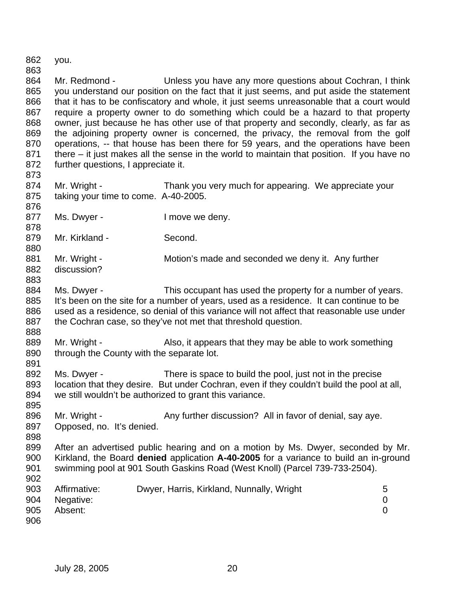862 you. 863 864 Mr. Redmond - Unless you have any more questions about Cochran, I think 865 you understand our position on the fact that it just seems, and put aside the statement 866 that it has to be confiscatory and whole, it just seems unreasonable that a court would 867 require a property owner to do something which could be a hazard to that property 868 owner, just because he has other use of that property and secondly, clearly, as far as 869 the adjoining property owner is concerned, the privacy, the removal from the golf 870 operations, -- that house has been there for 59 years, and the operations have been 871 there – it just makes all the sense in the world to maintain that position. If you have no 872 further questions, I appreciate it. 873 874 Mr. Wright - Thank you very much for appearing. We appreciate your 875 taking your time to come. A-40-2005. 876 877 Ms. Dwyer - I move we deny. 878 879 Mr. Kirkland - Second. 880 881 Mr. Wright - Motion's made and seconded we deny it. Any further 882 discussion? 883 884 Ms. Dwyer - This occupant has used the property for a number of years. 885 It's been on the site for a number of years, used as a residence. It can continue to be 886 used as a residence, so denial of this variance will not affect that reasonable use under 887 the Cochran case, so they've not met that threshold question. 888 889 Mr. Wright - Also, it appears that they may be able to work something 890 through the County with the separate lot. 891 892 Ms. Dwyer - There is space to build the pool, just not in the precise 893 location that they desire. But under Cochran, even if they couldn't build the pool at all, 894 we still wouldn't be authorized to grant this variance. 895 896 Mr. Wright - Any further discussion? All in favor of denial, say aye. 897 Opposed, no. It's denied. 898 899 After an advertised public hearing and on a motion by Ms. Dwyer, seconded by Mr. 900 Kirkland, the Board **denied** application **A-40-2005** for a variance to build an in-ground 901 swimming pool at 901 South Gaskins Road (West Knoll) (Parcel 739-733-2504). 902 903 Affirmative: Dwyer, Harris, Kirkland, Nunnally, Wright 5 904 Negative: 0 905 Absent: 0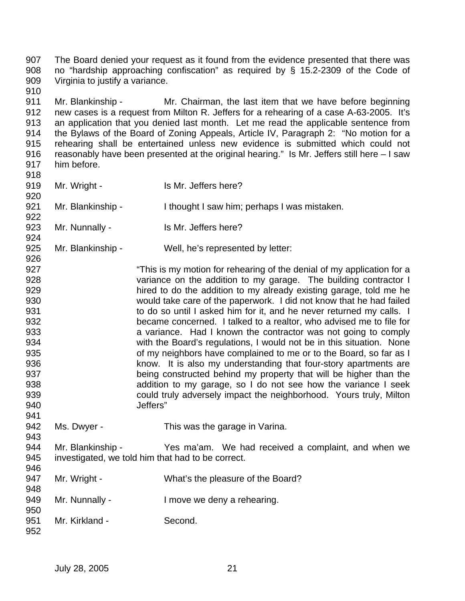907 The Board denied your request as it found from the evidence presented that there was 908 no "hardship approaching confiscation" as required by § 15.2-2309 of the Code of 909 Virginia to justify a variance.

911 Mr. Blankinship - Mr. Chairman, the last item that we have before beginning 912 new cases is a request from Milton R. Jeffers for a rehearing of a case A-63-2005. It's 913 an application that you denied last month. Let me read the applicable sentence from 914 the Bylaws of the Board of Zoning Appeals, Article IV, Paragraph 2: "No motion for a 915 rehearing shall be entertained unless new evidence is submitted which could not 916 reasonably have been presented at the original hearing." Is Mr. Jeffers still here – I saw 917 him before.

918 919 Mr. Wright - Is Mr. Jeffers here? 920

921 Mr. Blankinship - I thought I saw him; perhaps I was mistaken.

923 Mr. Nunnally - Is Mr. Jeffers here?

910

922

924

926

943

925 Mr. Blankinship - Well, he's represented by letter:

927 **This is my motion for rehearing of the denial of my application for a** 928 variance on the addition to my garage. The building contractor I 929 hired to do the addition to my already existing garage, told me he 930 would take care of the paperwork. I did not know that he had failed 931 **to do so until I asked him for it, and he never returned my calls.** I 932 became concerned. I talked to a realtor, who advised me to file for 933 a variance. Had I known the contractor was not going to comply 934 with the Board's regulations, I would not be in this situation. None 935 of my neighbors have complained to me or to the Board, so far as I 936 **know.** It is also my understanding that four-story apartments are 937 being constructed behind my property that will be higher than the 938 addition to my garage, so I do not see how the variance I seek 939 could truly adversely impact the neighborhood. Yours truly, Milton 940 Jeffers" 941

942 Ms. Dwyer - This was the garage in Varina.

944 Mr. Blankinship - Yes ma'am. We had received a complaint, and when we 945 investigated, we told him that had to be correct. 946

- 947 Mr. Wright What's the pleasure of the Board? 948
- 949 Mr. Nunnally I move we deny a rehearing. 950
- 951 Mr. Kirkland Second. 952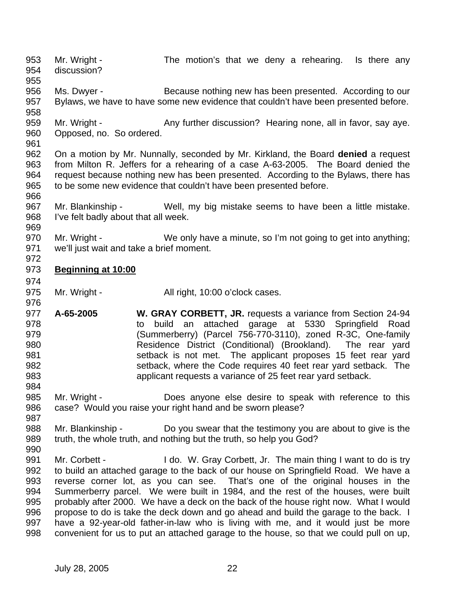953 Mr. Wright - The motion's that we deny a rehearing. Is there any 954 discussion? 955 956 Ms. Dwyer - Because nothing new has been presented. According to our 957 Bylaws, we have to have some new evidence that couldn't have been presented before. 958 959 Mr. Wright - Any further discussion? Hearing none, all in favor, say aye. 960 Opposed, no. So ordered. 961 962 On a motion by Mr. Nunnally, seconded by Mr. Kirkland, the Board **denied** a request 963 from Milton R. Jeffers for a rehearing of a case A-63-2005. The Board denied the 964 request because nothing new has been presented. According to the Bylaws, there has 965 to be some new evidence that couldn't have been presented before. 966 967 Mr. Blankinship - Well, my big mistake seems to have been a little mistake. 968 I've felt badly about that all week. 969 970 Mr. Wright - We only have a minute, so I'm not going to get into anything; 971 we'll just wait and take a brief moment. 972 973 **Beginning at 10:00** 974 975 Mr. Wright - All right, 10:00 o'clock cases. 976 977 **A-65-2005 W. GRAY CORBETT, JR.** requests a variance from Section 24-94 978 to build an attached garage at 5330 Springfield Road 979 (Summerberry) (Parcel 756-770-3110), zoned R-3C, One-family 980 Residence District (Conditional) (Brookland). The rear yard 981 setback is not met. The applicant proposes 15 feet rear yard 982 setback, where the Code requires 40 feet rear yard setback. The 983 applicant requests a variance of 25 feet rear yard setback. 984 985 Mr. Wright - Does anyone else desire to speak with reference to this 986 case? Would you raise your right hand and be sworn please? 987 988 Mr. Blankinship - Do you swear that the testimony you are about to give is the 989 truth, the whole truth, and nothing but the truth, so help you God? 990 991 Mr. Corbett - I do. W. Gray Corbett, Jr. The main thing I want to do is try 992 to build an attached garage to the back of our house on Springfield Road. We have a 993 reverse corner lot, as you can see. That's one of the original houses in the 994 Summerberry parcel. We were built in 1984, and the rest of the houses, were built 995 probably after 2000. We have a deck on the back of the house right now. What I would 996 propose to do is take the deck down and go ahead and build the garage to the back. I 997 have a 92-year-old father-in-law who is living with me, and it would just be more 998 convenient for us to put an attached garage to the house, so that we could pull on up,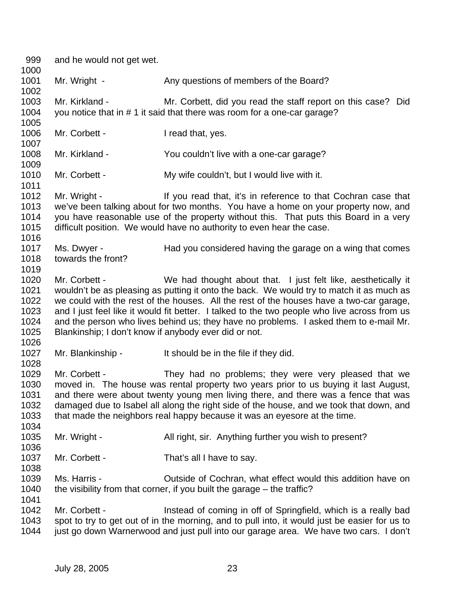999 and he would not get wet. 1000 1001 Mr. Wright - Any questions of members of the Board? 1002 1003 Mr. Kirkland - Mr. Corbett, did you read the staff report on this case? Did 1004 you notice that in # 1 it said that there was room for a one-car garage? 1005 1006 Mr. Corbett - I read that, yes. 1007 1008 Mr. Kirkland - You couldn't live with a one-car garage? 1009 1010 Mr. Corbett - My wife couldn't, but I would live with it. 1011 1012 Mr. Wright - If you read that, it's in reference to that Cochran case that 1013 we've been talking about for two months. You have a home on your property now, and 1014 you have reasonable use of the property without this. That puts this Board in a very 1015 difficult position. We would have no authority to even hear the case. 1016 1017 Ms. Dwyer - Had you considered having the garage on a wing that comes 1018 towards the front? 1019 1020 Mr. Corbett - We had thought about that. I just felt like, aesthetically it 1021 wouldn't be as pleasing as putting it onto the back. We would try to match it as much as 1022 we could with the rest of the houses. All the rest of the houses have a two-car garage, 1023 and I just feel like it would fit better. I talked to the two people who live across from us 1024 and the person who lives behind us; they have no problems. I asked them to e-mail Mr. 1025 Blankinship; I don't know if anybody ever did or not. 1026 1027 Mr. Blankinship - It should be in the file if they did. 1028 1029 Mr. Corbett - They had no problems; they were very pleased that we 1030 moved in. The house was rental property two years prior to us buying it last August, 1031 and there were about twenty young men living there, and there was a fence that was 1032 damaged due to Isabel all along the right side of the house, and we took that down, and 1033 that made the neighbors real happy because it was an eyesore at the time. 1034 1035 Mr. Wright - All right, sir. Anything further you wish to present? 1036 1037 Mr. Corbett - That's all I have to say. 1038 1039 Ms. Harris - Outside of Cochran, what effect would this addition have on 1040 the visibility from that corner, if you built the garage – the traffic? 1041 1042 Mr. Corbett - Instead of coming in off of Springfield, which is a really bad 1043 spot to try to get out of in the morning, and to pull into, it would just be easier for us to 1044 just go down Warnerwood and just pull into our garage area. We have two cars. I don't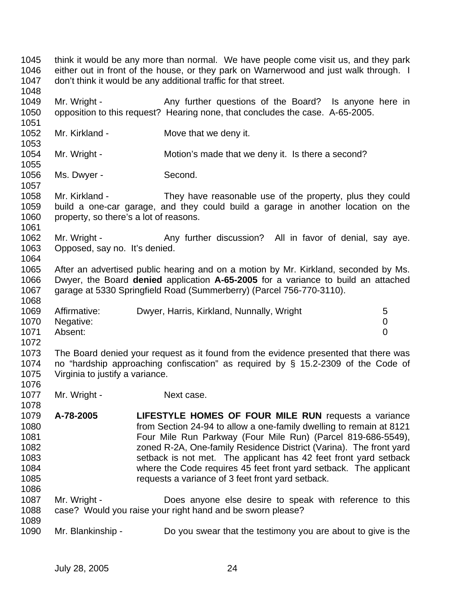1045 think it would be any more than normal. We have people come visit us, and they park 1046 either out in front of the house, or they park on Warnerwood and just walk through. I 1047 don't think it would be any additional traffic for that street. 1048 1049 Mr. Wright - Any further questions of the Board? Is anyone here in 1050 opposition to this request? Hearing none, that concludes the case. A-65-2005. 1051 1052 Mr. Kirkland - Move that we deny it. 1053 1054 Mr. Wright - Motion's made that we deny it. Is there a second? 1055 1056 Ms. Dwyer - Second. 1057 1058 Mr. Kirkland - They have reasonable use of the property, plus they could 1059 build a one-car garage, and they could build a garage in another location on the 1060 property, so there's a lot of reasons. 1061 1062 Mr. Wright - Any further discussion? All in favor of denial, say aye. 1063 Opposed, say no. It's denied. 1064 1065 After an advertised public hearing and on a motion by Mr. Kirkland, seconded by Ms. 1066 Dwyer, the Board **denied** application **A-65-2005** for a variance to build an attached 1067 garage at 5330 Springfield Road (Summerberry) (Parcel 756-770-3110). 1068 1069 Affirmative: Dwyer, Harris, Kirkland, Nunnally, Wright 5 1070 Negative: 0 1071 Absent: 0 1072 1073 The Board denied your request as it found from the evidence presented that there was 1074 no "hardship approaching confiscation" as required by § 15.2-2309 of the Code of 1075 Virginia to justify a variance. 1076 1077 Mr. Wright - Next case. 1078 1079 **A-78-2005 LIFESTYLE HOMES OF FOUR MILE RUN** requests a variance 1080 from Section 24-94 to allow a one-family dwelling to remain at 8121 1081 Four Mile Run Parkway (Four Mile Run) (Parcel 819-686-5549), 1082 zoned R-2A, One-family Residence District (Varina). The front yard 1083 setback is not met. The applicant has 42 feet front yard setback 1084 where the Code requires 45 feet front yard setback. The applicant 1085 requests a variance of 3 feet front yard setback. 1086 1087 Mr. Wright - Does anyone else desire to speak with reference to this 1088 case? Would you raise your right hand and be sworn please? 1089 1090 Mr. Blankinship - Do you swear that the testimony you are about to give is the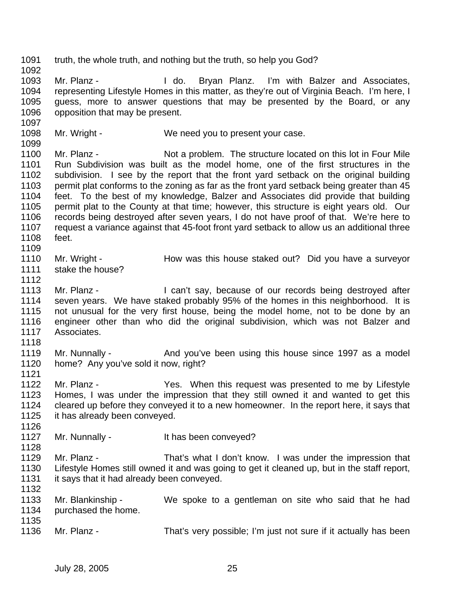1091 truth, the whole truth, and nothing but the truth, so help you God? 1092 1093 Mr. Planz - I do. Bryan Planz. I'm with Balzer and Associates, 1094 representing Lifestyle Homes in this matter, as they're out of Virginia Beach. I'm here, I 1095 guess, more to answer questions that may be presented by the Board, or any 1096 opposition that may be present. 1097 1098 Mr. Wright - We need you to present your case. 1099 1100 Mr. Planz - Not a problem. The structure located on this lot in Four Mile 1101 Run Subdivision was built as the model home, one of the first structures in the 1102 subdivision. I see by the report that the front yard setback on the original building 1103 permit plat conforms to the zoning as far as the front yard setback being greater than 45 1104 feet. To the best of my knowledge, Balzer and Associates did provide that building 1105 permit plat to the County at that time; however, this structure is eight years old. Our 1106 records being destroyed after seven years, I do not have proof of that. We're here to 1107 request a variance against that 45-foot front yard setback to allow us an additional three 1108 feet. 1109 1110 Mr. Wright - How was this house staked out? Did you have a surveyor 1111 stake the house? 1112 1113 Mr. Planz - I can't say, because of our records being destroyed after 1114 seven years. We have staked probably 95% of the homes in this neighborhood. It is 1115 not unusual for the very first house, being the model home, not to be done by an 1116 engineer other than who did the original subdivision, which was not Balzer and 1117 Associates. 1118 1119 Mr. Nunnally - And you've been using this house since 1997 as a model 1120 home? Any you've sold it now, right? 1121 1122 Mr. Planz - Yes. When this request was presented to me by Lifestyle 1123 Homes, I was under the impression that they still owned it and wanted to get this 1124 cleared up before they conveyed it to a new homeowner. In the report here, it says that 1125 it has already been conveyed. 1126 1127 Mr. Nunnally - It has been conveyed? 1128 1129 Mr. Planz - That's what I don't know. I was under the impression that 1130 Lifestyle Homes still owned it and was going to get it cleaned up, but in the staff report, 1131 it says that it had already been conveyed. 1132 1133 Mr. Blankinship - We spoke to a gentleman on site who said that he had 1134 purchased the home. 1135 1136 Mr. Planz - That's very possible; I'm just not sure if it actually has been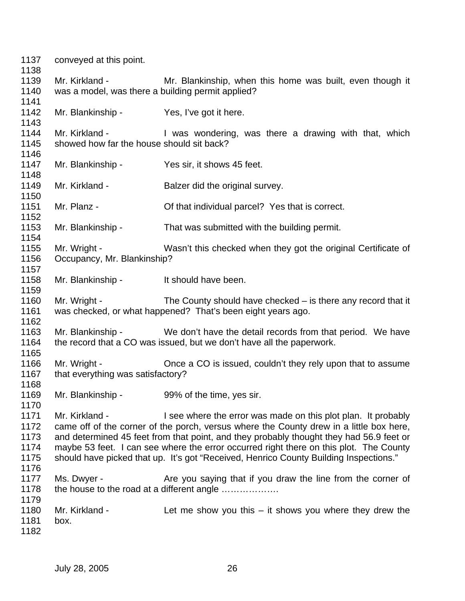| 1137<br>1138                                 | conveyed at this point.                                                                                                                                                                                                                                                                                                                                                                                                                                  |                                                                                                                                                       |  |  |
|----------------------------------------------|----------------------------------------------------------------------------------------------------------------------------------------------------------------------------------------------------------------------------------------------------------------------------------------------------------------------------------------------------------------------------------------------------------------------------------------------------------|-------------------------------------------------------------------------------------------------------------------------------------------------------|--|--|
| 1139<br>1140                                 | Mr. Kirkland -<br>was a model, was there a building permit applied?                                                                                                                                                                                                                                                                                                                                                                                      | Mr. Blankinship, when this home was built, even though it                                                                                             |  |  |
| 1141                                         |                                                                                                                                                                                                                                                                                                                                                                                                                                                          |                                                                                                                                                       |  |  |
| 1142<br>1143                                 | Mr. Blankinship - Yes, I've got it here.                                                                                                                                                                                                                                                                                                                                                                                                                 |                                                                                                                                                       |  |  |
| 1144<br>1145                                 | Mr. Kirkland -<br>showed how far the house should sit back?                                                                                                                                                                                                                                                                                                                                                                                              | I was wondering, was there a drawing with that, which                                                                                                 |  |  |
| 1146<br>1147                                 | Mr. Blankinship -                                                                                                                                                                                                                                                                                                                                                                                                                                        | Yes sir, it shows 45 feet.                                                                                                                            |  |  |
| 1148<br>1149<br>1150                         | Mr. Kirkland -                                                                                                                                                                                                                                                                                                                                                                                                                                           | Balzer did the original survey.                                                                                                                       |  |  |
| 1151<br>1152                                 | Mr. Planz -                                                                                                                                                                                                                                                                                                                                                                                                                                              | Of that individual parcel? Yes that is correct.                                                                                                       |  |  |
| 1153<br>1154                                 | Mr. Blankinship -                                                                                                                                                                                                                                                                                                                                                                                                                                        | That was submitted with the building permit.                                                                                                          |  |  |
| 1155<br>1156                                 | Mr. Wright -<br>Occupancy, Mr. Blankinship?                                                                                                                                                                                                                                                                                                                                                                                                              | Wasn't this checked when they got the original Certificate of                                                                                         |  |  |
| 1157                                         |                                                                                                                                                                                                                                                                                                                                                                                                                                                          |                                                                                                                                                       |  |  |
| 1158<br>1159                                 | Mr. Blankinship -                                                                                                                                                                                                                                                                                                                                                                                                                                        | It should have been.                                                                                                                                  |  |  |
| 1160<br>1161                                 | Mr. Wright -                                                                                                                                                                                                                                                                                                                                                                                                                                             | The County should have checked – is there any record that it<br>was checked, or what happened? That's been eight years ago.                           |  |  |
| 1162<br>1163<br>1164                         |                                                                                                                                                                                                                                                                                                                                                                                                                                                          | Mr. Blankinship - We don't have the detail records from that period. We have<br>the record that a CO was issued, but we don't have all the paperwork. |  |  |
| 1165                                         |                                                                                                                                                                                                                                                                                                                                                                                                                                                          |                                                                                                                                                       |  |  |
| 1166<br>1167                                 | Mr. Wright -<br>that everything was satisfactory?                                                                                                                                                                                                                                                                                                                                                                                                        | Once a CO is issued, couldn't they rely upon that to assume                                                                                           |  |  |
| 1168<br>1169<br>1170                         | Mr. Blankinship - 99% of the time, yes sir.                                                                                                                                                                                                                                                                                                                                                                                                              |                                                                                                                                                       |  |  |
| 1171<br>1172<br>1173<br>1174<br>1175<br>1176 | Mr. Kirkland -<br>I see where the error was made on this plot plan. It probably<br>came off of the corner of the porch, versus where the County drew in a little box here,<br>and determined 45 feet from that point, and they probably thought they had 56.9 feet or<br>maybe 53 feet. I can see where the error occurred right there on this plot. The County<br>should have picked that up. It's got "Received, Henrico County Building Inspections." |                                                                                                                                                       |  |  |
| 1177<br>1178<br>1179                         | Ms. Dwyer -                                                                                                                                                                                                                                                                                                                                                                                                                                              | Are you saying that if you draw the line from the corner of<br>the house to the road at a different angle                                             |  |  |
| 1180<br>1181<br>1182                         | Mr. Kirkland -<br>box.                                                                                                                                                                                                                                                                                                                                                                                                                                   | Let me show you this $-$ it shows you where they drew the                                                                                             |  |  |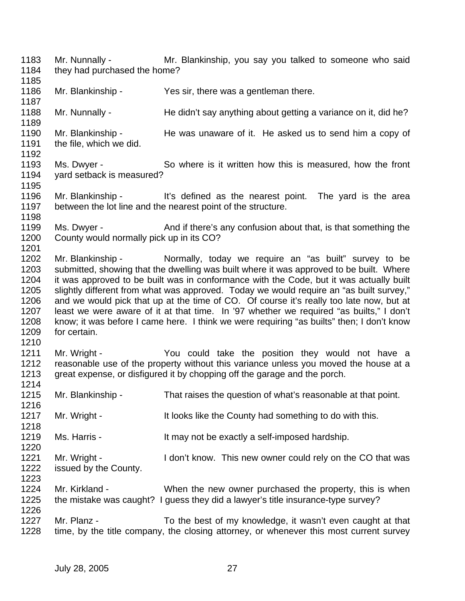- 1183 Mr. Nunnally Mr. Blankinship, you say you talked to someone who said 1184 they had purchased the home?
- 1186 Mr. Blankinship Yes sir, there was a gentleman there.

1185

1187

1189

1195

1198

1210

1216

1218

- 1188 Mr. Nunnally He didn't say anything about getting a variance on it, did he?
- 1190 Mr. Blankinship He was unaware of it. He asked us to send him a copy of 1191 the file, which we did. 1192
- 1193 Ms. Dwyer So where is it written how this is measured, how the front 1194 yard setback is measured?
- 1196 Mr. Blankinship It's defined as the nearest point. The yard is the area<br>1197 between the lot line and the nearest point of the structure. between the lot line and the nearest point of the structure.
- 1199 Ms. Dwyer And if there's any confusion about that, is that something the 1200 County would normally pick up in its CO? 1201
- 1202 Mr. Blankinship Normally, today we require an "as built" survey to be 1203 submitted, showing that the dwelling was built where it was approved to be built. Where 1204 it was approved to be built was in conformance with the Code, but it was actually built 1205 slightly different from what was approved. Today we would require an "as built survey," 1206 and we would pick that up at the time of CO. Of course it's really too late now, but at 1207 least we were aware of it at that time. In '97 whether we required "as builts." I don't least we were aware of it at that time. In '97 whether we required "as builts," I don't 1208 know; it was before I came here. I think we were requiring "as builts" then; I don't know 1209 for certain.
- 1211 Mr. Wright The You could take the position they would not have a 1212 reasonable use of the property without this variance unless you moved the house at a 1213 great expense, or disfigured it by chopping off the garage and the porch. 1214
- 1215 Mr. Blankinship That raises the question of what's reasonable at that point.
- 1217 Mr. Wright It looks like the County had something to do with this.
- 1219 Ms. Harris It may not be exactly a self-imposed hardship.
- 1221 Mr. Wright I don't know. This new owner could rely on the CO that was 1222 issued by the County.
- 1223 1224 Mr. Kirkland - When the new owner purchased the property, this is when 1225 the mistake was caught? I guess they did a lawyer's title insurance-type survey? 1226
- 1227 Mr. Planz To the best of my knowledge, it wasn't even caught at that 1228 time, by the title company, the closing attorney, or whenever this most current survey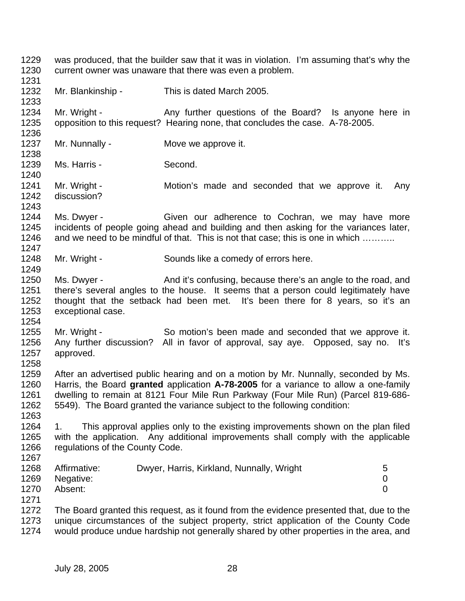1229 was produced, that the builder saw that it was in violation. I'm assuming that's why the 1230 current owner was unaware that there was even a problem.

1232 Mr. Blankinship - This is dated March 2005.

1234 Mr. Wright - Any further questions of the Board? Is anyone here in 1235 opposition to this request? Hearing none, that concludes the case. A-78-2005. 1236

- 1237 Mr. Nunnally Move we approve it.
- 1239 Ms. Harris Second.

1231

1233

1238

1240

1243

1249

1254

1263

1241 Mr. Wright - Motion's made and seconded that we approve it. Any 1242 discussion?

1244 Ms. Dwyer - Given our adherence to Cochran, we may have more 1245 incidents of people going ahead and building and then asking for the variances later, 1246 and we need to be mindful of that. This is not that case; this is one in which .......... 1247

1248 Mr. Wright - Sounds like a comedy of errors here.

1250 Ms. Dwyer - And it's confusing, because there's an angle to the road, and 1251 there's several angles to the house. It seems that a person could legitimately have 1252 thought that the setback had been met. It's been there for 8 years, so it's an 1253 exceptional case.

1255 Mr. Wright - So motion's been made and seconded that we approve it. 1256 Any further discussion? All in favor of approval, say aye. Opposed, say no. It's 1257 approved. 1258

1259 After an advertised public hearing and on a motion by Mr. Nunnally, seconded by Ms. 1260 Harris, the Board **granted** application **A-78-2005** for a variance to allow a one-family 1261 dwelling to remain at 8121 Four Mile Run Parkway (Four Mile Run) (Parcel 819-686- 1262 5549). The Board granted the variance subject to the following condition:

1264 1. This approval applies only to the existing improvements shown on the plan filed 1265 with the application. Any additional improvements shall comply with the applicable 1266 regulations of the County Code. 1267

| 1268 | Affirmative: | Dwyer, Harris, Kirkland, Nunnally, Wright | 5 |
|------|--------------|-------------------------------------------|---|
| 1269 | Negative:    |                                           |   |
| 1270 | Absent:      |                                           |   |
| 1271 |              |                                           |   |

1272 The Board granted this request, as it found from the evidence presented that, due to the 1273 unique circumstances of the subject property, strict application of the County Code 1274 would produce undue hardship not generally shared by other properties in the area, and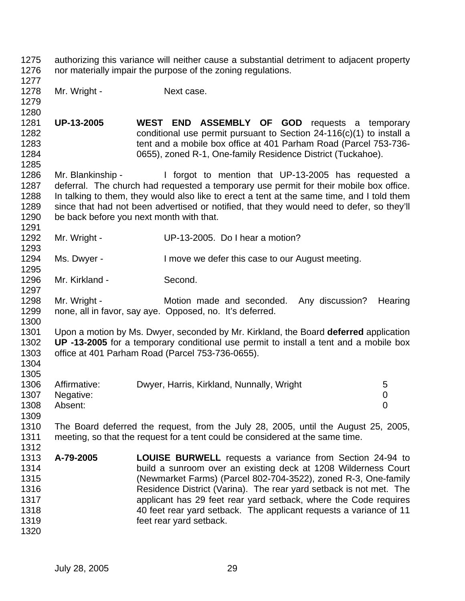| 1275<br>1276                                                 | authorizing this variance will neither cause a substantial detriment to adjacent property<br>nor materially impair the purpose of the zoning regulations.                                                                                                                                                                                                                                                                                                   |                                                                                                                                                                                                                                                                                                                                                                                      |             |  |
|--------------------------------------------------------------|-------------------------------------------------------------------------------------------------------------------------------------------------------------------------------------------------------------------------------------------------------------------------------------------------------------------------------------------------------------------------------------------------------------------------------------------------------------|--------------------------------------------------------------------------------------------------------------------------------------------------------------------------------------------------------------------------------------------------------------------------------------------------------------------------------------------------------------------------------------|-------------|--|
| 1277<br>1278<br>1279<br>1280                                 | Mr. Wright -                                                                                                                                                                                                                                                                                                                                                                                                                                                | Next case.                                                                                                                                                                                                                                                                                                                                                                           |             |  |
| 1281<br>1282<br>1283<br>1284<br>1285                         | <b>UP-13-2005</b>                                                                                                                                                                                                                                                                                                                                                                                                                                           | WEST END ASSEMBLY OF GOD requests a temporary<br>conditional use permit pursuant to Section $24-116(c)(1)$ to install a<br>tent and a mobile box office at 401 Parham Road (Parcel 753-736-<br>0655), zoned R-1, One-family Residence District (Tuckahoe).                                                                                                                           |             |  |
| 1286<br>1287<br>1288<br>1289<br>1290<br>1291                 | Mr. Blankinship -                                                                                                                                                                                                                                                                                                                                                                                                                                           | I forgot to mention that UP-13-2005 has requested a<br>deferral. The church had requested a temporary use permit for their mobile box office.<br>In talking to them, they would also like to erect a tent at the same time, and I told them<br>since that had not been advertised or notified, that they would need to defer, so they'll<br>be back before you next month with that. |             |  |
| 1292<br>1293                                                 | Mr. Wright -                                                                                                                                                                                                                                                                                                                                                                                                                                                | UP-13-2005. Do I hear a motion?                                                                                                                                                                                                                                                                                                                                                      |             |  |
| 1294<br>1295                                                 | Ms. Dwyer -                                                                                                                                                                                                                                                                                                                                                                                                                                                 | I move we defer this case to our August meeting.                                                                                                                                                                                                                                                                                                                                     |             |  |
| 1296<br>1297                                                 | Mr. Kirkland -                                                                                                                                                                                                                                                                                                                                                                                                                                              | Second.                                                                                                                                                                                                                                                                                                                                                                              |             |  |
| 1298<br>1299<br>1300                                         | Mr. Wright -                                                                                                                                                                                                                                                                                                                                                                                                                                                | Motion made and seconded.<br>Any discussion?<br>none, all in favor, say aye. Opposed, no. It's deferred.                                                                                                                                                                                                                                                                             | Hearing     |  |
| 1301<br>1302<br>1303<br>1304<br>1305                         |                                                                                                                                                                                                                                                                                                                                                                                                                                                             | Upon a motion by Ms. Dwyer, seconded by Mr. Kirkland, the Board deferred application<br>UP -13-2005 for a temporary conditional use permit to install a tent and a mobile box<br>office at 401 Parham Road (Parcel 753-736-0655).                                                                                                                                                    |             |  |
| 1306<br>1307<br>1308<br>1309                                 | Affirmative:<br>Negative:<br>Absent:                                                                                                                                                                                                                                                                                                                                                                                                                        | Dwyer, Harris, Kirkland, Nunnally, Wright                                                                                                                                                                                                                                                                                                                                            | 5<br>0<br>0 |  |
| 1310<br>1311<br>1312                                         |                                                                                                                                                                                                                                                                                                                                                                                                                                                             | The Board deferred the request, from the July 28, 2005, until the August 25, 2005,<br>meeting, so that the request for a tent could be considered at the same time.                                                                                                                                                                                                                  |             |  |
| 1313<br>1314<br>1315<br>1316<br>1317<br>1318<br>1319<br>1320 | A-79-2005<br><b>LOUISE BURWELL</b> requests a variance from Section 24-94 to<br>build a sunroom over an existing deck at 1208 Wilderness Court<br>(Newmarket Farms) (Parcel 802-704-3522), zoned R-3, One-family<br>Residence District (Varina). The rear yard setback is not met. The<br>applicant has 29 feet rear yard setback, where the Code requires<br>40 feet rear yard setback. The applicant requests a variance of 11<br>feet rear yard setback. |                                                                                                                                                                                                                                                                                                                                                                                      |             |  |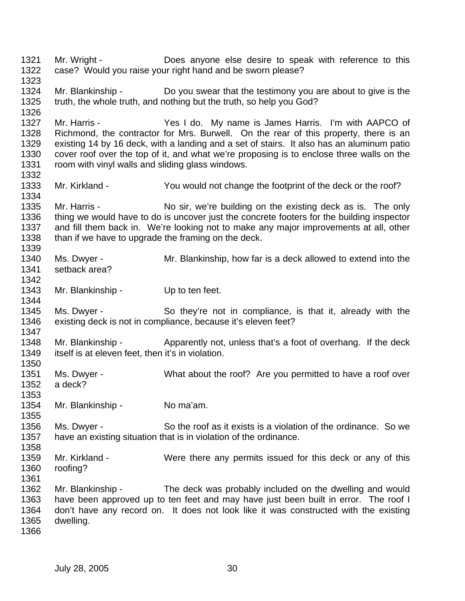1321 Mr. Wright - Does anyone else desire to speak with reference to this 1322 case? Would you raise your right hand and be sworn please? 1323 1324 Mr. Blankinship - Do you swear that the testimony you are about to give is the 1325 truth, the whole truth, and nothing but the truth, so help you God? 1326 1327 Mr. Harris - Yes I do. My name is James Harris. I'm with AAPCO of 1328 Richmond, the contractor for Mrs. Burwell. On the rear of this property, there is an 1329 existing 14 by 16 deck, with a landing and a set of stairs. It also has an aluminum patio 1330 cover roof over the top of it, and what we're proposing is to enclose three walls on the 1331 room with vinyl walls and sliding glass windows. 1332 1333 Mr. Kirkland - You would not change the footprint of the deck or the roof? 1334 1335 Mr. Harris - No sir, we're building on the existing deck as is. The only 1336 thing we would have to do is uncover just the concrete footers for the building inspector 1337 and fill them back in. We're looking not to make any major improvements at all, other 1338 than if we have to upgrade the framing on the deck. 1339 1340 Ms. Dwyer - Mr. Blankinship, how far is a deck allowed to extend into the 1341 setback area? 1342 1343 Mr. Blankinship - Up to ten feet. 1344 1345 Ms. Dwyer - So they're not in compliance, is that it, already with the 1346 existing deck is not in compliance, because it's eleven feet? 1347 1348 Mr. Blankinship - Apparently not, unless that's a foot of overhang. If the deck 1349 itself is at eleven feet, then it's in violation. 1350 1351 Ms. Dwyer - What about the roof? Are you permitted to have a roof over 1352 a deck? 1353 1354 Mr. Blankinship - No ma'am. 1355 1356 Ms. Dwyer - So the roof as it exists is a violation of the ordinance. So we 1357 have an existing situation that is in violation of the ordinance. 1358 1359 Mr. Kirkland - Were there any permits issued for this deck or any of this 1360 roofing? 1361 1362 Mr. Blankinship - The deck was probably included on the dwelling and would 1363 have been approved up to ten feet and may have just been built in error. The roof I 1364 don't have any record on. It does not look like it was constructed with the existing 1365 dwelling. 1366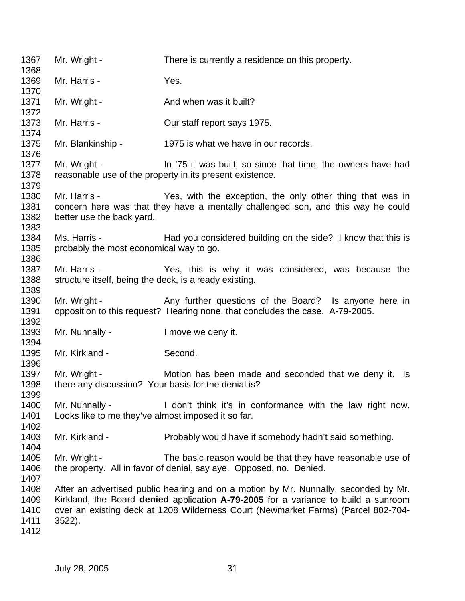| 1367<br>1368                         | Mr. Wright -                                                           | There is currently a residence on this property.                                                                                                                                                                                                               |
|--------------------------------------|------------------------------------------------------------------------|----------------------------------------------------------------------------------------------------------------------------------------------------------------------------------------------------------------------------------------------------------------|
| 1369<br>1370                         | Mr. Harris -                                                           | Yes.                                                                                                                                                                                                                                                           |
| 1371<br>1372                         | Mr. Wright -                                                           | And when was it built?                                                                                                                                                                                                                                         |
| 1373                                 | Mr. Harris -                                                           | Our staff report says 1975.                                                                                                                                                                                                                                    |
| 1374<br>1375                         | Mr. Blankinship -                                                      | 1975 is what we have in our records.                                                                                                                                                                                                                           |
| 1376<br>1377<br>1378<br>1379         | Mr. Wright -                                                           | In '75 it was built, so since that time, the owners have had<br>reasonable use of the property in its present existence.                                                                                                                                       |
| 1380<br>1381<br>1382<br>1383         | Mr. Harris -<br>better use the back yard.                              | Yes, with the exception, the only other thing that was in<br>concern here was that they have a mentally challenged son, and this way he could                                                                                                                  |
| 1384<br>1385<br>1386                 | Ms. Harris -<br>probably the most economical way to go.                | Had you considered building on the side? I know that this is                                                                                                                                                                                                   |
| 1387<br>1388<br>1389                 | Mr. Harris -<br>structure itself, being the deck, is already existing. | Yes, this is why it was considered, was because the                                                                                                                                                                                                            |
| 1390<br>1391<br>1392                 |                                                                        | Mr. Wright - The Any further questions of the Board? Is anyone here in<br>opposition to this request? Hearing none, that concludes the case. A-79-2005.                                                                                                        |
| 1393<br>1394                         | Mr. Nunnally -                                                         | I move we deny it.                                                                                                                                                                                                                                             |
| 1395<br>1396                         | Mr. Kirkland -                                                         | Second.                                                                                                                                                                                                                                                        |
| 1397<br>1398<br>1399                 | Mr. Wright -<br>there any discussion? Your basis for the denial is?    | Motion has been made and seconded that we deny it. Is                                                                                                                                                                                                          |
| 1400<br>1401<br>1402                 | Mr. Nunnally -<br>Looks like to me they've almost imposed it so far.   | I don't think it's in conformance with the law right now.                                                                                                                                                                                                      |
| 1403<br>1404                         | Mr. Kirkland -                                                         | Probably would have if somebody hadn't said something.                                                                                                                                                                                                         |
| 1405<br>1406<br>1407                 | Mr. Wright -                                                           | The basic reason would be that they have reasonable use of<br>the property. All in favor of denial, say aye. Opposed, no. Denied.                                                                                                                              |
| 1408<br>1409<br>1410<br>1411<br>1412 | 3522).                                                                 | After an advertised public hearing and on a motion by Mr. Nunnally, seconded by Mr.<br>Kirkland, the Board denied application A-79-2005 for a variance to build a sunroom<br>over an existing deck at 1208 Wilderness Court (Newmarket Farms) (Parcel 802-704- |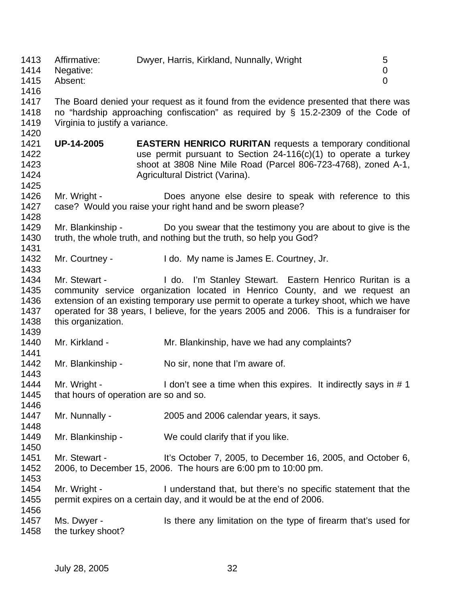| 1413<br>1414<br>1415                         | Affirmative:<br>Negative:<br>Absent:                                                                                                                                                                        | Dwyer, Harris, Kirkland, Nunnally, Wright                                                                                                                                                                                                                                                                                   | 5<br>0<br>$\overline{0}$ |  |
|----------------------------------------------|-------------------------------------------------------------------------------------------------------------------------------------------------------------------------------------------------------------|-----------------------------------------------------------------------------------------------------------------------------------------------------------------------------------------------------------------------------------------------------------------------------------------------------------------------------|--------------------------|--|
| 1416<br>1417<br>1418<br>1419                 | The Board denied your request as it found from the evidence presented that there was<br>no "hardship approaching confiscation" as required by § 15.2-2309 of the Code of<br>Virginia to justify a variance. |                                                                                                                                                                                                                                                                                                                             |                          |  |
| 1420<br>1421<br>1422<br>1423<br>1424<br>1425 | <b>UP-14-2005</b>                                                                                                                                                                                           | <b>EASTERN HENRICO RURITAN requests a temporary conditional</b><br>use permit pursuant to Section 24-116(c)(1) to operate a turkey<br>shoot at 3808 Nine Mile Road (Parcel 806-723-4768), zoned A-1,<br>Agricultural District (Varina).                                                                                     |                          |  |
| 1426<br>1427<br>1428                         | Mr. Wright -                                                                                                                                                                                                | Does anyone else desire to speak with reference to this<br>case? Would you raise your right hand and be sworn please?                                                                                                                                                                                                       |                          |  |
| 1429<br>1430<br>1431                         | Mr. Blankinship -                                                                                                                                                                                           | Do you swear that the testimony you are about to give is the<br>truth, the whole truth, and nothing but the truth, so help you God?                                                                                                                                                                                         |                          |  |
| 1432<br>1433                                 | Mr. Courtney -                                                                                                                                                                                              | I do. My name is James E. Courtney, Jr.                                                                                                                                                                                                                                                                                     |                          |  |
| 1434<br>1435<br>1436<br>1437<br>1438<br>1439 | Mr. Stewart -<br>this organization.                                                                                                                                                                         | I do. I'm Stanley Stewart. Eastern Henrico Ruritan is a<br>community service organization located in Henrico County, and we request an<br>extension of an existing temporary use permit to operate a turkey shoot, which we have<br>operated for 38 years, I believe, for the years 2005 and 2006. This is a fundraiser for |                          |  |
| 1440<br>1441                                 | Mr. Kirkland -                                                                                                                                                                                              | Mr. Blankinship, have we had any complaints?                                                                                                                                                                                                                                                                                |                          |  |
| 1442<br>1443                                 | Mr. Blankinship -                                                                                                                                                                                           | No sir, none that I'm aware of.                                                                                                                                                                                                                                                                                             |                          |  |
| 1444<br>1445<br>1446                         | Mr. Wright -<br>that hours of operation are so and so.                                                                                                                                                      | I don't see a time when this expires. It indirectly says in #1                                                                                                                                                                                                                                                              |                          |  |
| 1447<br>1448                                 | Mr. Nunnally -                                                                                                                                                                                              | 2005 and 2006 calendar years, it says.                                                                                                                                                                                                                                                                                      |                          |  |
| 1449<br>1450                                 | Mr. Blankinship -                                                                                                                                                                                           | We could clarify that if you like.                                                                                                                                                                                                                                                                                          |                          |  |
| 1451<br>1452<br>1453                         | Mr. Stewart -                                                                                                                                                                                               | It's October 7, 2005, to December 16, 2005, and October 6,<br>2006, to December 15, 2006. The hours are 6:00 pm to 10:00 pm.                                                                                                                                                                                                |                          |  |
| 1454<br>1455                                 | Mr. Wright -                                                                                                                                                                                                | I understand that, but there's no specific statement that the<br>permit expires on a certain day, and it would be at the end of 2006.                                                                                                                                                                                       |                          |  |
| 1456<br>1457<br>1458                         | Ms. Dwyer -<br>the turkey shoot?                                                                                                                                                                            | Is there any limitation on the type of firearm that's used for                                                                                                                                                                                                                                                              |                          |  |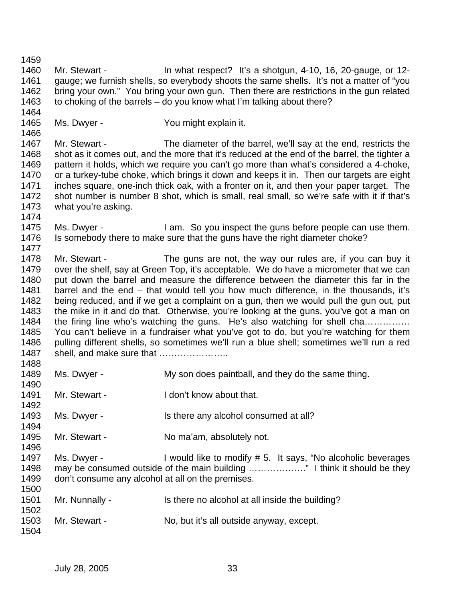1462 bring your own." You bring your own gun. Then there are restrictions in the gun related 1463 to choking of the barrels – do you know what I'm talking about there? 1464 1465 Ms. Dwyer - You might explain it. 1466 1467 Mr. Stewart - The diameter of the barrel, we'll say at the end, restricts the 1468 shot as it comes out, and the more that it's reduced at the end of the barrel, the tighter a 1469 pattern it holds, which we require you can't go more than what's considered a 4-choke, 1470 or a turkey-tube choke, which brings it down and keeps it in. Then our targets are eight 1471 inches square, one-inch thick oak, with a fronter on it, and then your paper target. The 1472 shot number is number 8 shot, which is small, real small, so we're safe with it if that's 1473 what you're asking. 1474 1475 Ms. Dwyer - I am. So you inspect the guns before people can use them. 1476 Is somebody there to make sure that the guns have the right diameter choke? 1477 1478 Mr. Stewart - The guns are not, the way our rules are, if you can buy it 1479 over the shelf, say at Green Top, it's acceptable. We do have a micrometer that we can 1480 put down the barrel and measure the difference between the diameter this far in the 1481 barrel and the end – that would tell you how much difference, in the thousands, it's 1482 being reduced, and if we get a complaint on a gun, then we would pull the gun out, put 1483 the mike in it and do that. Otherwise, you're looking at the guns, you've got a man on 1484 the firing line who's watching the guns. He's also watching for shell cha…………… 1485 You can't believe in a fundraiser what you've got to do, but you're watching for them 1486 pulling different shells, so sometimes we'll run a blue shell; sometimes we'll run a red 1487 shell, and make sure that ………………….. 1488 1489 Ms. Dwyer - My son does paintball, and they do the same thing. 1490 1491 Mr. Stewart - I don't know about that. 1492 1493 Ms. Dwyer - Is there any alcohol consumed at all? 1494 1495 Mr. Stewart - No ma'am, absolutely not. 1496 1497 Ms. Dwyer - I would like to modify # 5. It says, "No alcoholic beverages 1498 may be consumed outside of the main building ………………." I think it should be they 1499 don't consume any alcohol at all on the premises. 1500 1501 Mr. Nunnally - Is there no alcohol at all inside the building? 1502 1503 Mr. Stewart - No, but it's all outside anyway, except. 1504

1460 Mr. Stewart - In what respect? It's a shotgun, 4-10, 16, 20-gauge, or 12- 1461 gauge; we furnish shells, so everybody shoots the same shells. It's not a matter of "you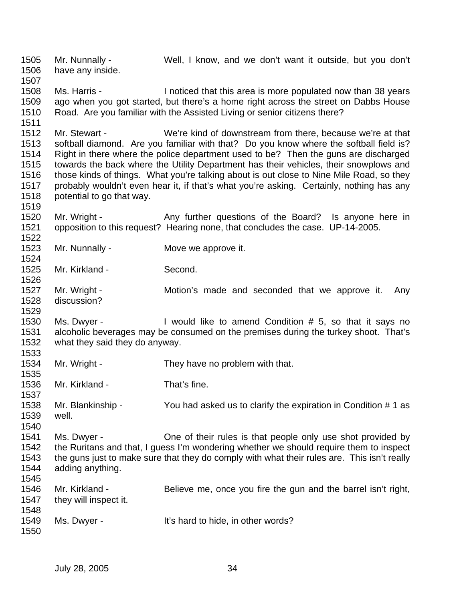1505 Mr. Nunnally - Well, I know, and we don't want it outside, but you don't 1506 have any inside. 1507 1508 Ms. Harris - I noticed that this area is more populated now than 38 years 1509 ago when you got started, but there's a home right across the street on Dabbs House 1510 Road. Are you familiar with the Assisted Living or senior citizens there? 1511 1512 Mr. Stewart - We're kind of downstream from there, because we're at that 1513 softball diamond. Are you familiar with that? Do you know where the softball field is? 1514 Right in there where the police department used to be? Then the guns are discharged 1515 towards the back where the Utility Department has their vehicles, their snowplows and 1516 those kinds of things. What you're talking about is out close to Nine Mile Road, so they 1517 probably wouldn't even hear it, if that's what you're asking. Certainly, nothing has any 1518 potential to go that way. 1519 1520 Mr. Wright - Any further questions of the Board? Is anyone here in 1521 opposition to this request? Hearing none, that concludes the case. UP-14-2005. 1522 1523 Mr. Nunnally - Move we approve it. 1524 1525 Mr. Kirkland - Second. 1526 1527 Mr. Wright - Motion's made and seconded that we approve it. Any 1528 discussion? 1529 1530 Ms. Dwyer - I would like to amend Condition # 5, so that it says no 1531 alcoholic beverages may be consumed on the premises during the turkey shoot. That's 1532 what they said they do anyway. 1533 1534 Mr. Wright - They have no problem with that. 1535 1536 Mr. Kirkland - That's fine. 1537 1538 Mr. Blankinship - You had asked us to clarify the expiration in Condition # 1 as 1539 well. 1540 1541 Ms. Dwyer - One of their rules is that people only use shot provided by 1542 the Ruritans and that, I guess I'm wondering whether we should require them to inspect 1543 the guns just to make sure that they do comply with what their rules are. This isn't really 1544 adding anything. 1545 1546 Mr. Kirkland - Believe me, once you fire the gun and the barrel isn't right, 1547 they will inspect it. 1548 1549 Ms. Dwyer - It's hard to hide, in other words? 1550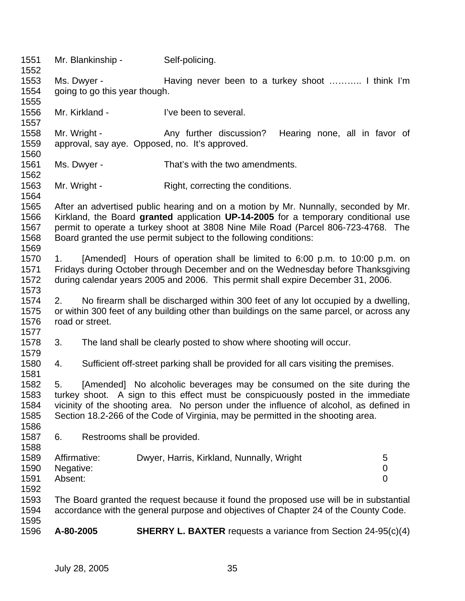1551 Mr. Blankinship - Self-policing. 1552 1553 Ms. Dwyer - Having never been to a turkey shoot ……….. I think I'm 1554 going to go this year though. 1555 1556 Mr. Kirkland - I've been to several. 1557 1558 Mr. Wright - Any further discussion? Hearing none, all in favor of 1559 approval, say aye. Opposed, no. It's approved. 1560 1561 Ms. Dwyer - That's with the two amendments. 1562 1563 Mr. Wright - Right, correcting the conditions. 1564 1565 After an advertised public hearing and on a motion by Mr. Nunnally, seconded by Mr. 1566 Kirkland, the Board **granted** application **UP-14-2005** for a temporary conditional use 1567 permit to operate a turkey shoot at 3808 Nine Mile Road (Parcel 806-723-4768. The 1568 Board granted the use permit subject to the following conditions: 1569 1570 1. [Amended] Hours of operation shall be limited to 6:00 p.m. to 10:00 p.m. on 1571 Fridays during October through December and on the Wednesday before Thanksgiving 1572 during calendar years 2005 and 2006. This permit shall expire December 31, 2006. 1573 1574 2. No firearm shall be discharged within 300 feet of any lot occupied by a dwelling, 1575 or within 300 feet of any building other than buildings on the same parcel, or across any 1576 road or street. 1577 1578 3. The land shall be clearly posted to show where shooting will occur. 1579 1580 4. Sufficient off-street parking shall be provided for all cars visiting the premises. 1581 1582 5. [Amended] No alcoholic beverages may be consumed on the site during the 1583 turkey shoot. A sign to this effect must be conspicuously posted in the immediate 1584 vicinity of the shooting area. No person under the influence of alcohol, as defined in 1585 Section 18.2-266 of the Code of Virginia, may be permitted in the shooting area. 1586 1587 6. Restrooms shall be provided. 1588 1589 Affirmative: Dwyer, Harris, Kirkland, Nunnally, Wright 5 1590 Negative: 0 1591 Absent: 0 1592 1593 The Board granted the request because it found the proposed use will be in substantial 1594 accordance with the general purpose and objectives of Chapter 24 of the County Code. 1595 1596 **A-80-2005 SHERRY L. BAXTER** requests a variance from Section 24-95(c)(4)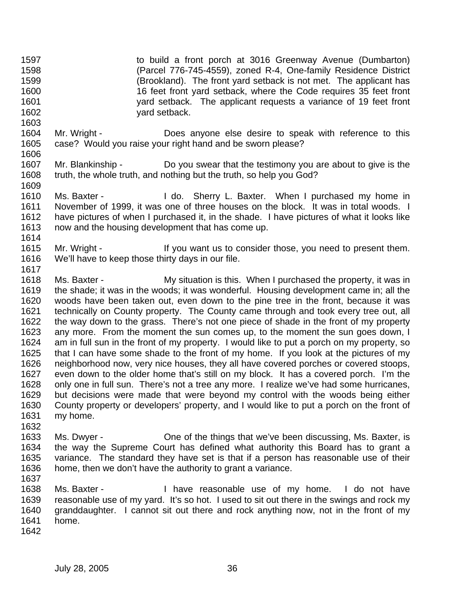1597 to build a front porch at 3016 Greenway Avenue (Dumbarton) 1598 (Parcel 776-745-4559), zoned R-4, One-family Residence District 1599 (Brookland). The front yard setback is not met. The applicant has 1600 16 feet front yard setback, where the Code requires 35 feet front 1601 yard setback. The applicant requests a variance of 19 feet front 1602 yard setback.

- 1604 Mr. Wright Does anyone else desire to speak with reference to this 1605 case? Would you raise your right hand and be sworn please? 1606
- 1607 Mr. Blankinship Do you swear that the testimony you are about to give is the 1608 truth, the whole truth, and nothing but the truth, so help you God?
- 1609<br>1610 Ms. Baxter - The Mo. Sherry L. Baxter. When I purchased my home in 1611 November of 1999, it was one of three houses on the block. It was in total woods. I 1612 have pictures of when I purchased it, in the shade. I have pictures of what it looks like 1613 now and the housing development that has come up. 1614
- 1615 Mr. Wright If you want us to consider those, you need to present them. 1616 We'll have to keep those thirty days in our file.
- 1618 Ms. Baxter My situation is this. When I purchased the property, it was in 1619 the shade; it was in the woods; it was wonderful. Housing development came in; all the 1620 woods have been taken out, even down to the pine tree in the front, because it was 1621 technically on County property. The County came through and took every tree out, all 1622 the way down to the grass. There's not one piece of shade in the front of my property 1623 any more. From the moment the sun comes up, to the moment the sun goes down, I 1624 am in full sun in the front of my property. I would like to put a porch on my property, so 1625 that I can have some shade to the front of my home. If you look at the pictures of my 1626 neighborhood now, very nice houses, they all have covered porches or covered stoops, 1627 even down to the older home that's still on my block. It has a covered porch. I'm the 1628 only one in full sun. There's not a tree any more. I realize we've had some hurricanes, 1629 but decisions were made that were beyond my control with the woods being either 1630 County property or developers' property, and I would like to put a porch on the front of 1631 my home.
- 1632 1633 Ms. Dwyer - One of the things that we've been discussing, Ms. Baxter, is 1634 the way the Supreme Court has defined what authority this Board has to grant a 1635 variance. The standard they have set is that if a person has reasonable use of their 1636 home, then we don't have the authority to grant a variance. 1637
- 1638 Ms. Baxter I have reasonable use of my home. I do not have 1639 reasonable use of my yard. It's so hot. I used to sit out there in the swings and rock my 1640 granddaughter. I cannot sit out there and rock anything now, not in the front of my 1641 home.
- 1642

1603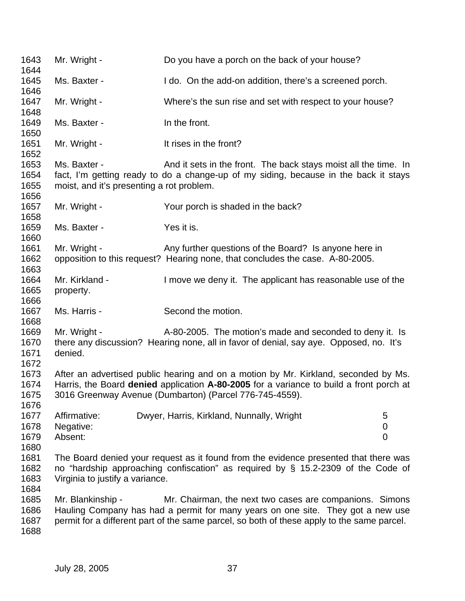| 1643<br>1644                 | Mr. Wright -                                              | Do you have a porch on the back of your house?                                                                                                                                                                                            |  |
|------------------------------|-----------------------------------------------------------|-------------------------------------------------------------------------------------------------------------------------------------------------------------------------------------------------------------------------------------------|--|
| 1645<br>1646                 | Ms. Baxter -                                              | I do. On the add-on addition, there's a screened porch.                                                                                                                                                                                   |  |
| 1647<br>1648                 | Mr. Wright -                                              | Where's the sun rise and set with respect to your house?                                                                                                                                                                                  |  |
| 1649<br>1650                 | Ms. Baxter -                                              | In the front.                                                                                                                                                                                                                             |  |
| 1651<br>1652                 | Mr. Wright -                                              | It rises in the front?                                                                                                                                                                                                                    |  |
| 1653<br>1654<br>1655<br>1656 | Ms. Baxter -<br>moist, and it's presenting a rot problem. | And it sets in the front. The back stays moist all the time. In<br>fact, I'm getting ready to do a change-up of my siding, because in the back it stays                                                                                   |  |
| 1657<br>1658                 | Mr. Wright -                                              | Your porch is shaded in the back?                                                                                                                                                                                                         |  |
| 1659<br>1660                 | Ms. Baxter -                                              | Yes it is.                                                                                                                                                                                                                                |  |
| 1661<br>1662<br>1663         | Mr. Wright -                                              | Any further questions of the Board? Is anyone here in<br>opposition to this request? Hearing none, that concludes the case. A-80-2005.                                                                                                    |  |
| 1664<br>1665<br>1666         | Mr. Kirkland -<br>property.                               | I move we deny it. The applicant has reasonable use of the                                                                                                                                                                                |  |
| 1667<br>1668                 | Ms. Harris -                                              | Second the motion.                                                                                                                                                                                                                        |  |
| 1669<br>1670<br>1671<br>1672 | Mr. Wright -<br>denied.                                   | A-80-2005. The motion's made and seconded to deny it. Is<br>there any discussion? Hearing none, all in favor of denial, say aye. Opposed, no. It's                                                                                        |  |
| 1673<br>1674<br>1675<br>1676 |                                                           | After an advertised public hearing and on a motion by Mr. Kirkland, seconded by Ms.<br>Harris, the Board denied application A-80-2005 for a variance to build a front porch at<br>3016 Greenway Avenue (Dumbarton) (Parcel 776-745-4559). |  |
| 1677<br>1678<br>1679<br>1680 | Affirmative:<br>Negative:<br>Absent:                      | Dwyer, Harris, Kirkland, Nunnally, Wright<br>5<br>$\pmb{0}$<br>$\overline{0}$                                                                                                                                                             |  |
| 1681<br>1682<br>1683<br>1684 | Virginia to justify a variance.                           | The Board denied your request as it found from the evidence presented that there was<br>no "hardship approaching confiscation" as required by $\S$ 15.2-2309 of the Code of                                                               |  |
| 1685<br>1686<br>1687<br>1688 | Mr. Blankinship -                                         | Mr. Chairman, the next two cases are companions. Simons<br>Hauling Company has had a permit for many years on one site. They got a new use<br>permit for a different part of the same parcel, so both of these apply to the same parcel.  |  |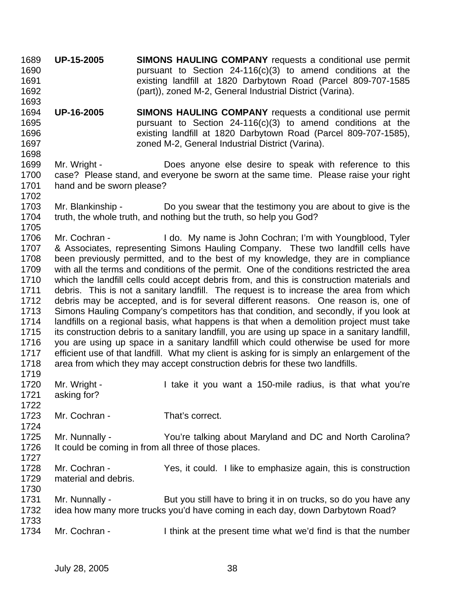1689 **UP-15-2005 SIMONS HAULING COMPANY** requests a conditional use permit 1690 pursuant to Section 24-116(c)(3) to amend conditions at the 1691 existing landfill at 1820 Darbytown Road (Parcel 809-707-1585 1692 (part)), zoned M-2, General Industrial District (Varina). 1693

1694 **UP-16-2005 SIMONS HAULING COMPANY** requests a conditional use permit 1695 pursuant to Section 24-116(c)(3) to amend conditions at the 1696 existing landfill at 1820 Darbytown Road (Parcel 809-707-1585), 1697 zoned M-2, General Industrial District (Varina). 1698

1699 Mr. Wright - Does anyone else desire to speak with reference to this 1700 case? Please stand, and everyone be sworn at the same time. Please raise your right 1701 hand and be sworn please?

1703 Mr. Blankinship - Do you swear that the testimony you are about to give is the 1704 truth, the whole truth, and nothing but the truth, so help you God? 1705

1706 Mr. Cochran - I do. My name is John Cochran; I'm with Youngblood, Tyler 1707 & Associates, representing Simons Hauling Company. These two landfill cells have 1708 been previously permitted, and to the best of my knowledge, they are in compliance 1709 with all the terms and conditions of the permit. One of the conditions restricted the area 1710 which the landfill cells could accept debris from, and this is construction materials and 1711 debris. This is not a sanitary landfill. The request is to increase the area from which 1712 debris may be accepted, and is for several different reasons. One reason is, one of 1713 Simons Hauling Company's competitors has that condition, and secondly, if you look at 1714 landfills on a regional basis, what happens is that when a demolition project must take 1715 its construction debris to a sanitary landfill, you are using up space in a sanitary landfill, 1716 you are using up space in a sanitary landfill which could otherwise be used for more 1717 efficient use of that landfill. What my client is asking for is simply an enlargement of the 1718 area from which they may accept construction debris for these two landfills. 1719

- 1720 Mr. Wright I take it you want a 150-mile radius, is that what you're 1721 asking for?
- 1723 Mr. Cochran That's correct.
- 1725 Mr. Nunnally You're talking about Maryland and DC and North Carolina? 1726 It could be coming in from all three of those places.
- 1727

1722

1724

- 1728 Mr. Cochran Yes, it could. I like to emphasize again, this is construction 1729 material and debris. 1730
	- 1731 Mr. Nunnally But you still have to bring it in on trucks, so do you have any 1732 idea how many more trucks you'd have coming in each day, down Darbytown Road? 1733
	- 1734 Mr. Cochran I think at the present time what we'd find is that the number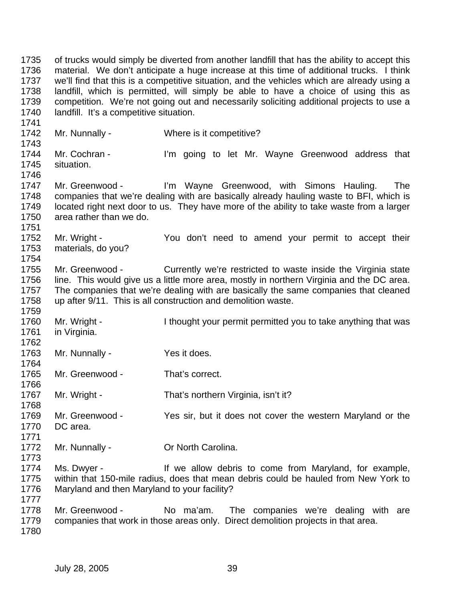1735 of trucks would simply be diverted from another landfill that has the ability to accept this 1736 material. We don't anticipate a huge increase at this time of additional trucks. I think 1737 we'll find that this is a competitive situation, and the vehicles which are already using a 1738 landfill, which is permitted, will simply be able to have a choice of using this as 1739 competition. We're not going out and necessarily soliciting additional projects to use a 1740 landfill. It's a competitive situation. 1741 1742 Mr. Nunnally - Where is it competitive? 1743 1744 Mr. Cochran - I'm going to let Mr. Wayne Greenwood address that 1745 situation. 1746 1747 Mr. Greenwood - I'm Wayne Greenwood, with Simons Hauling. The 1748 companies that we're dealing with are basically already hauling waste to BFI, which is 1749 located right next door to us. They have more of the ability to take waste from a larger 1750 area rather than we do. 1751 1752 Mr. Wright - You don't need to amend your permit to accept their 1753 materials, do you? 1754 1755 Mr. Greenwood - Currently we're restricted to waste inside the Virginia state 1756 line. This would give us a little more area, mostly in northern Virginia and the DC area. 1757 The companies that we're dealing with are basically the same companies that cleaned 1758 up after 9/11. This is all construction and demolition waste. 1759 1760 Mr. Wright - I thought your permit permitted you to take anything that was 1761 in Virginia. 1762 1763 Mr. Nunnally - Yes it does. 1764 1765 Mr. Greenwood - That's correct. 1766 1767 Mr. Wright - That's northern Virginia, isn't it? 1768 1769 Mr. Greenwood - Yes sir, but it does not cover the western Maryland or the 1770 DC area. 1771 1772 Mr. Nunnally - **Or North Carolina.** 1773 1774 Ms. Dwyer - If we allow debris to come from Maryland, for example, 1775 within that 150-mile radius, does that mean debris could be hauled from New York to 1776 Maryland and then Maryland to your facility? 1777 1778 Mr. Greenwood - No ma'am. The companies we're dealing with are 1779 companies that work in those areas only. Direct demolition projects in that area. 1780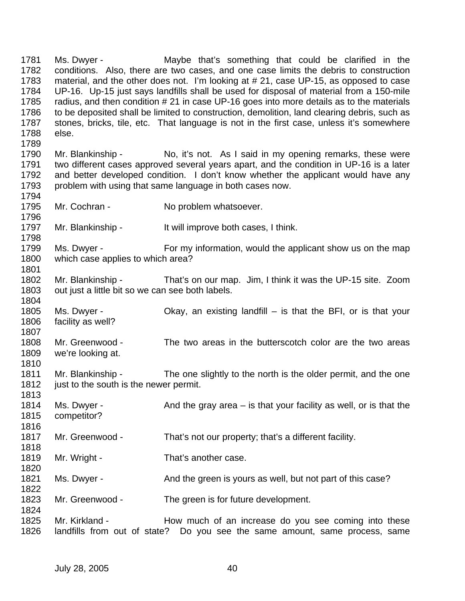1781 Ms. Dwyer - Maybe that's something that could be clarified in the 1782 conditions. Also, there are two cases, and one case limits the debris to construction 1783 material, and the other does not. I'm looking at # 21, case UP-15, as opposed to case 1784 UP-16. Up-15 just says landfills shall be used for disposal of material from a 150-mile 1785 radius, and then condition # 21 in case UP-16 goes into more details as to the materials 1786 to be deposited shall be limited to construction, demolition, land clearing debris, such as 1787 stones, bricks, tile, etc. That language is not in the first case, unless it's somewhere 1788 else. 1789 1790 Mr. Blankinship - No, it's not. As I said in my opening remarks, these were 1791 two different cases approved several years apart, and the condition in UP-16 is a later 1792 and better developed condition. I don't know whether the applicant would have any 1793 problem with using that same language in both cases now. 1794 1795 Mr. Cochran - No problem whatsoever. 1796 1797 Mr. Blankinship - It will improve both cases, I think. 1798 1799 Ms. Dwyer - For my information, would the applicant show us on the map 1800 which case applies to which area? 1801 1802 Mr. Blankinship - That's on our map. Jim, I think it was the UP-15 site. Zoom 1803 out just a little bit so we can see both labels. 1804 1805 Ms. Dwyer - Okay, an existing landfill – is that the BFI, or is that your 1806 facility as well? 1807 1808 Mr. Greenwood - The two areas in the butterscotch color are the two areas 1809 we're looking at. 1810 1811 Mr. Blankinship - The one slightly to the north is the older permit, and the one 1812 just to the south is the newer permit. 1813 1814 Ms. Dwyer - And the gray area – is that your facility as well, or is that the 1815 competitor? 1816 1817 Mr. Greenwood - That's not our property; that's a different facility. 1818 1819 Mr. Wright - That's another case. 1820 1821 Ms. Dwyer - And the green is yours as well, but not part of this case? 1822 1823 Mr. Greenwood - The green is for future development. 1824 1825 Mr. Kirkland - How much of an increase do you see coming into these 1826 landfills from out of state? Do you see the same amount, same process, same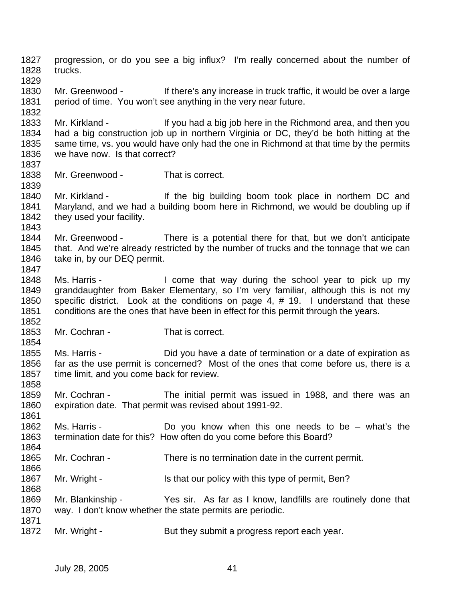1827 progression, or do you see a big influx? I'm really concerned about the number of 1828 trucks. 1829 1830 Mr. Greenwood - If there's any increase in truck traffic, it would be over a large 1831 period of time. You won't see anything in the very near future. 1832 1833 Mr. Kirkland - If you had a big job here in the Richmond area, and then you 1834 had a big construction job up in northern Virginia or DC, they'd be both hitting at the 1835 same time, vs. you would have only had the one in Richmond at that time by the permits 1836 we have now. Is that correct? 1837 1838 Mr. Greenwood - That is correct. 1839 1840 Mr. Kirkland - If the big building boom took place in northern DC and 1841 Maryland, and we had a building boom here in Richmond, we would be doubling up if 1842 they used your facility. 1843 1844 Mr. Greenwood - There is a potential there for that, but we don't anticipate 1845 that. And we're already restricted by the number of trucks and the tonnage that we can 1846 take in, by our DEQ permit. 1847 1848 Ms. Harris - I come that way during the school year to pick up my 1849 granddaughter from Baker Elementary, so I'm very familiar, although this is not my 1850 specific district. Look at the conditions on page 4, # 19. I understand that these 1851 conditions are the ones that have been in effect for this permit through the years. 1852 1853 Mr. Cochran - That is correct. 1854 1855 Ms. Harris - Did you have a date of termination or a date of expiration as 1856 far as the use permit is concerned? Most of the ones that come before us, there is a 1857 time limit, and you come back for review. 1858 1859 Mr. Cochran - The initial permit was issued in 1988, and there was an 1860 expiration date. That permit was revised about 1991-92. 1861 1862 Ms. Harris - Do you know when this one needs to be – what's the 1863 termination date for this? How often do you come before this Board? 1864 1865 Mr. Cochran - There is no termination date in the current permit. 1866 1867 Mr. Wright - Is that our policy with this type of permit, Ben? 1868 1869 Mr. Blankinship - Yes sir. As far as I know, landfills are routinely done that 1870 way. I don't know whether the state permits are periodic. 1871 1872 Mr. Wright - But they submit a progress report each year.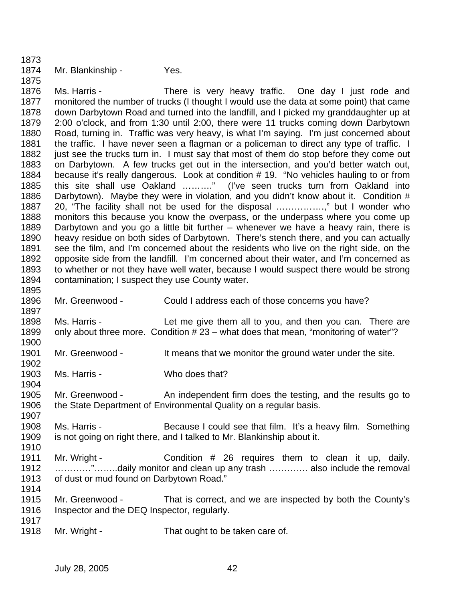1874 Mr. Blankinship - Yes. 1875 1876 Ms. Harris - There is very heavy traffic. One day I just rode and 1877 monitored the number of trucks (I thought I would use the data at some point) that came 1878 down Darbytown Road and turned into the landfill, and I picked my granddaughter up at 1879 2:00 o'clock, and from 1:30 until 2:00, there were 11 trucks coming down Darbytown 1880 Road, turning in. Traffic was very heavy, is what I'm saying. I'm just concerned about 1881 the traffic. I have never seen a flagman or a policeman to direct any type of traffic. I 1882 just see the trucks turn in. I must say that most of them do stop before they come out 1883 on Darbytown. A few trucks get out in the intersection, and you'd better watch out, 1884 because it's really dangerous. Look at condition # 19. "No vehicles hauling to or from 1885 this site shall use Oakland ………." (I've seen trucks turn from Oakland into 1886 Darbytown). Maybe they were in violation, and you didn't know about it. Condition # 1887 20, "The facility shall not be used for the disposal …………….," but I wonder who 1888 monitors this because you know the overpass, or the underpass where you come up 1889 Darbytown and you go a little bit further – whenever we have a heavy rain, there is 1890 heavy residue on both sides of Darbytown. There's stench there, and you can actually 1891 see the film, and I'm concerned about the residents who live on the right side, on the 1892 opposite side from the landfill. I'm concerned about their water, and I'm concerned as 1893 to whether or not they have well water, because I would suspect there would be strong 1894 contamination; I suspect they use County water. 1895 1896 Mr. Greenwood - Could I address each of those concerns you have? 1897 1898 Ms. Harris - Let me give them all to you, and then you can. There are 1899 only about three more. Condition # 23 – what does that mean, "monitoring of water"? 1900 1901 Mr. Greenwood - It means that we monitor the ground water under the site. 1902 1903 Ms. Harris - Who does that? 1904 1905 Mr. Greenwood - An independent firm does the testing, and the results go to 1906 the State Department of Environmental Quality on a regular basis. 1907 1908 Ms. Harris - Because I could see that film. It's a heavy film. Something 1909 is not going on right there, and I talked to Mr. Blankinship about it. 1910 1911 Mr. Wright - Condition # 26 requires them to clean it up, daily. 1912 …………"……..daily monitor and clean up any trash …………. also include the removal 1913 of dust or mud found on Darbytown Road." 1914 1915 Mr. Greenwood - That is correct, and we are inspected by both the County's 1916 Inspector and the DEQ Inspector, regularly. 1917

1918 Mr. Wright - That ought to be taken care of.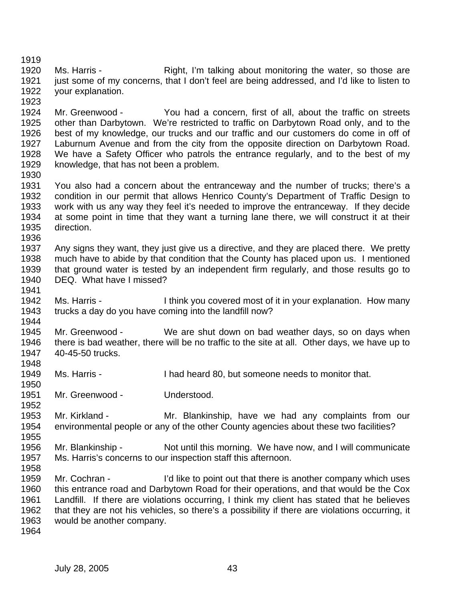1920 Ms. Harris - Right, I'm talking about monitoring the water, so those are 1921 just some of my concerns, that I don't feel are being addressed, and I'd like to listen to 1922 your explanation.

1924 Mr. Greenwood - You had a concern, first of all, about the traffic on streets 1925 other than Darbytown. We're restricted to traffic on Darbytown Road only, and to the 1926 best of my knowledge, our trucks and our traffic and our customers do come in off of 1927 Laburnum Avenue and from the city from the opposite direction on Darbytown Road. 1928 We have a Safety Officer who patrols the entrance regularly, and to the best of my 1929 knowledge, that has not been a problem.

1930

1941

1944

1952

1955

1919

1923

1931 You also had a concern about the entranceway and the number of trucks; there's a 1932 condition in our permit that allows Henrico County's Department of Traffic Design to 1933 work with us any way they feel it's needed to improve the entranceway. If they decide 1934 at some point in time that they want a turning lane there, we will construct it at their 1935 direction. 1936

1937 Any signs they want, they just give us a directive, and they are placed there. We pretty 1938 much have to abide by that condition that the County has placed upon us. I mentioned 1939 that ground water is tested by an independent firm regularly, and those results go to 1940 DEQ. What have I missed?

1942 Ms. Harris - I think you covered most of it in your explanation. How many 1943 trucks a day do you have coming into the landfill now?

1945 Mr. Greenwood - We are shut down on bad weather days, so on days when 1946 there is bad weather, there will be no traffic to the site at all. Other days, we have up to 1947 40-45-50 trucks. 1948

1949 Ms. Harris - I had heard 80, but someone needs to monitor that. 1950

1951 Mr. Greenwood - Understood.

1953 Mr. Kirkland - Mr. Blankinship, have we had any complaints from our 1954 environmental people or any of the other County agencies about these two facilities?

1956 Mr. Blankinship - Not until this morning. We have now, and I will communicate 1957 Ms. Harris's concerns to our inspection staff this afternoon. 1958

1959 Mr. Cochran - I'd like to point out that there is another company which uses 1960 this entrance road and Darbytown Road for their operations, and that would be the Cox 1961 Landfill. If there are violations occurring, I think my client has stated that he believes 1962 that they are not his vehicles, so there's a possibility if there are violations occurring, it 1963 would be another company.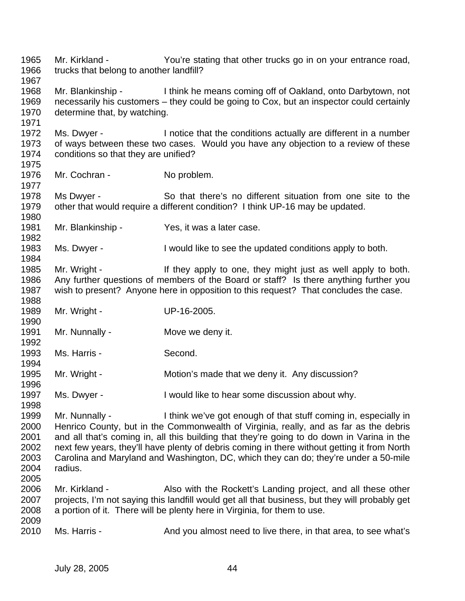1965 Mr. Kirkland - You're stating that other trucks go in on your entrance road, 1966 trucks that belong to another landfill? 1967 1968 Mr. Blankinship - I think he means coming off of Oakland, onto Darbytown, not 1969 necessarily his customers – they could be going to Cox, but an inspector could certainly 1970 determine that, by watching. 1971 1972 Ms. Dwyer - I notice that the conditions actually are different in a number 1973 of ways between these two cases. Would you have any objection to a review of these 1974 conditions so that they are unified? 1975 1976 Mr. Cochran - No problem. 1977 1978 Ms Dwyer - So that there's no different situation from one site to the 1979 other that would require a different condition? I think UP-16 may be updated. 1980 1981 Mr. Blankinship - Yes, it was a later case. 1982 1983 Ms. Dwyer - I would like to see the updated conditions apply to both. 1984 1985 Mr. Wright - If they apply to one, they might just as well apply to both. 1986 Any further questions of members of the Board or staff? Is there anything further you 1987 wish to present? Anyone here in opposition to this request? That concludes the case. 1988 1989 Mr. Wright - UP-16-2005. 1990 1991 Mr. Nunnally - Move we deny it. 1992 1993 Ms. Harris - Second. 1994 1995 Mr. Wright - Motion's made that we deny it. Any discussion? 1996 1997 Ms. Dwyer - I would like to hear some discussion about why. 1998 1999 Mr. Nunnally - I think we've got enough of that stuff coming in, especially in 2000 Henrico County, but in the Commonwealth of Virginia, really, and as far as the debris 2001 and all that's coming in, all this building that they're going to do down in Varina in the 2002 next few years, they'll have plenty of debris coming in there without getting it from North 2003 Carolina and Maryland and Washington, DC, which they can do; they're under a 50-mile 2004 radius. 2005 2006 Mr. Kirkland - Also with the Rockett's Landing project, and all these other 2007 projects, I'm not saying this landfill would get all that business, but they will probably get 2008 a portion of it. There will be plenty here in Virginia, for them to use. 2009 2010 Ms. Harris - And you almost need to live there, in that area, to see what's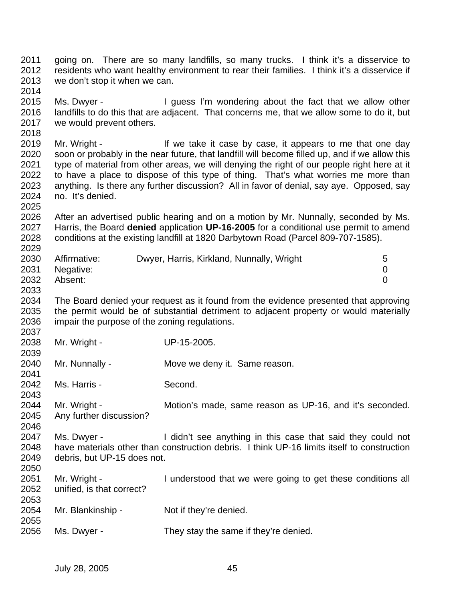- 2011 going on. There are so many landfills, so many trucks. I think it's a disservice to 2012 residents who want healthy environment to rear their families. I think it's a disservice if 2013 we don't stop it when we can.
- 2015 Ms. Dwyer I guess I'm wondering about the fact that we allow other 2016 landfills to do this that are adjacent. That concerns me, that we allow some to do it, but 2017 we would prevent others.
- 2019 Mr. Wright If we take it case by case, it appears to me that one day 2020 soon or probably in the near future, that landfill will become filled up, and if we allow this 2021 type of material from other areas, we will denying the right of our people right here at it 2022 to have a place to dispose of this type of thing. That's what worries me more than 2023 anything. Is there any further discussion? All in favor of denial, say aye. Opposed, say 2024 no. It's denied.
- 2026 After an advertised public hearing and on a motion by Mr. Nunnally, seconded by Ms. 2027 Harris, the Board **denied** application **UP-16-2005** for a conditional use permit to amend 2028 conditions at the existing landfill at 1820 Darbytown Road (Parcel 809-707-1585). 2029

| 2030 | Affirmative:   | Dwyer, Harris, Kirkland, Nunnally, Wright |  |
|------|----------------|-------------------------------------------|--|
|      | 2031 Negative: |                                           |  |
| 2032 | Absent:        |                                           |  |

- 2034 The Board denied your request as it found from the evidence presented that approving 2035 the permit would be of substantial detriment to adjacent property or would materially 2036 impair the purpose of the zoning regulations.
- 2037 2038 Mr. Wright - UP-15-2005.

2014

2018

2025

2033

2039

2041

- 2040 Mr. Nunnally Move we deny it. Same reason.
- 2042 Ms. Harris Second.
- 2044 Mr. Wright Motion's made, same reason as UP-16, and it's seconded. 2045 Any further discussion?
- 2046 2047 Ms. Dwyer - I didn't see anything in this case that said they could not 2048 have materials other than construction debris. I think UP-16 limits itself to construction 2049 debris, but UP-15 does not. 2050
- 2051 Mr. Wright I understood that we were going to get these conditions all 2052 unified, is that correct? 2053 2054 Mr. Blankinship - Not if they're denied. 2055
- 2056 Ms. Dwyer They stay the same if they're denied.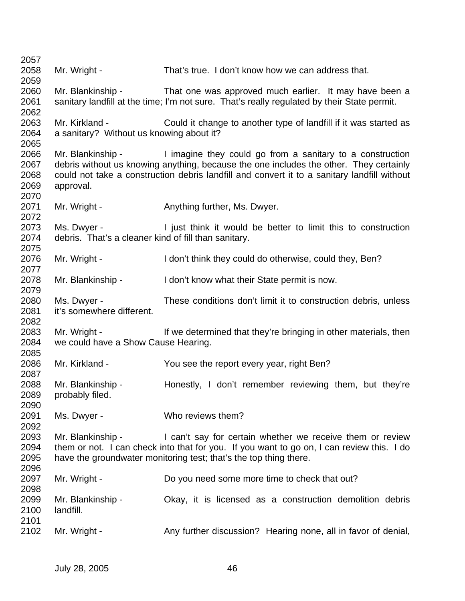| 2057 |                                                      |                                                                                             |
|------|------------------------------------------------------|---------------------------------------------------------------------------------------------|
| 2058 | Mr. Wright -                                         | That's true. I don't know how we can address that.                                          |
| 2059 |                                                      |                                                                                             |
| 2060 | Mr. Blankinship -                                    | That one was approved much earlier. It may have been a                                      |
| 2061 |                                                      | sanitary landfill at the time; I'm not sure. That's really regulated by their State permit. |
| 2062 |                                                      |                                                                                             |
| 2063 | Mr. Kirkland -                                       | Could it change to another type of landfill if it was started as                            |
| 2064 | a sanitary? Without us knowing about it?             |                                                                                             |
| 2065 |                                                      |                                                                                             |
| 2066 |                                                      | Mr. Blankinship - I imagine they could go from a sanitary to a construction                 |
| 2067 |                                                      | debris without us knowing anything, because the one includes the other. They certainly      |
| 2068 |                                                      | could not take a construction debris landfill and convert it to a sanitary landfill without |
| 2069 | approval.                                            |                                                                                             |
| 2070 |                                                      |                                                                                             |
| 2071 | Mr. Wright -                                         | Anything further, Ms. Dwyer.                                                                |
| 2072 |                                                      |                                                                                             |
| 2073 | Ms. Dwyer -                                          |                                                                                             |
|      |                                                      | I just think it would be better to limit this to construction                               |
| 2074 | debris. That's a cleaner kind of fill than sanitary. |                                                                                             |
| 2075 |                                                      |                                                                                             |
| 2076 | Mr. Wright -                                         | I don't think they could do otherwise, could they, Ben?                                     |
| 2077 |                                                      |                                                                                             |
| 2078 | Mr. Blankinship -                                    | I don't know what their State permit is now.                                                |
| 2079 |                                                      |                                                                                             |
| 2080 | Ms. Dwyer -                                          | These conditions don't limit it to construction debris, unless                              |
| 2081 | it's somewhere different.                            |                                                                                             |
| 2082 |                                                      |                                                                                             |
| 2083 | Mr. Wright -                                         | If we determined that they're bringing in other materials, then                             |
| 2084 | we could have a Show Cause Hearing.                  |                                                                                             |
| 2085 |                                                      |                                                                                             |
| 2086 | Mr. Kirkland -                                       | You see the report every year, right Ben?                                                   |
| 2087 |                                                      |                                                                                             |
| 2088 | Mr. Blankinship -                                    | Honestly, I don't remember reviewing them, but they're                                      |
| 2089 | probably filed.                                      |                                                                                             |
| 2090 |                                                      |                                                                                             |
| 2091 | Ms. Dwyer -                                          | Who reviews them?                                                                           |
| 2092 |                                                      |                                                                                             |
| 2093 | Mr. Blankinship -                                    | I can't say for certain whether we receive them or review                                   |
| 2094 |                                                      | them or not. I can check into that for you. If you want to go on, I can review this. I do   |
| 2095 |                                                      | have the groundwater monitoring test; that's the top thing there.                           |
| 2096 |                                                      |                                                                                             |
| 2097 | Mr. Wright -                                         | Do you need some more time to check that out?                                               |
| 2098 |                                                      |                                                                                             |
| 2099 | Mr. Blankinship -                                    | Okay, it is licensed as a construction demolition debris                                    |
| 2100 | landfill.                                            |                                                                                             |
| 2101 |                                                      |                                                                                             |
| 2102 | Mr. Wright -                                         | Any further discussion? Hearing none, all in favor of denial,                               |
|      |                                                      |                                                                                             |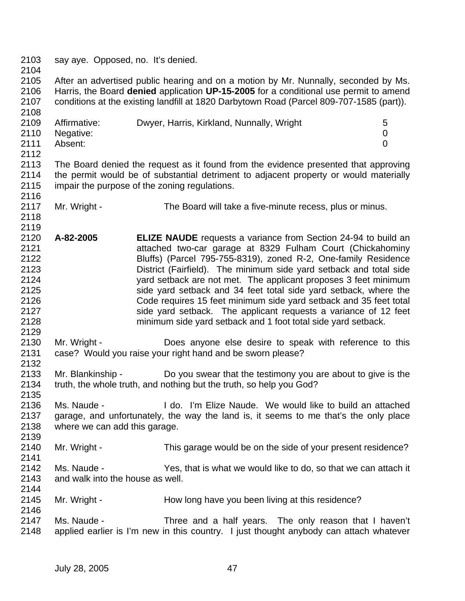2103 say aye. Opposed, no. It's denied. 2104 2105 After an advertised public hearing and on a motion by Mr. Nunnally, seconded by Ms. 2106 Harris, the Board **denied** application **UP-15-2005** for a conditional use permit to amend 2107 conditions at the existing landfill at 1820 Darbytown Road (Parcel 809-707-1585 (part)). 2108 2109 Affirmative: Dwyer, Harris, Kirkland, Nunnally, Wright 5 2110 Negative: 0 2111 Absent: 0 2112<br>2113 The Board denied the request as it found from the evidence presented that approving 2114 the permit would be of substantial detriment to adjacent property or would materially 2115 impair the purpose of the zoning regulations. 2116<br>2117 Mr. Wright - The Board will take a five-minute recess, plus or minus. 2118 2119 2120 **A-82-2005 ELIZE NAUDE** requests a variance from Section 24-94 to build an 2121 attached two-car garage at 8329 Fulham Court (Chickahominy 2122 Bluffs) (Parcel 795-755-8319), zoned R-2, One-family Residence 2123 District (Fairfield). The minimum side yard setback and total side 2124 yard setback are not met. The applicant proposes 3 feet minimum 2125 side yard setback and 34 feet total side yard setback, where the 2126 Code requires 15 feet minimum side yard setback and 35 feet total 2127 side yard setback. The applicant requests a variance of 12 feet 2128 minimum side yard setback and 1 foot total side yard setback. 2129 2130 Mr. Wright - Does anyone else desire to speak with reference to this 2131 case? Would you raise your right hand and be sworn please? 2132 2133 Mr. Blankinship - Do you swear that the testimony you are about to give is the 2134 truth, the whole truth, and nothing but the truth, so help you God? 2135 2136 Ms. Naude - I do. I'm Elize Naude. We would like to build an attached 2137 garage, and unfortunately, the way the land is, it seems to me that's the only place 2138 where we can add this garage. 2139 2140 Mr. Wright - This garage would be on the side of your present residence? 2141 2142 Ms. Naude - Yes, that is what we would like to do, so that we can attach it 2143 and walk into the house as well. 2144 2145 Mr. Wright - How long have you been living at this residence? 2146 2147 Ms. Naude - Three and a half years. The only reason that I haven't 2148 applied earlier is I'm new in this country. I just thought anybody can attach whatever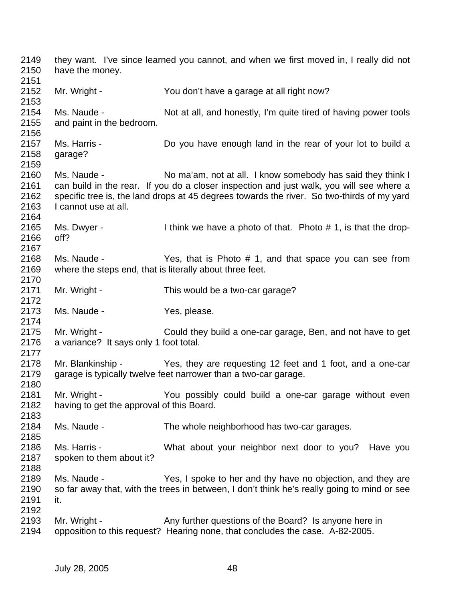2149 they want. I've since learned you cannot, and when we first moved in, I really did not 2150 have the money. 2151 2152 Mr. Wright - You don't have a garage at all right now? 2153 2154 Ms. Naude - Not at all, and honestly, I'm quite tired of having power tools 2155 and paint in the bedroom. 2156 2157 Ms. Harris - Do you have enough land in the rear of your lot to build a 2158 garage? 2159 2160 Ms. Naude - No ma'am, not at all. I know somebody has said they think I 2161 can build in the rear. If you do a closer inspection and just walk, you will see where a 2162 specific tree is, the land drops at 45 degrees towards the river. So two-thirds of my yard 2163 I cannot use at all. 2164 2165 Ms. Dwyer - I think we have a photo of that. Photo # 1, is that the drop-2166 off? 2167 2168 Ms. Naude - Yes, that is Photo # 1, and that space you can see from 2169 where the steps end, that is literally about three feet. 2170 2171 Mr. Wright - This would be a two-car garage? 2172<br>2173 Ms. Naude - Yes, please. 2174 2175 Mr. Wright - Could they build a one-car garage, Ben, and not have to get 2176 a variance? It says only 1 foot total. 2177 2178 Mr. Blankinship - Yes, they are requesting 12 feet and 1 foot, and a one-car 2179 garage is typically twelve feet narrower than a two-car garage. 2180 2181 Mr. Wright - You possibly could build a one-car garage without even 2182 having to get the approval of this Board. 2183<br>2184 Ms. Naude - The whole neighborhood has two-car garages. 2185 2186 Ms. Harris - What about your neighbor next door to you? Have you 2187 spoken to them about it? 2188 2189 Ms. Naude - Yes, I spoke to her and thy have no objection, and they are 2190 so far away that, with the trees in between, I don't think he's really going to mind or see 2191 it. 2192 2193 Mr. Wright - Any further questions of the Board? Is anyone here in 2194 opposition to this request? Hearing none, that concludes the case. A-82-2005.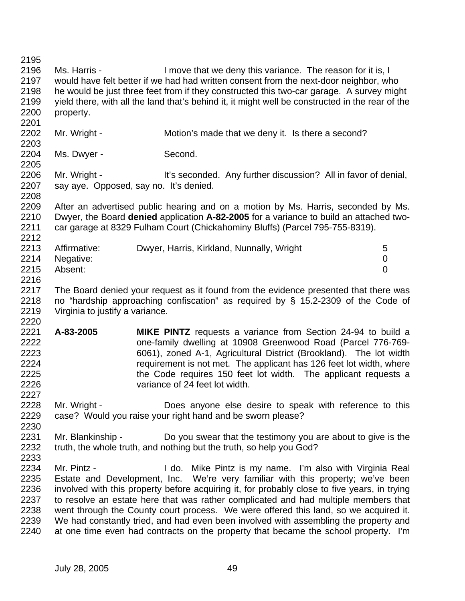2195 2196 Ms. Harris - I move that we deny this variance. The reason for it is, I 2197 would have felt better if we had had written consent from the next-door neighbor, who 2198 he would be just three feet from if they constructed this two-car garage. A survey might 2199 yield there, with all the land that's behind it, it might well be constructed in the rear of the 2200 property. 2201 2202 Mr. Wright - Motion's made that we deny it. Is there a second? 2203 2204 Ms. Dwyer - Second. 2205 2206 Mr. Wright - It's seconded. Any further discussion? All in favor of denial, 2207 say aye. Opposed, say no. It's denied. 2208 2209 After an advertised public hearing and on a motion by Ms. Harris, seconded by Ms. 2210 Dwyer, the Board **denied** application **A-82-2005** for a variance to build an attached two-2211 car garage at 8329 Fulham Court (Chickahominy Bluffs) (Parcel 795-755-8319). 2212 2213 Affirmative: Dwyer, Harris, Kirkland, Nunnally, Wright 5<br>2214 Negative: 0 2214 Negative: 0 2215 Absent: 0 2216 2217 The Board denied your request as it found from the evidence presented that there was 2218 no "hardship approaching confiscation" as required by § 15.2-2309 of the Code of 2219 Virginia to justify a variance. 2220 2221 **A-83-2005 MIKE PINTZ** requests a variance from Section 24-94 to build a 2222 one-family dwelling at 10908 Greenwood Road (Parcel 776-769- 2223 6061), zoned A-1, Agricultural District (Brookland). The lot width 2224 requirement is not met. The applicant has 126 feet lot width, where 2225 the Code requires 150 feet lot width. The applicant requests a 2226 variance of 24 feet lot width. 2227 2228 Mr. Wright - Does anyone else desire to speak with reference to this 2229 case? Would you raise your right hand and be sworn please? 2230 2231 Mr. Blankinship - Do you swear that the testimony you are about to give is the 2232 truth, the whole truth, and nothing but the truth, so help you God? 2233 2234 Mr. Pintz - I do. Mike Pintz is my name. I'm also with Virginia Real 2235 Estate and Development, Inc. We're very familiar with this property; we've been 2236 involved with this property before acquiring it, for probably close to five years, in trying 2237 to resolve an estate here that was rather complicated and had multiple members that 2238 went through the County court process. We were offered this land, so we acquired it. 2239 We had constantly tried, and had even been involved with assembling the property and 2240 at one time even had contracts on the property that became the school property. I'm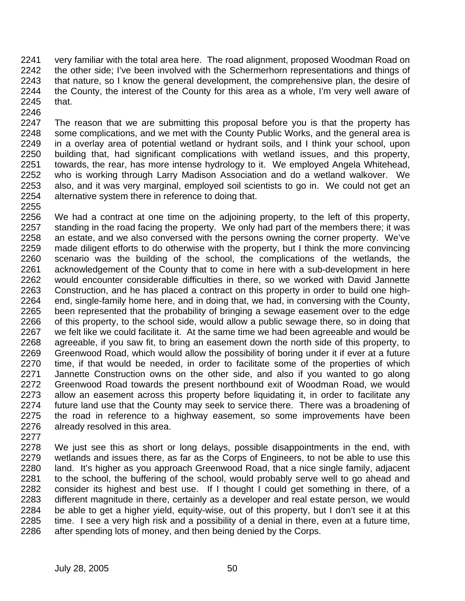2241 very familiar with the total area here. The road alignment, proposed Woodman Road on 2242 the other side; I've been involved with the Schermerhorn representations and things of 2243 that nature, so I know the general development, the comprehensive plan, the desire of 2244 the County, the interest of the County for this area as a whole, I'm very well aware of 2245 that.

2247 The reason that we are submitting this proposal before you is that the property has 2248 some complications, and we met with the County Public Works, and the general area is 2249 in a overlay area of potential wetland or hydrant soils, and I think your school, upon 2250 building that, had significant complications with wetland issues, and this property, 2251 towards, the rear, has more intense hydrology to it. We employed Angela Whitehead, 2252 who is working through Larry Madison Association and do a wetland walkover. We 2253 also, and it was very marginal, employed soil scientists to go in. We could not get an 2254 alternative system there in reference to doing that.

2255

2246

2256 We had a contract at one time on the adjoining property, to the left of this property, 2257 standing in the road facing the property. We only had part of the members there; it was 2258 an estate, and we also conversed with the persons owning the corner property. We've 2259 made diligent efforts to do otherwise with the property, but I think the more convincing 2260 scenario was the building of the school, the complications of the wetlands, the 2261 acknowledgement of the County that to come in here with a sub-development in here 2262 would encounter considerable difficulties in there, so we worked with David Jannette 2263 Construction, and he has placed a contract on this property in order to build one high-2264 end, single-family home here, and in doing that, we had, in conversing with the County, 2265 been represented that the probability of bringing a sewage easement over to the edge 2266 of this property, to the school side, would allow a public sewage there, so in doing that 2267 we felt like we could facilitate it. At the same time we had been agreeable and would be 2268 agreeable, if you saw fit, to bring an easement down the north side of this property, to 2269 Greenwood Road, which would allow the possibility of boring under it if ever at a future 2270 time, if that would be needed, in order to facilitate some of the properties of which 2271 Jannette Construction owns on the other side, and also if you wanted to go along 2272 Greenwood Road towards the present northbound exit of Woodman Road, we would 2273 allow an easement across this property before liquidating it, in order to facilitate any 2274 future land use that the County may seek to service there. There was a broadening of 2275 the road in reference to a highway easement, so some improvements have been 2276 already resolved in this area.

2277

2278 We just see this as short or long delays, possible disappointments in the end, with 2279 wetlands and issues there, as far as the Corps of Engineers, to not be able to use this 2280 land. It's higher as you approach Greenwood Road, that a nice single family, adjacent 2281 to the school, the buffering of the school, would probably serve well to go ahead and 2282 consider its highest and best use. If I thought I could get something in there, of a 2283 different magnitude in there, certainly as a developer and real estate person, we would 2284 be able to get a higher yield, equity-wise, out of this property, but I don't see it at this 2285 time. I see a very high risk and a possibility of a denial in there, even at a future time, 2286 after spending lots of money, and then being denied by the Corps.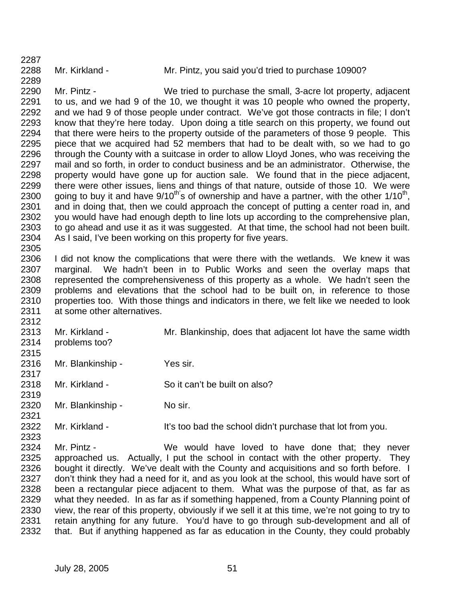2287

2289

2288 Mr. Kirkland - Mr. Pintz, you said you'd tried to purchase 10900?

2290 Mr. Pintz - We tried to purchase the small, 3-acre lot property, adjacent 2291 to us, and we had 9 of the 10, we thought it was 10 people who owned the property, 2292 and we had 9 of those people under contract. We've got those contracts in file; I don't 2293 know that they're here today. Upon doing a title search on this property, we found out 2294 that there were heirs to the property outside of the parameters of those 9 people. This 2295 piece that we acquired had 52 members that had to be dealt with, so we had to go 2296 through the County with a suitcase in order to allow Lloyd Jones, who was receiving the 2297 mail and so forth, in order to conduct business and be an administrator. Otherwise, the 2298 property would have gone up for auction sale. We found that in the piece adjacent, 2299 there were other issues, liens and things of that nature, outside of those 10. We were 2300 going to buy it and have  $9/10^{th}$ 's of ownership and have a partner, with the other  $1/10^{th}$ , 2301 and in doing that, then we could approach the concept of putting a center road in, and 2302 you would have had enough depth to line lots up according to the comprehensive plan, 2303 to go ahead and use it as it was suggested. At that time, the school had not been built. 2304 As I said, I've been working on this property for five years. 2305

2306 I did not know the complications that were there with the wetlands. We knew it was 2307 marginal. We hadn't been in to Public Works and seen the overlay maps that 2308 represented the comprehensiveness of this property as a whole. We hadn't seen the 2309 problems and elevations that the school had to be built on, in reference to those 2310 properties too. With those things and indicators in there, we felt like we needed to look 2311 at some other alternatives.

2313 Mr. Kirkland - Mr. Blankinship, does that adjacent lot have the same width 2314 problems too?

2315

2312

2317

2319

2323

2316 Mr. Blankinship - Yes sir.

2318 Mr. Kirkland - So it can't be built on also?

2320 Mr. Blankinship - No sir. 2321

2322 Mr. Kirkland - It's too bad the school didn't purchase that lot from you.

2324 Mr. Pintz - We would have loved to have done that; they never 2325 approached us. Actually, I put the school in contact with the other property. They 2326 bought it directly. We've dealt with the County and acquisitions and so forth before. I 2327 don't think they had a need for it, and as you look at the school, this would have sort of 2328 been a rectangular piece adjacent to them. What was the purpose of that, as far as 2329 what they needed. In as far as if something happened, from a County Planning point of 2330 view, the rear of this property, obviously if we sell it at this time, we're not going to try to 2331 retain anything for any future. You'd have to go through sub-development and all of 2332 that. But if anything happened as far as education in the County, they could probably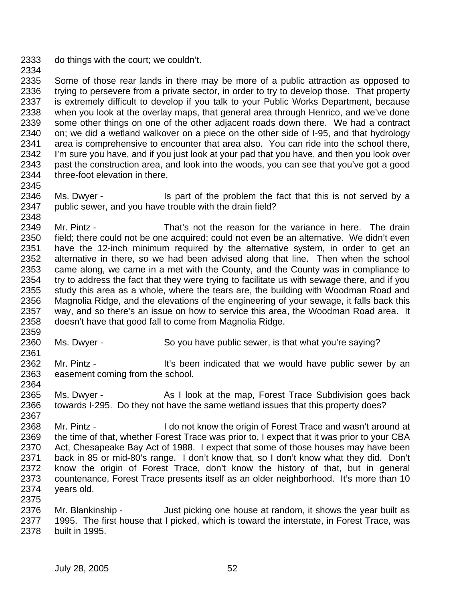- 2333 do things with the court; we couldn't.
- 2334

2335 Some of those rear lands in there may be more of a public attraction as opposed to 2336 trying to persevere from a private sector, in order to try to develop those. That property 2337 is extremely difficult to develop if you talk to your Public Works Department, because 2338 when you look at the overlay maps, that general area through Henrico, and we've done 2339 some other things on one of the other adjacent roads down there. We had a contract 2340 on; we did a wetland walkover on a piece on the other side of I-95, and that hydrology 2341 area is comprehensive to encounter that area also. You can ride into the school there, 2342 I'm sure you have, and if you just look at your pad that you have, and then you look over<br>2343 past the construction area, and look into the woods, you can see that you've got a good past the construction area, and look into the woods, you can see that you've got a good 2344 three-foot elevation in there. 2345

2346 Ms. Dwyer - Is part of the problem the fact that this is not served by a 2347 public sewer, and you have trouble with the drain field? 2348

2349 Mr. Pintz - That's not the reason for the variance in here. The drain 2350 field; there could not be one acquired; could not even be an alternative. We didn't even 2351 have the 12-inch minimum required by the alternative system, in order to get an 2352 alternative in there, so we had been advised along that line. Then when the school 2353 came along, we came in a met with the County, and the County was in compliance to 2354 try to address the fact that they were trying to facilitate us with sewage there, and if you 2355 study this area as a whole, where the tears are, the building with Woodman Road and 2356 Magnolia Ridge, and the elevations of the engineering of your sewage, it falls back this 2357 way, and so there's an issue on how to service this area. It way, and so there's an issue on how to service this area, the Woodman Road area. It 2358 doesn't have that good fall to come from Magnolia Ridge.

2359

2361

- 2360 Ms. Dwyer So you have public sewer, is that what you're saying?
- 2362 Mr. Pintz It's been indicated that we would have public sewer by an 2363 easement coming from the school.
- 2364

2375

2365 Ms. Dwyer - As I look at the map, Forest Trace Subdivision goes back 2366 towards I-295. Do they not have the same wetland issues that this property does? 2367

- 2368 Mr. Pintz I do not know the origin of Forest Trace and wasn't around at 2369 the time of that, whether Forest Trace was prior to, I expect that it was prior to your CBA 2370 Act, Chesapeake Bay Act of 1988. I expect that some of those houses may have been 2371 back in 85 or mid-80's range. I don't know that, so I don't know what they did. Don't 2372 know the origin of Forest Trace, don't know the history of that, but in general 2373 countenance, Forest Trace presents itself as an older neighborhood. It's more than 10 2374 years old.
- 2376 Mr. Blankinship Just picking one house at random, it shows the year built as 2377 1995. The first house that I picked, which is toward the interstate, in Forest Trace, was 2378 built in 1995.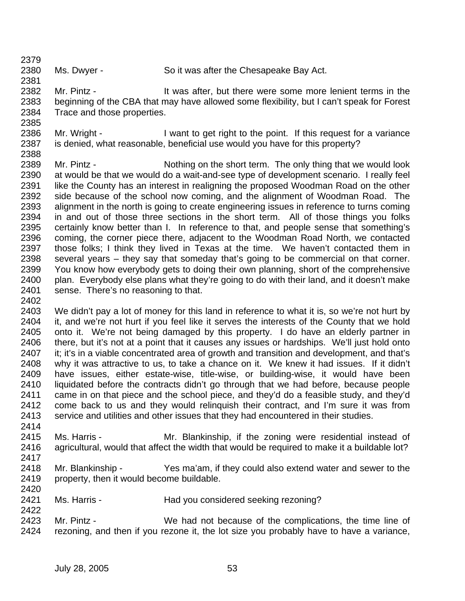2379

2381

2380 Ms. Dwyer - So it was after the Chesapeake Bay Act.

2382 Mr. Pintz - It was after, but there were some more lenient terms in the 2383 beginning of the CBA that may have allowed some flexibility, but I can't speak for Forest 2384 Trace and those properties. 2385

2386 Mr. Wright - I want to get right to the point. If this request for a variance 2387 is denied, what reasonable, beneficial use would you have for this property? 2388

2389 Mr. Pintz - Nothing on the short term. The only thing that we would look 2390 at would be that we would do a wait-and-see type of development scenario. I really feel 2391 like the County has an interest in realigning the proposed Woodman Road on the other 2392 side because of the school now coming, and the alignment of Woodman Road. The 2393 alignment in the north is going to create engineering issues in reference to turns coming 2394 in and out of those three sections in the short term. All of those things you folks 2395 certainly know better than I. In reference to that, and people sense that something's 2396 coming, the corner piece there, adjacent to the Woodman Road North, we contacted 2397 those folks; I think they lived in Texas at the time. We haven't contacted them in 2398 several years – they say that someday that's going to be commercial on that corner. 2399 You know how everybody gets to doing their own planning, short of the comprehensive 2400 plan. Everybody else plans what they're going to do with their land, and it doesn't make 2401 sense. There's no reasoning to that.

- 2402 2403 We didn't pay a lot of money for this land in reference to what it is, so we're not hurt by 2404 it, and we're not hurt if you feel like it serves the interests of the County that we hold 2405 onto it. We're not being damaged by this property. I do have an elderly partner in 2406 there, but it's not at a point that it causes any issues or hardships. We'll just hold onto 2407 it; it's in a viable concentrated area of growth and transition and development, and that's 2408 why it was attractive to us, to take a chance on it. We knew it had issues. If it didn't 2409 have issues, either estate-wise, title-wise, or building-wise, it would have been 2410 liquidated before the contracts didn't go through that we had before, because people 2411 came in on that piece and the school piece, and they'd do a feasible study, and they'd 2412 come back to us and they would relinquish their contract, and I'm sure it was from 2413 service and utilities and other issues that they had encountered in their studies.
- 2414 2415 Ms. Harris - Mr. Blankinship, if the zoning were residential instead of 2416 agricultural, would that affect the width that would be required to make it a buildable lot?
- 2417

- 2418 Mr. Blankinship Yes ma'am, if they could also extend water and sewer to the 2419 property, then it would become buildable. 2420
- 2421 Ms. Harris Had you considered seeking rezoning?
- 2423 Mr. Pintz We had not because of the complications, the time line of 2424 rezoning, and then if you rezone it, the lot size you probably have to have a variance,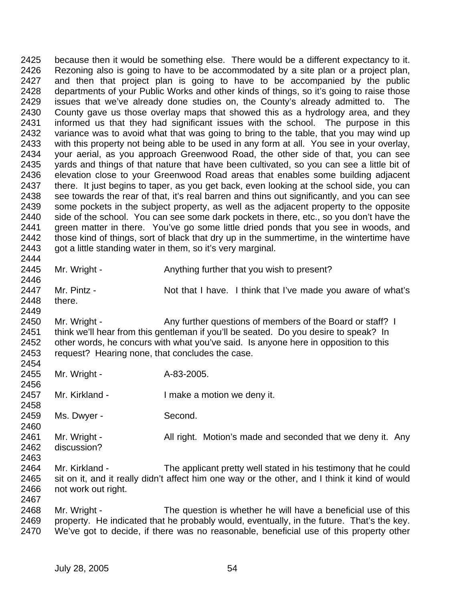2425 because then it would be something else. There would be a different expectancy to it. 2426 Rezoning also is going to have to be accommodated by a site plan or a project plan, 2427 and then that project plan is going to have to be accompanied by the public 2428 departments of your Public Works and other kinds of things, so it's going to raise those 2429 issues that we've already done studies on, the County's already admitted to. The 2430 County gave us those overlay maps that showed this as a hydrology area, and they 2431 informed us that they had significant issues with the school. The purpose in this 2432 variance was to avoid what that was going to bring to the table, that you may wind up 2433 with this property not being able to be used in any form at all. You see in your overlay, 2434 your aerial, as you approach Greenwood Road, the other side of that, you can see 2435 yards and things of that nature that have been cultivated, so you can see a little bit of 2436 elevation close to your Greenwood Road areas that enables some building adjacent 2437 there. It just begins to taper, as you get back, even looking at the school side, you can 2438 see towards the rear of that, it's real barren and thins out significantly, and you can see 2439 some pockets in the subject property, as well as the adjacent property to the opposite 2440 side of the school. You can see some dark pockets in there, etc., so you don't have the 2441 green matter in there. You've go some little dried ponds that you see in woods, and 2442 those kind of things, sort of black that dry up in the summertime, in the wintertime have 2443 got a little standing water in them, so it's very marginal. 2444 2445 Mr. Wright - Anything further that you wish to present? 2446 2447 Mr. Pintz - Not that I have. I think that I've made you aware of what's 2448 there. 2449 2450 Mr. Wright - Any further questions of members of the Board or staff? I 2451 think we'll hear from this gentleman if you'll be seated. Do you desire to speak? In 2452 other words, he concurs with what you've said. Is anyone here in opposition to this 2453 request? Hearing none, that concludes the case. 2454 2455 Mr. Wright - A-83-2005. 2456 2457 Mr. Kirkland - I make a motion we deny it. 2458 2459 Ms. Dwyer - Second. 2460 2461 Mr. Wright - All right. Motion's made and seconded that we deny it. Any 2462 discussion? 2463 2464 Mr. Kirkland - The applicant pretty well stated in his testimony that he could 2465 sit on it, and it really didn't affect him one way or the other, and I think it kind of would 2466 not work out right. 2467 2468 Mr. Wright - The question is whether he will have a beneficial use of this 2469 property. He indicated that he probably would, eventually, in the future. That's the key. 2470 We've got to decide, if there was no reasonable, beneficial use of this property other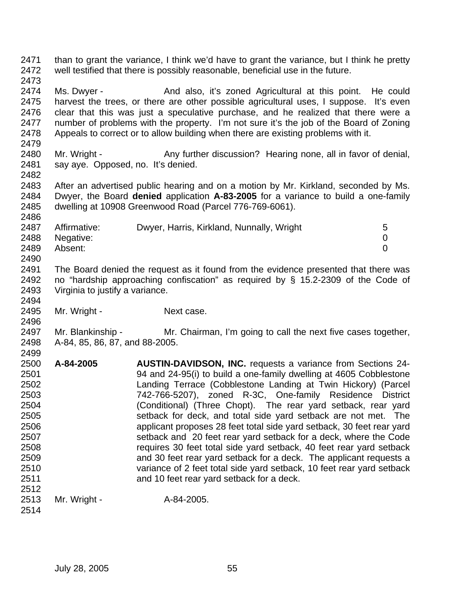2471 than to grant the variance, I think we'd have to grant the variance, but I think he pretty 2472 well testified that there is possibly reasonable, beneficial use in the future. 2473

2474 Ms. Dwyer - And also, it's zoned Agricultural at this point. He could 2475 harvest the trees, or there are other possible agricultural uses, I suppose. It's even 2476 clear that this was just a speculative purchase, and he realized that there were a 2477 number of problems with the property. I'm not sure it's the job of the Board of Zoning 2478 Appeals to correct or to allow building when there are existing problems with it.

2480 Mr. Wright - Any further discussion? Hearing none, all in favor of denial, 2481 say aye. Opposed, no. It's denied.

2482

2486

2494

2496

2479

2483 After an advertised public hearing and on a motion by Mr. Kirkland, seconded by Ms. 2484 Dwyer, the Board **denied** application **A-83-2005** for a variance to build a one-family 2485 dwelling at 10908 Greenwood Road (Parcel 776-769-6061).

| 2487 | Affirmative: | Dwyer, Harris, Kirkland, Nunnally, Wright | 5 |
|------|--------------|-------------------------------------------|---|
| 2488 | Negative:    |                                           |   |
| 2489 | Absent:      |                                           |   |
| 2490 |              |                                           |   |

2491 The Board denied the request as it found from the evidence presented that there was 2492 no "hardship approaching confiscation" as required by § 15.2-2309 of the Code of 2493 Virginia to justify a variance.

2495 Mr. Wright - Next case.

2497 Mr. Blankinship - Mr. Chairman, I'm going to call the next five cases together, 2498 A-84, 85, 86, 87, and 88-2005. 2499

2500 **A-84-2005 AUSTIN-DAVIDSON, INC.** requests a variance from Sections 24- 2501 94 and 24-95(i) to build a one-family dwelling at 4605 Cobblestone 2502 Landing Terrace (Cobblestone Landing at Twin Hickory) (Parcel 2503 742-766-5207), zoned R-3C, One-family Residence District 2504 (Conditional) (Three Chopt). The rear yard setback, rear yard 2505 setback for deck, and total side yard setback are not met. The 2506 applicant proposes 28 feet total side yard setback, 30 feet rear yard 2507 setback and 20 feet rear yard setback for a deck, where the Code 2508 requires 30 feet total side yard setback, 40 feet rear yard setback 2509 and 30 feet rear yard setback for a deck. The applicant requests a 2510 variance of 2 feet total side yard setback, 10 feet rear yard setback 2511 and 10 feet rear yard setback for a deck. 2512

2513 Mr. Wright - A-84-2005.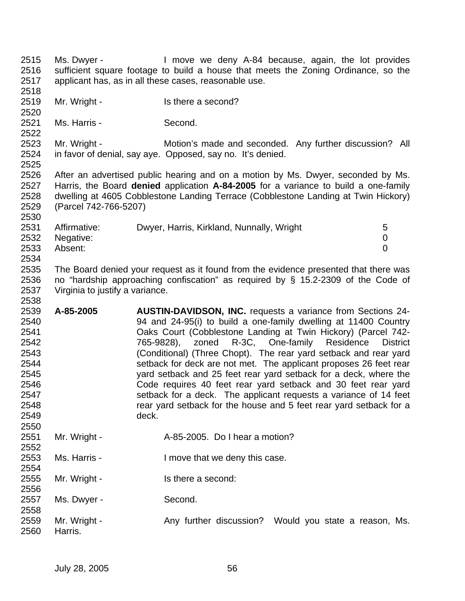2515 Ms. Dwyer - I move we deny A-84 because, again, the lot provides 2516 sufficient square footage to build a house that meets the Zoning Ordinance, so the 2517 applicant has, as in all these cases, reasonable use. 2518

- 2519 Mr. Wright Is there a second?
- 2521 Ms. Harris Second.

2520

2522

2530

2556

2558

2523 Mr. Wright - Motion's made and seconded. Any further discussion? All 2524 in favor of denial, say aye. Opposed, say no. It's denied. 2525

2526 After an advertised public hearing and on a motion by Ms. Dwyer, seconded by Ms. 2527 Harris, the Board **denied** application **A-84-2005** for a variance to build a one-family 2528 dwelling at 4605 Cobblestone Landing Terrace (Cobblestone Landing at Twin Hickory) 2529 (Parcel 742-766-5207)

| 2531 | Affirmative:   | Dwyer, Harris, Kirkland, Nunnally, Wright | 5 |
|------|----------------|-------------------------------------------|---|
|      | 2532 Negative: |                                           |   |
| 2533 | Absent:        |                                           |   |
| 2534 |                |                                           |   |

2535 The Board denied your request as it found from the evidence presented that there was 2536 no "hardship approaching confiscation" as required by § 15.2-2309 of the Code of 2537 Virginia to justify a variance. 2538

- 2539 **A-85-2005 AUSTIN-DAVIDSON, INC.** requests a variance from Sections 24- 2540 94 and 24-95(i) to build a one-family dwelling at 11400 Country 2541 Oaks Court (Cobblestone Landing at Twin Hickory) (Parcel 742- 2542 765-9828), zoned R-3C, One-family Residence District 2543 (Conditional) (Three Chopt). The rear yard setback and rear yard 2544 setback for deck are not met. The applicant proposes 26 feet rear 2545 yard setback and 25 feet rear yard setback for a deck, where the 2546 Code requires 40 feet rear yard setback and 30 feet rear yard 2547 setback for a deck. The applicant requests a variance of 14 feet 2548 rear yard setback for the house and 5 feet rear yard setback for a 2549 deck. 2550
- 2551 Mr. Wright A-85-2005. Do I hear a motion? 2552
- 2553 Ms. Harris I move that we deny this case. 2554
- 2555 Mr. Wright Is there a second:
- 2557 Ms. Dwyer Second.
- 2559 Mr. Wright Any further discussion? Would you state a reason, Ms. 2560 Harris.
	- July 28, 2005 56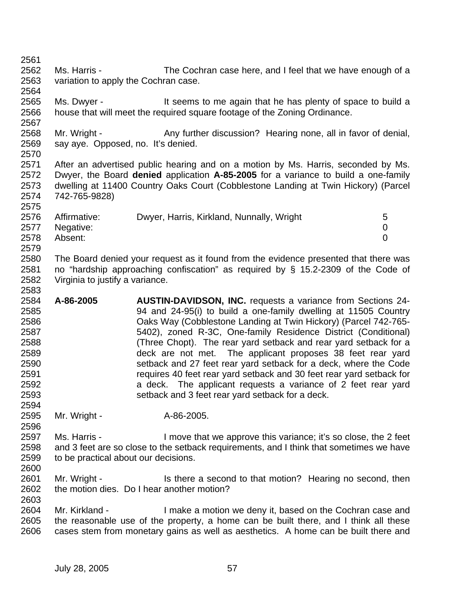2561

2564

2570

2575

2583

2594

2596

- 2562 Ms. Harris The Cochran case here, and I feel that we have enough of a 2563 variation to apply the Cochran case.
- 2565 Ms. Dwyer It seems to me again that he has plenty of space to build a 2566 house that will meet the required square footage of the Zoning Ordinance. 2567
- 2568 Mr. Wright Any further discussion? Hearing none, all in favor of denial, 2569 say aye. Opposed, no. It's denied.
- 2571 After an advertised public hearing and on a motion by Ms. Harris, seconded by Ms. 2572 Dwyer, the Board **denied** application **A-85-2005** for a variance to build a one-family 2573 dwelling at 11400 Country Oaks Court (Cobblestone Landing at Twin Hickory) (Parcel 2574 742-765-9828)

| 2576 | Affirmative:   | Dwyer, Harris, Kirkland, Nunnally, Wright | 5 |
|------|----------------|-------------------------------------------|---|
|      | 2577 Negative: |                                           |   |
| 2578 | Absent:        |                                           |   |
| 2579 |                |                                           |   |

- 2580 The Board denied your request as it found from the evidence presented that there was 2581 no "hardship approaching confiscation" as required by § 15.2-2309 of the Code of 2582 Virginia to justify a variance.
- 2584 **A-86-2005 AUSTIN-DAVIDSON, INC.** requests a variance from Sections 24- 2585 94 and 24-95(i) to build a one-family dwelling at 11505 Country 2586 Oaks Way (Cobblestone Landing at Twin Hickory) (Parcel 742-765- 2587 5402), zoned R-3C, One-family Residence District (Conditional) 2588 (Three Chopt). The rear yard setback and rear yard setback for a 2589 deck are not met. The applicant proposes 38 feet rear yard 2590 setback and 27 feet rear yard setback for a deck, where the Code 2591 requires 40 feet rear yard setback and 30 feet rear yard setback for 2592 a deck. The applicant requests a variance of 2 feet rear yard 2593 setback and 3 feet rear yard setback for a deck.
- 2595 Mr. Wright A-86-2005.
- 2597 Ms. Harris I move that we approve this variance; it's so close, the 2 feet 2598 and 3 feet are so close to the setback requirements, and I think that sometimes we have 2599 to be practical about our decisions. 2600
- 2601 Mr. Wright Is there a second to that motion? Hearing no second, then 2602 the motion dies. Do I hear another motion?
- 2604 Mr. Kirkland I make a motion we deny it, based on the Cochran case and 2605 the reasonable use of the property, a home can be built there, and I think all these 2606 cases stem from monetary gains as well as aesthetics. A home can be built there and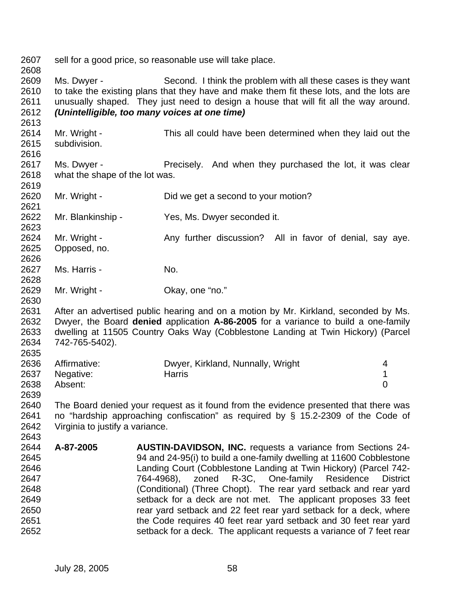2607 sell for a good price, so reasonable use will take place. 2608 2609 Ms. Dwyer - Second. I think the problem with all these cases is they want 2610 to take the existing plans that they have and make them fit these lots, and the lots are 2611 unusually shaped. They just need to design a house that will fit all the way around. 2612 *(Unintelligible, too many voices at one time)*  2613 2614 Mr. Wright - This all could have been determined when they laid out the 2615 subdivision. 2616 2617 Ms. Dwyer - Precisely. And when they purchased the lot, it was clear 2618 what the shape of the lot was. 2619 2620 Mr. Wright - Did we get a second to your motion? 2621 2622 Mr. Blankinship - Yes, Ms. Dwyer seconded it. 2623 2624 Mr. Wright - Any further discussion? All in favor of denial, say aye. 2625 Opposed, no. 2626 2627 Ms. Harris - No. 2628 2629 Mr. Wright - Chay, one "no." 2630 2631 After an advertised public hearing and on a motion by Mr. Kirkland, seconded by Ms. 2632 Dwyer, the Board **denied** application **A-86-2005** for a variance to build a one-family 2633 dwelling at 11505 Country Oaks Way (Cobblestone Landing at Twin Hickory) (Parcel 2634 742-765-5402). 2635 2636 Affirmative: Dwyer, Kirkland, Nunnally, Wright 4 2637 Negative: Harris 1 2638 Absent: 0 2639 2640 The Board denied your request as it found from the evidence presented that there was 2641 no "hardship approaching confiscation" as required by § 15.2-2309 of the Code of 2642 Virginia to justify a variance. 2643 2644 **A-87-2005 AUSTIN-DAVIDSON, INC.** requests a variance from Sections 24- 2645 94 and 24-95(i) to build a one-family dwelling at 11600 Cobblestone 2646 Landing Court (Cobblestone Landing at Twin Hickory) (Parcel 742- 2647 764-4968), zoned R-3C, One-family Residence District 2648 (Conditional) (Three Chopt). The rear yard setback and rear yard 2649 setback for a deck are not met. The applicant proposes 33 feet 2650 rear yard setback and 22 feet rear yard setback for a deck, where 2651 the Code requires 40 feet rear yard setback and 30 feet rear yard 2652 setback for a deck. The applicant requests a variance of 7 feet rear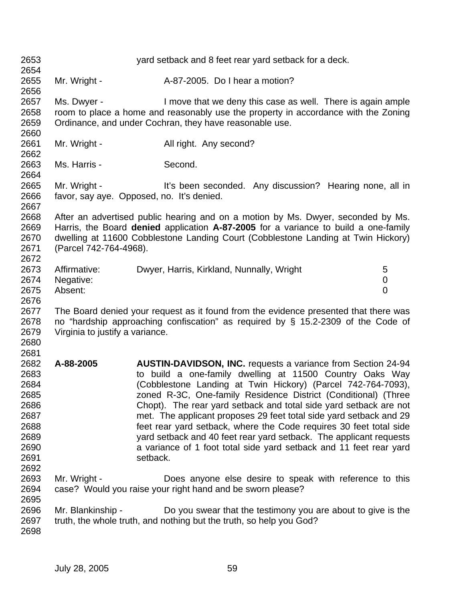| 2653<br>2654                                                                         |                                                                                                                                                                                                                |                        | yard setback and 8 feet rear yard setback for a deck.                                                                                                                                                                                                                                                                                                                                                                                                                                                                                                                                                                          |                                    |
|--------------------------------------------------------------------------------------|----------------------------------------------------------------------------------------------------------------------------------------------------------------------------------------------------------------|------------------------|--------------------------------------------------------------------------------------------------------------------------------------------------------------------------------------------------------------------------------------------------------------------------------------------------------------------------------------------------------------------------------------------------------------------------------------------------------------------------------------------------------------------------------------------------------------------------------------------------------------------------------|------------------------------------|
| 2655<br>2656                                                                         | Mr. Wright -                                                                                                                                                                                                   |                        | A-87-2005. Do I hear a motion?                                                                                                                                                                                                                                                                                                                                                                                                                                                                                                                                                                                                 |                                    |
| 2657<br>2658<br>2659<br>2660                                                         | Ms. Dwyer -                                                                                                                                                                                                    |                        | I move that we deny this case as well. There is again ample<br>room to place a home and reasonably use the property in accordance with the Zoning<br>Ordinance, and under Cochran, they have reasonable use.                                                                                                                                                                                                                                                                                                                                                                                                                   |                                    |
| 2661<br>2662                                                                         | Mr. Wright -                                                                                                                                                                                                   | All right. Any second? |                                                                                                                                                                                                                                                                                                                                                                                                                                                                                                                                                                                                                                |                                    |
| 2663<br>2664                                                                         | Ms. Harris -                                                                                                                                                                                                   | Second.                |                                                                                                                                                                                                                                                                                                                                                                                                                                                                                                                                                                                                                                |                                    |
| 2665<br>2666<br>2667                                                                 | Mr. Wright -<br>favor, say aye. Opposed, no. It's denied.                                                                                                                                                      |                        | It's been seconded. Any discussion? Hearing none, all in                                                                                                                                                                                                                                                                                                                                                                                                                                                                                                                                                                       |                                    |
| 2668<br>2669<br>2670<br>2671<br>2672                                                 | (Parcel 742-764-4968).                                                                                                                                                                                         |                        | After an advertised public hearing and on a motion by Ms. Dwyer, seconded by Ms.<br>Harris, the Board denied application A-87-2005 for a variance to build a one-family<br>dwelling at 11600 Cobblestone Landing Court (Cobblestone Landing at Twin Hickory)                                                                                                                                                                                                                                                                                                                                                                   |                                    |
| 2673<br>2674<br>2675<br>2676                                                         | Affirmative:<br>Negative:<br>Absent:                                                                                                                                                                           |                        | Dwyer, Harris, Kirkland, Nunnally, Wright                                                                                                                                                                                                                                                                                                                                                                                                                                                                                                                                                                                      | 5<br>$\mathbf 0$<br>$\overline{0}$ |
| 2677<br>2678<br>2679<br>2680<br>2681                                                 | The Board denied your request as it found from the evidence presented that there was<br>no "hardship approaching confiscation" as required by $\S$ 15.2-2309 of the Code of<br>Virginia to justify a variance. |                        |                                                                                                                                                                                                                                                                                                                                                                                                                                                                                                                                                                                                                                |                                    |
| 2682<br>2683<br>2684<br>2685<br>2686<br>2687<br>2688<br>2689<br>2690<br>2691<br>2692 | A-88-2005                                                                                                                                                                                                      | setback.               | <b>AUSTIN-DAVIDSON, INC.</b> requests a variance from Section 24-94<br>to build a one-family dwelling at 11500 Country Oaks Way<br>(Cobblestone Landing at Twin Hickory) (Parcel 742-764-7093),<br>zoned R-3C, One-family Residence District (Conditional) (Three<br>Chopt). The rear yard setback and total side yard setback are not<br>met. The applicant proposes 29 feet total side yard setback and 29<br>feet rear yard setback, where the Code requires 30 feet total side<br>yard setback and 40 feet rear yard setback. The applicant requests<br>a variance of 1 foot total side yard setback and 11 feet rear yard |                                    |
| 2693<br>2694                                                                         | Mr. Wright -                                                                                                                                                                                                   |                        | Does anyone else desire to speak with reference to this<br>case? Would you raise your right hand and be sworn please?                                                                                                                                                                                                                                                                                                                                                                                                                                                                                                          |                                    |
| 2695<br>2696<br>2697<br>2698                                                         | Mr. Blankinship -                                                                                                                                                                                              |                        | Do you swear that the testimony you are about to give is the<br>truth, the whole truth, and nothing but the truth, so help you God?                                                                                                                                                                                                                                                                                                                                                                                                                                                                                            |                                    |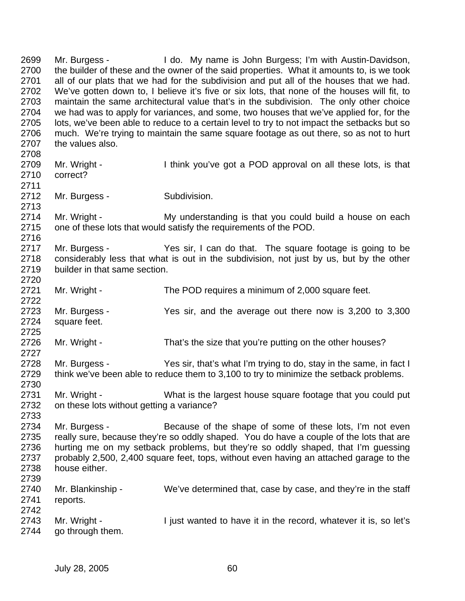2699 Mr. Burgess - I do. My name is John Burgess; I'm with Austin-Davidson, 2700 the builder of these and the owner of the said properties. What it amounts to, is we took 2701 all of our plats that we had for the subdivision and put all of the houses that we had. 2702 We've gotten down to, I believe it's five or six lots, that none of the houses will fit, to 2703 maintain the same architectural value that's in the subdivision. The only other choice 2704 we had was to apply for variances, and some, two houses that we've applied for, for the 2705 lots, we've been able to reduce to a certain level to try to not impact the setbacks but so 2706 much. We're trying to maintain the same square footage as out there, so as not to hurt 2707 the values also. 2708 2709 Mr. Wright - I think you've got a POD approval on all these lots, is that 2710 correct? 2711 2712 Mr. Burgess - Subdivision. 2713 2714 Mr. Wright - My understanding is that you could build a house on each 2715 one of these lots that would satisfy the requirements of the POD. 2716 2717 Mr. Burgess - Yes sir, I can do that. The square footage is going to be 2718 considerably less that what is out in the subdivision, not just by us, but by the other 2719 builder in that same section. 2720 2721 Mr. Wright - The POD requires a minimum of 2,000 square feet. 2722 2723 Mr. Burgess - Yes sir, and the average out there now is 3,200 to 3,300 2724 square feet. 2725 2726 Mr. Wright - That's the size that you're putting on the other houses? 2727 2728 Mr. Burgess - Yes sir, that's what I'm trying to do, stay in the same, in fact I 2729 think we've been able to reduce them to 3,100 to try to minimize the setback problems. 2730 2731 Mr. Wright - What is the largest house square footage that you could put 2732 on these lots without getting a variance? 2733 2734 Mr. Burgess - Because of the shape of some of these lots, I'm not even 2735 really sure, because they're so oddly shaped. You do have a couple of the lots that are 2736 hurting me on my setback problems, but they're so oddly shaped, that I'm guessing 2737 probably 2,500, 2,400 square feet, tops, without even having an attached garage to the 2738 house either. 2739 2740 Mr. Blankinship - We've determined that, case by case, and they're in the staff 2741 reports. 2742 2743 Mr. Wright - I just wanted to have it in the record, whatever it is, so let's 2744 go through them.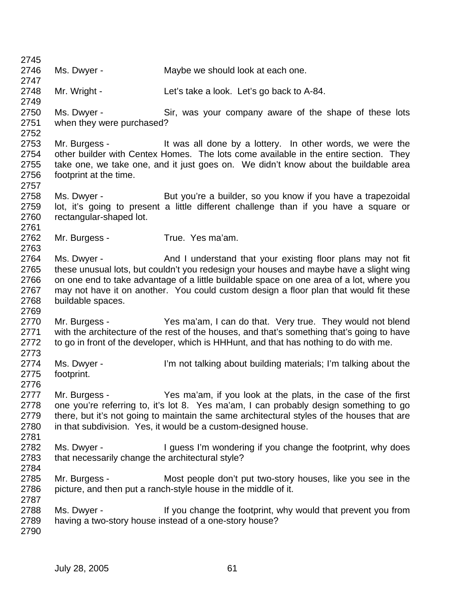2745 2746 Ms. Dwyer - Maybe we should look at each one. 2747 2748 Mr. Wright - Let's take a look. Let's go back to A-84. 2749 2750 Ms. Dwyer - Sir, was your company aware of the shape of these lots 2751 when they were purchased? 2752 2753 Mr. Burgess - It was all done by a lottery. In other words, we were the 2754 other builder with Centex Homes. The lots come available in the entire section. They 2755 take one, we take one, and it just goes on. We didn't know about the buildable area 2756 footprint at the time. 2757 2758 Ms. Dwyer - But you're a builder, so you know if you have a trapezoidal 2759 lot, it's going to present a little different challenge than if you have a square or 2760 rectangular-shaped lot. 2761 2762 Mr. Burgess - True. Yes ma'am. 2763 2764 Ms. Dwyer - And I understand that your existing floor plans may not fit 2765 these unusual lots, but couldn't you redesign your houses and maybe have a slight wing 2766 on one end to take advantage of a little buildable space on one area of a lot, where you 2767 may not have it on another. You could custom design a floor plan that would fit these 2768 buildable spaces. 2769 2770 Mr. Burgess - Yes ma'am, I can do that. Very true. They would not blend 2771 with the architecture of the rest of the houses, and that's something that's going to have 2772 to go in front of the developer, which is HHHunt, and that has nothing to do with me. 2773 2774 Ms. Dwyer - I'm not talking about building materials; I'm talking about the 2775 footprint. 2776 2777 Mr. Burgess - Yes ma'am, if you look at the plats, in the case of the first 2778 one you're referring to, it's lot 8. Yes ma'am, I can probably design something to go 2779 there, but it's not going to maintain the same architectural styles of the houses that are 2780 in that subdivision. Yes, it would be a custom-designed house. 2781 2782 Ms. Dwyer - I guess I'm wondering if you change the footprint, why does 2783 that necessarily change the architectural style? 2784 2785 Mr. Burgess - Most people don't put two-story houses, like you see in the 2786 picture, and then put a ranch-style house in the middle of it. 2787 2788 Ms. Dwyer - If you change the footprint, why would that prevent you from 2789 having a two-story house instead of a one-story house? 2790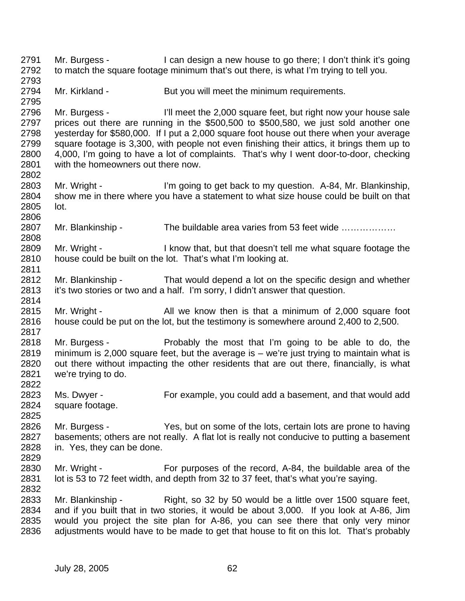2791 Mr. Burgess - I can design a new house to go there; I don't think it's going 2792 to match the square footage minimum that's out there, is what I'm trying to tell you. 2793 2794 Mr. Kirkland - But you will meet the minimum requirements. 2795 2796 Mr. Burgess - I'll meet the 2,000 square feet, but right now your house sale 2797 prices out there are running in the \$500,500 to \$500,580, we just sold another one 2798 yesterday for \$580,000. If I put a 2,000 square foot house out there when your average 2799 square footage is 3,300, with people not even finishing their attics, it brings them up to 2800 4,000, I'm going to have a lot of complaints. That's why I went door-to-door, checking 2801 with the homeowners out there now. 2802 2803 Mr. Wright - I'm going to get back to my question. A-84, Mr. Blankinship, 2804 show me in there where you have a statement to what size house could be built on that 2805 lot. 2806 2807 Mr. Blankinship - The buildable area varies from 53 feet wide .............. 2808 2809 Mr. Wright - I know that, but that doesn't tell me what square footage the 2810 house could be built on the lot. That's what I'm looking at. 2811 2812 Mr. Blankinship - That would depend a lot on the specific design and whether 2813 it's two stories or two and a half. I'm sorry, I didn't answer that question. 2814 2815 Mr. Wright - All we know then is that a minimum of 2,000 square foot 2816 house could be put on the lot, but the testimony is somewhere around 2,400 to 2,500. 2817 2818 Mr. Burgess - Probably the most that I'm going to be able to do, the 2819 minimum is 2,000 square feet, but the average is – we're just trying to maintain what is 2820 out there without impacting the other residents that are out there, financially, is what 2821 we're trying to do. 2822 2823 Ms. Dwyer - For example, you could add a basement, and that would add 2824 square footage. 2825 2826 Mr. Burgess - Yes, but on some of the lots, certain lots are prone to having 2827 basements; others are not really. A flat lot is really not conducive to putting a basement 2828 in. Yes, they can be done. 2829 2830 Mr. Wright - For purposes of the record, A-84, the buildable area of the 2831 lot is 53 to 72 feet width, and depth from 32 to 37 feet, that's what you're saying. 2832 2833 Mr. Blankinship - Right, so 32 by 50 would be a little over 1500 square feet, 2834 and if you built that in two stories, it would be about 3,000. If you look at A-86, Jim 2835 would you project the site plan for A-86, you can see there that only very minor 2836 adjustments would have to be made to get that house to fit on this lot. That's probably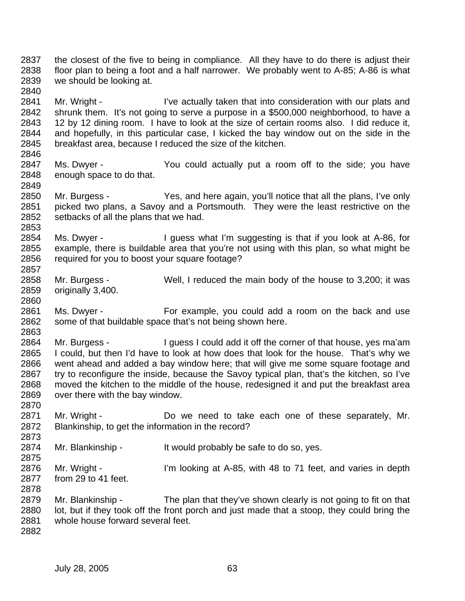2837 the closest of the five to being in compliance. All they have to do there is adjust their 2838 floor plan to being a foot and a half narrower. We probably went to A-85; A-86 is what 2839 we should be looking at.

2841 Mr. Wright - I've actually taken that into consideration with our plats and 2842 shrunk them. It's not going to serve a purpose in a \$500,000 neighborhood, to have a 2843 12 by 12 dining room. I have to look at the size of certain rooms also. I did reduce it, 2844 and hopefully, in this particular case, I kicked the bay window out on the side in the 2845 breakfast area, because I reduced the size of the kitchen.

- 2847 Ms. Dwyer You could actually put a room off to the side; you have 2848 enough space to do that.
- 2850 Mr. Burgess Yes, and here again, you'll notice that all the plans, I've only 2851 picked two plans, a Savoy and a Portsmouth. They were the least restrictive on the 2852 setbacks of all the plans that we had.
- 2854 Ms. Dwyer I guess what I'm suggesting is that if you look at A-86, for 2855 example, there is buildable area that you're not using with this plan, so what might be 2856 required for you to boost your square footage?
- 2858 Mr. Burgess Well, I reduced the main body of the house to 3,200; it was 2859 originally 3,400.
- 2861 Ms. Dwyer For example, you could add a room on the back and use 2862 some of that buildable space that's not being shown here. 2863
- 2864 Mr. Burgess I guess I could add it off the corner of that house, yes ma'am 2865 I could, but then I'd have to look at how does that look for the house. That's why we 2866 went ahead and added a bay window here; that will give me some square footage and 2867 try to reconfigure the inside, because the Savoy typical plan, that's the kitchen, so I've 2868 moved the kitchen to the middle of the house, redesigned it and put the breakfast area 2869 over there with the bay window.
- 2871 Mr. Wright Do we need to take each one of these separately, Mr. 2872 Blankinship, to get the information in the record?
- 2874 Mr. Blankinship It would probably be safe to do so, yes.
- 2876 Mr. Wright I'm looking at A-85, with 48 to 71 feet, and varies in depth 2877 from 29 to 41 feet. 2878
- 2879 Mr. Blankinship The plan that they've shown clearly is not going to fit on that 2880 lot, but if they took off the front porch and just made that a stoop, they could bring the 2881 whole house forward several feet.
- 2882

2840

2846

2849

2853

2857

2860

2870

2873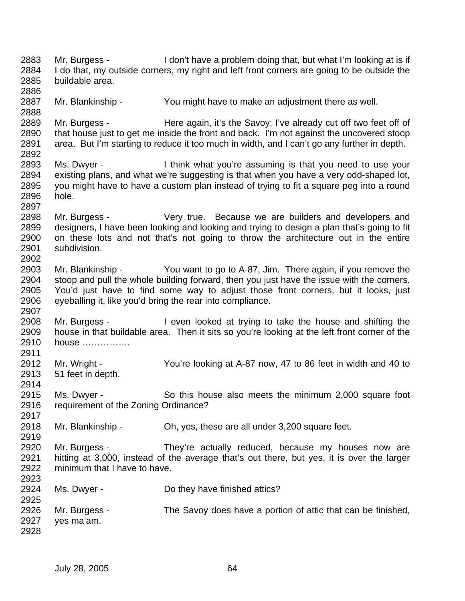2883 Mr. Burgess - I don't have a problem doing that, but what I'm looking at is if 2884 I do that, my outside corners, my right and left front corners are going to be outside the 2885 buildable area. 2886 2887 Mr. Blankinship - You might have to make an adjustment there as well. 2888 2889 Mr. Burgess - Here again, it's the Savoy; I've already cut off two feet off of 2890 that house just to get me inside the front and back. I'm not against the uncovered stoop 2891 area. But I'm starting to reduce it too much in width, and I can't go any further in depth. 2892 2893 Ms. Dwyer - I think what you're assuming is that you need to use your 2894 existing plans, and what we're suggesting is that when you have a very odd-shaped lot, 2895 you might have to have a custom plan instead of trying to fit a square peg into a round 2896 hole. 2897 2898 Mr. Burgess - Very true. Because we are builders and developers and 2899 designers, I have been looking and looking and trying to design a plan that's going to fit 2900 on these lots and not that's not going to throw the architecture out in the entire 2901 subdivision. 2902 2903 Mr. Blankinship - You want to go to A-87, Jim. There again, if you remove the 2904 stoop and pull the whole building forward, then you just have the issue with the corners. 2905 You'd just have to find some way to adjust those front corners, but it looks, just 2906 eyeballing it, like you'd bring the rear into compliance. 2907 2908 Mr. Burgess - I even looked at trying to take the house and shifting the 2909 house in that buildable area. Then it sits so you're looking at the left front corner of the 2910 house ……………. 2911 2912 Mr. Wright - You're looking at A-87 now, 47 to 86 feet in width and 40 to 2913 51 feet in depth. 2914 2915 Ms. Dwyer - So this house also meets the minimum 2,000 square foot 2916 requirement of the Zoning Ordinance? 2917 2918 Mr. Blankinship - Oh, yes, these are all under 3,200 square feet. 2919 2920 Mr. Burgess - They're actually reduced, because my houses now are 2921 hitting at 3,000, instead of the average that's out there, but yes, it is over the larger 2922 minimum that I have to have. 2923 2924 Ms. Dwyer - Do they have finished attics? 2925 2926 Mr. Burgess - The Savoy does have a portion of attic that can be finished, 2927 yes ma'am. 2928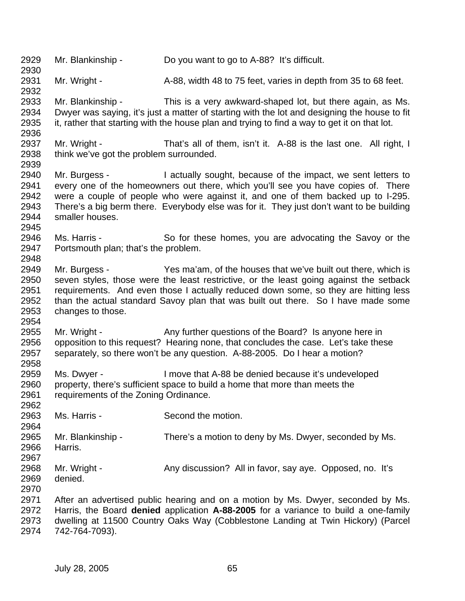2929 Mr. Blankinship - Do you want to go to A-88? It's difficult. 2930 2931 Mr. Wright - A-88, width 48 to 75 feet, varies in depth from 35 to 68 feet. 2932 2933 Mr. Blankinship - This is a very awkward-shaped lot, but there again, as Ms. 2934 Dwyer was saying, it's just a matter of starting with the lot and designing the house to fit 2935 it, rather that starting with the house plan and trying to find a way to get it on that lot. 2936 2937 Mr. Wright - That's all of them, isn't it. A-88 is the last one. All right, I 2938 think we've got the problem surrounded. 2939 2940 Mr. Burgess - I actually sought, because of the impact, we sent letters to 2941 every one of the homeowners out there, which you'll see you have copies of. There 2942 were a couple of people who were against it, and one of them backed up to I-295. 2943 There's a big berm there. Everybody else was for it. They just don't want to be building 2944 smaller houses. 2945 2946 Ms. Harris - So for these homes, you are advocating the Savoy or the 2947 Portsmouth plan; that's the problem. 2948 2949 Mr. Burgess - Yes ma'am, of the houses that we've built out there, which is 2950 seven styles, those were the least restrictive, or the least going against the setback 2951 requirements. And even those I actually reduced down some, so they are hitting less 2952 than the actual standard Savoy plan that was built out there. So I have made some 2953 changes to those. changes to those. 2954 2955 Mr. Wright - Any further questions of the Board? Is anyone here in 2956 opposition to this request? Hearing none, that concludes the case. Let's take these 2957 separately, so there won't be any question. A-88-2005. Do I hear a motion? 2958 2959 Ms. Dwyer - I move that A-88 be denied because it's undeveloped 2960 property, there's sufficient space to build a home that more than meets the 2961 requirements of the Zoning Ordinance. 2962 2963 Ms. Harris - Second the motion. 2964 2965 Mr. Blankinship - There's a motion to deny by Ms. Dwyer, seconded by Ms. 2966 Harris. 2967 2968 Mr. Wright - Any discussion? All in favor, say aye. Opposed, no. It's 2969 denied. 2970 2971 After an advertised public hearing and on a motion by Ms. Dwyer, seconded by Ms. 2972 Harris, the Board **denied** application **A-88-2005** for a variance to build a one-family 2973 dwelling at 11500 Country Oaks Way (Cobblestone Landing at Twin Hickory) (Parcel 2974 742-764-7093).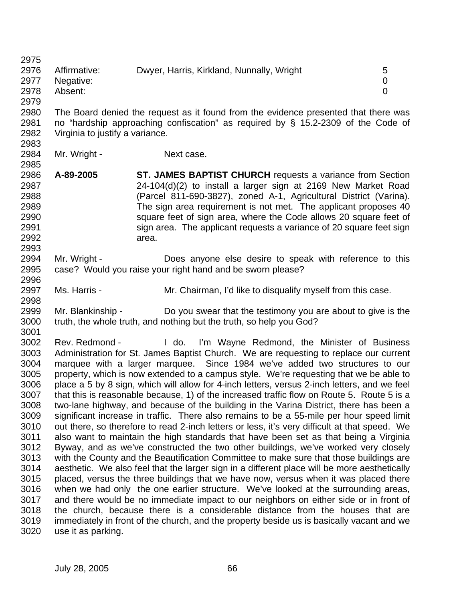2975

- 2976 Affirmative: Dwyer, Harris, Kirkland, Nunnally, Wright 5 2977 Negative: 0 2978 Absent: 0
- 2979

2983

- 2980 The Board denied the request as it found from the evidence presented that there was 2981 no "hardship approaching confiscation" as required by § 15.2-2309 of the Code of 2982 Virginia to justify a variance.
- 2984 Mr. Wright Next case.
- 2986 **A-89-2005 ST. JAMES BAPTIST CHURCH** requests a variance from Section 2987 24-104(d)(2) to install a larger sign at 2169 New Market Road 2988 (Parcel 811-690-3827), zoned A-1, Agricultural District (Varina). 2989 The sign area requirement is not met. The applicant proposes 40 2990 square feet of sign area, where the Code allows 20 square feet of 2991 sign area. The applicant requests a variance of 20 square feet sign 2992 area. 2993
- 2994 Mr. Wright Does anyone else desire to speak with reference to this 2995 case? Would you raise your right hand and be sworn please? 2996
- 2997 Ms. Harris Mr. Chairman, I'd like to disqualify myself from this case. 2998
- 2999 Mr. Blankinship Do you swear that the testimony you are about to give is the 3000 truth, the whole truth, and nothing but the truth, so help you God? 3001
- 3002 Rev. Redmond I do. I'm Wayne Redmond, the Minister of Business 3003 Administration for St. James Baptist Church. We are requesting to replace our current 3004 marquee with a larger marquee. Since 1984 we've added two structures to our 3005 property, which is now extended to a campus style. We're requesting that we be able to 3006 place a 5 by 8 sign, which will allow for 4-inch letters, versus 2-inch letters, and we feel 3007 that this is reasonable because, 1) of the increased traffic flow on Route 5. Route 5 is a 3008 two-lane highway, and because of the building in the Varina District, there has been a 3009 significant increase in traffic. There also remains to be a 55-mile per hour speed limit 3010 out there, so therefore to read 2-inch letters or less, it's very difficult at that speed. We 3011 also want to maintain the high standards that have been set as that being a Virginia 3012 Byway, and as we've constructed the two other buildings, we've worked very closely 3013 with the County and the Beautification Committee to make sure that those buildings are 3014 aesthetic. We also feel that the larger sign in a different place will be more aesthetically 3015 placed, versus the three buildings that we have now, versus when it was placed there 3016 when we had only the one earlier structure. We've looked at the surrounding areas, 3017 and there would be no immediate impact to our neighbors on either side or in front of 3018 the church, because there is a considerable distance from the houses that are 3019 immediately in front of the church, and the property beside us is basically vacant and we 3020 use it as parking.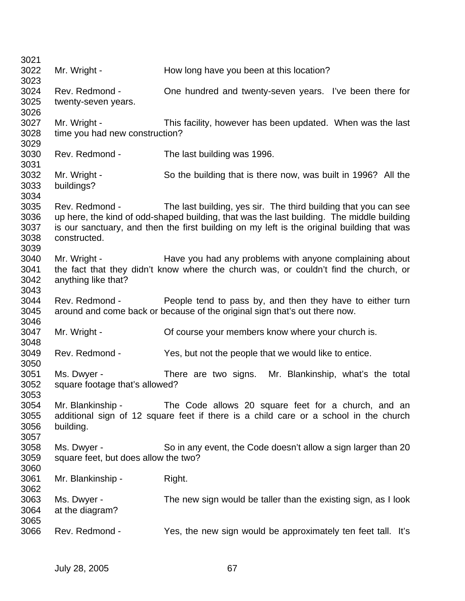| 3021                                 |                                                     |                                                                                                                                                                                                                                                            |
|--------------------------------------|-----------------------------------------------------|------------------------------------------------------------------------------------------------------------------------------------------------------------------------------------------------------------------------------------------------------------|
| 3022<br>3023                         | Mr. Wright -                                        | How long have you been at this location?                                                                                                                                                                                                                   |
| 3024<br>3025<br>3026                 | Rev. Redmond -<br>twenty-seven years.               | One hundred and twenty-seven years. I've been there for                                                                                                                                                                                                    |
| 3027<br>3028<br>3029                 | Mr. Wright -<br>time you had new construction?      | This facility, however has been updated. When was the last                                                                                                                                                                                                 |
| 3030<br>3031                         | Rev. Redmond -                                      | The last building was 1996.                                                                                                                                                                                                                                |
| 3032<br>3033<br>3034                 | Mr. Wright -<br>buildings?                          | So the building that is there now, was built in 1996? All the                                                                                                                                                                                              |
| 3035<br>3036<br>3037<br>3038<br>3039 | Rev. Redmond -<br>constructed.                      | The last building, yes sir. The third building that you can see<br>up here, the kind of odd-shaped building, that was the last building. The middle building<br>is our sanctuary, and then the first building on my left is the original building that was |
| 3040<br>3041<br>3042<br>3043         | Mr. Wright -<br>anything like that?                 | Have you had any problems with anyone complaining about<br>the fact that they didn't know where the church was, or couldn't find the church, or                                                                                                            |
| 3044<br>3045<br>3046                 | Rev. Redmond -                                      | People tend to pass by, and then they have to either turn<br>around and come back or because of the original sign that's out there now.                                                                                                                    |
| 3047<br>3048                         | Mr. Wright -                                        | Of course your members know where your church is.                                                                                                                                                                                                          |
| 3049<br>3050                         | Rev. Redmond -                                      | Yes, but not the people that we would like to entice.                                                                                                                                                                                                      |
| 3051<br>3052<br>3053                 | Ms. Dwyer -<br>square footage that's allowed?       | There are two signs. Mr. Blankinship, what's the total                                                                                                                                                                                                     |
| 3054<br>3055<br>3056<br>3057         | Mr. Blankinship -<br>building.                      | The Code allows 20 square feet for a church, and an<br>additional sign of 12 square feet if there is a child care or a school in the church                                                                                                                |
| 3058<br>3059<br>3060                 | Ms. Dwyer -<br>square feet, but does allow the two? | So in any event, the Code doesn't allow a sign larger than 20                                                                                                                                                                                              |
| 3061<br>3062                         | Mr. Blankinship -                                   | Right.                                                                                                                                                                                                                                                     |
| 3063<br>3064<br>3065                 | Ms. Dwyer -<br>at the diagram?                      | The new sign would be taller than the existing sign, as I look                                                                                                                                                                                             |
| 3066                                 | Rev. Redmond -                                      | Yes, the new sign would be approximately ten feet tall. It's                                                                                                                                                                                               |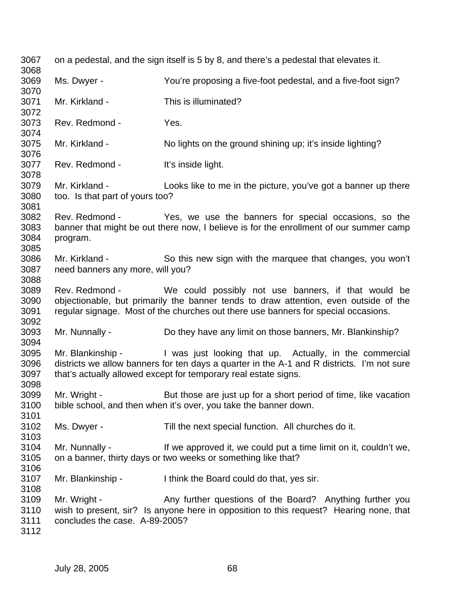3067 on a pedestal, and the sign itself is 5 by 8, and there's a pedestal that elevates it. 3068 3069 Ms. Dwyer - You're proposing a five-foot pedestal, and a five-foot sign? 3070 3071 Mr. Kirkland - This is illuminated? 3072 3073 Rev. Redmond - Yes. 3074 3075 Mr. Kirkland - No lights on the ground shining up; it's inside lighting? 3076 3077 Rev. Redmond - It's inside light. 3078 3079 Mr. Kirkland - Looks like to me in the picture, you've got a banner up there 3080 too. Is that part of yours too? 3081 3082 Rev. Redmond - Yes, we use the banners for special occasions, so the 3083 banner that might be out there now, I believe is for the enrollment of our summer camp 3084 program. 3085 3086 Mr. Kirkland - So this new sign with the marquee that changes, you won't 3087 need banners any more, will you? 3088 3089 Rev. Redmond - We could possibly not use banners, if that would be 3090 objectionable, but primarily the banner tends to draw attention, even outside of the 3091 regular signage. Most of the churches out there use banners for special occasions. 3092 3093 Mr. Nunnally - Do they have any limit on those banners, Mr. Blankinship? 3094 3095 Mr. Blankinship - I was just looking that up. Actually, in the commercial 3096 districts we allow banners for ten days a quarter in the A-1 and R districts. I'm not sure 3097 that's actually allowed except for temporary real estate signs. 3098 3099 Mr. Wright - But those are just up for a short period of time, like vacation 3100 bible school, and then when it's over, you take the banner down. 3101 3102 Ms. Dwyer - Till the next special function. All churches do it. 3103 3104 Mr. Nunnally - If we approved it, we could put a time limit on it, couldn't we, 3105 on a banner, thirty days or two weeks or something like that? 3106 3107 Mr. Blankinship - I think the Board could do that, yes sir. 3108 3109 Mr. Wright - Any further questions of the Board? Anything further you 3110 wish to present, sir? Is anyone here in opposition to this request? Hearing none, that 3111 concludes the case. A-89-2005? 3112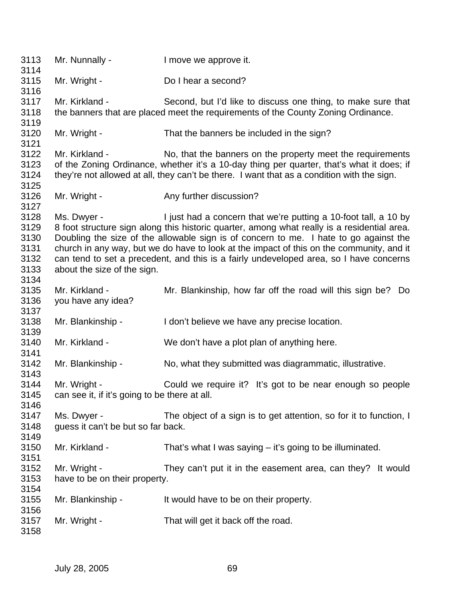3113 Mr. Nunnally - I move we approve it. 3114 3115 Mr. Wright - Do I hear a second? 3116 3117 Mr. Kirkland - Second, but I'd like to discuss one thing, to make sure that 3118 the banners that are placed meet the requirements of the County Zoning Ordinance. 3119 3120 Mr. Wright - That the banners be included in the sign? 3121 3122 Mr. Kirkland - No, that the banners on the property meet the requirements 3123 of the Zoning Ordinance, whether it's a 10-day thing per quarter, that's what it does; if 3124 they're not allowed at all, they can't be there. I want that as a condition with the sign. 3125 3126 Mr. Wright - Any further discussion? 3127 3128 Ms. Dwyer - I just had a concern that we're putting a 10-foot tall, a 10 by 3129 8 foot structure sign along this historic quarter, among what really is a residential area. 3130 Doubling the size of the allowable sign is of concern to me. I hate to go against the 3131 church in any way, but we do have to look at the impact of this on the community, and it 3132 can tend to set a precedent, and this is a fairly undeveloped area, so I have concerns 3133 about the size of the sign. 3134 3135 Mr. Kirkland - Mr. Blankinship, how far off the road will this sign be? Do 3136 you have any idea? 3137 3138 Mr. Blankinship - I don't believe we have any precise location. 3139 3140 Mr. Kirkland - We don't have a plot plan of anything here. 3141 3142 Mr. Blankinship - No, what they submitted was diagrammatic, illustrative. 3143 3144 Mr. Wright - Could we require it? It's got to be near enough so people 3145 can see it, if it's going to be there at all. 3146 3147 Ms. Dwyer - The object of a sign is to get attention, so for it to function, I 3148 guess it can't be but so far back. 3149 3150 Mr. Kirkland - That's what I was saying – it's going to be illuminated. 3151 3152 Mr. Wright - They can't put it in the easement area, can they? It would 3153 have to be on their property. 3154 3155 Mr. Blankinship - It would have to be on their property. 3156 3157 Mr. Wright - That will get it back off the road. 3158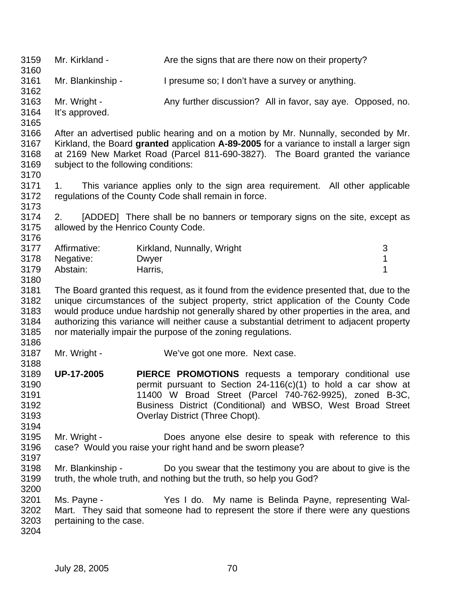| 3159<br>3160                         | Mr. Kirkland -                            | Are the signs that are there now on their property?                                                                                                                                                                                                               |   |
|--------------------------------------|-------------------------------------------|-------------------------------------------------------------------------------------------------------------------------------------------------------------------------------------------------------------------------------------------------------------------|---|
| 3161<br>3162                         | Mr. Blankinship -                         | I presume so; I don't have a survey or anything.                                                                                                                                                                                                                  |   |
| 3163<br>3164<br>3165                 | Mr. Wright -<br>It's approved.            | Any further discussion? All in favor, say aye. Opposed, no.                                                                                                                                                                                                       |   |
| 3166<br>3167<br>3168<br>3169<br>3170 | subject to the following conditions:      | After an advertised public hearing and on a motion by Mr. Nunnally, seconded by Mr.<br>Kirkland, the Board granted application A-89-2005 for a variance to install a larger sign<br>at 2169 New Market Road (Parcel 811-690-3827). The Board granted the variance |   |
| 3171<br>3172<br>3173                 | 1.                                        | This variance applies only to the sign area requirement. All other applicable<br>regulations of the County Code shall remain in force.                                                                                                                            |   |
| 3174<br>3175<br>3176                 | 2.<br>allowed by the Henrico County Code. | [ADDED] There shall be no banners or temporary signs on the site, except as                                                                                                                                                                                       |   |
| 3177                                 | Affirmative:                              | Kirkland, Nunnally, Wright                                                                                                                                                                                                                                        | 3 |
| 3178                                 | Negative:                                 | <b>Dwyer</b>                                                                                                                                                                                                                                                      | 1 |
| 3179                                 | Abstain:                                  | Harris,                                                                                                                                                                                                                                                           | 1 |
|                                      |                                           |                                                                                                                                                                                                                                                                   |   |
| 3180                                 |                                           |                                                                                                                                                                                                                                                                   |   |
| 3181                                 |                                           | The Board granted this request, as it found from the evidence presented that, due to the                                                                                                                                                                          |   |
| 3182                                 |                                           | unique circumstances of the subject property, strict application of the County Code                                                                                                                                                                               |   |
| 3183                                 |                                           | would produce undue hardship not generally shared by other properties in the area, and                                                                                                                                                                            |   |
| 3184                                 |                                           | authorizing this variance will neither cause a substantial detriment to adjacent property                                                                                                                                                                         |   |
| 3185                                 |                                           | nor materially impair the purpose of the zoning regulations.                                                                                                                                                                                                      |   |
| 3186                                 |                                           |                                                                                                                                                                                                                                                                   |   |
| 3187                                 | Mr. Wright -                              | We've got one more. Next case.                                                                                                                                                                                                                                    |   |
| 3188                                 |                                           |                                                                                                                                                                                                                                                                   |   |
| 3189                                 | <b>UP-17-2005</b>                         | <b>PIERCE PROMOTIONS</b> requests a temporary conditional use                                                                                                                                                                                                     |   |
| 3190                                 |                                           | permit pursuant to Section $24-116(c)(1)$ to hold a car show at                                                                                                                                                                                                   |   |
| 3191                                 |                                           | 11400 W Broad Street (Parcel 740-762-9925), zoned B-3C,                                                                                                                                                                                                           |   |
|                                      |                                           |                                                                                                                                                                                                                                                                   |   |
| 3192                                 |                                           | Business District (Conditional) and WBSO, West Broad Street                                                                                                                                                                                                       |   |
| 3193                                 |                                           | Overlay District (Three Chopt).                                                                                                                                                                                                                                   |   |
| 3194                                 |                                           |                                                                                                                                                                                                                                                                   |   |
| 3195                                 | Mr. Wright -                              | Does anyone else desire to speak with reference to this                                                                                                                                                                                                           |   |
| 3196                                 |                                           | case? Would you raise your right hand and be sworn please?                                                                                                                                                                                                        |   |
| 3197                                 |                                           |                                                                                                                                                                                                                                                                   |   |
| 3198                                 | Mr. Blankinship -                         | Do you swear that the testimony you are about to give is the                                                                                                                                                                                                      |   |
| 3199                                 |                                           | truth, the whole truth, and nothing but the truth, so help you God?                                                                                                                                                                                               |   |
| 3200                                 |                                           |                                                                                                                                                                                                                                                                   |   |
| 3201                                 | Ms. Payne -                               | Yes I do. My name is Belinda Payne, representing Wal-                                                                                                                                                                                                             |   |
|                                      |                                           |                                                                                                                                                                                                                                                                   |   |
| 3202                                 |                                           | Mart. They said that someone had to represent the store if there were any questions                                                                                                                                                                               |   |
| 3203                                 | pertaining to the case.                   |                                                                                                                                                                                                                                                                   |   |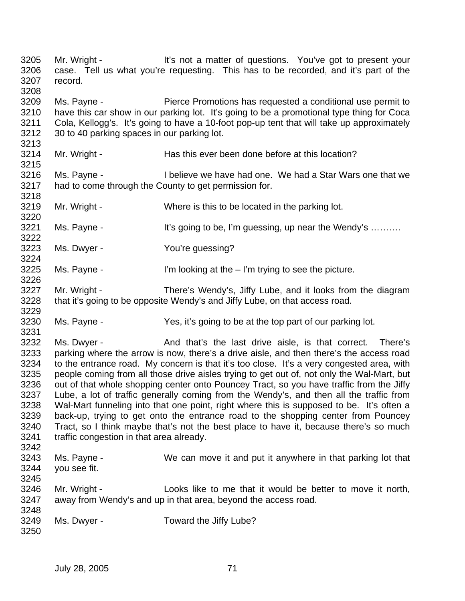3205 Mr. Wright - It's not a matter of questions. You've got to present your 3206 case. Tell us what you're requesting. This has to be recorded, and it's part of the 3207 record. 3208 3209 Ms. Payne - Pierce Promotions has requested a conditional use permit to 3210 have this car show in our parking lot. It's going to be a promotional type thing for Coca 3211 Cola, Kellogg's. It's going to have a 10-foot pop-up tent that will take up approximately 3212 30 to 40 parking spaces in our parking lot. 3213 3214 Mr. Wright - Has this ever been done before at this location? 3215 3216 Ms. Payne - I believe we have had one. We had a Star Wars one that we 3217 had to come through the County to get permission for. 3218 3219 Mr. Wright - Where is this to be located in the parking lot. 3220 3221 Ms. Payne - It's going to be, I'm guessing, up near the Wendy's ......... 3222 3223 Ms. Dwyer - You're guessing? 3224 3225 Ms. Payne - I'm looking at the – I'm trying to see the picture. 3226 3227 Mr. Wright - There's Wendy's, Jiffy Lube, and it looks from the diagram 3228 that it's going to be opposite Wendy's and Jiffy Lube, on that access road. 3229 3230 Ms. Payne - Yes, it's going to be at the top part of our parking lot. 3231 3232 Ms. Dwyer - And that's the last drive aisle, is that correct. There's 3233 parking where the arrow is now, there's a drive aisle, and then there's the access road 3234 to the entrance road. My concern is that it's too close. It's a very congested area, with 3235 people coming from all those drive aisles trying to get out of, not only the Wal-Mart, but 3236 out of that whole shopping center onto Pouncey Tract, so you have traffic from the Jiffy 3237 Lube, a lot of traffic generally coming from the Wendy's, and then all the traffic from 3238 Wal-Mart funneling into that one point, right where this is supposed to be. It's often a 3239 back-up, trying to get onto the entrance road to the shopping center from Pouncey 3240 Tract, so I think maybe that's not the best place to have it, because there's so much 3241 traffic congestion in that area already. 3242 3243 Ms. Payne - We can move it and put it anywhere in that parking lot that 3244 you see fit. 3245 3246 Mr. Wright - Looks like to me that it would be better to move it north, 3247 away from Wendy's and up in that area, beyond the access road. 3248 3249 Ms. Dwyer - Toward the Jiffy Lube? 3250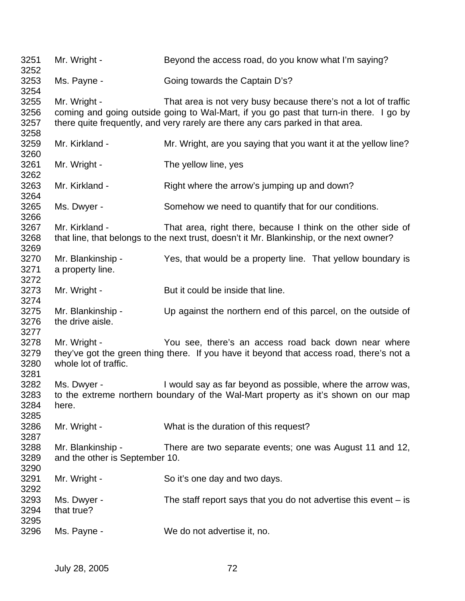| 3251<br>3252                 | Mr. Wright -                                        | Beyond the access road, do you know what I'm saying?                                                                                                                                                                                         |
|------------------------------|-----------------------------------------------------|----------------------------------------------------------------------------------------------------------------------------------------------------------------------------------------------------------------------------------------------|
| 3253<br>3254                 | Ms. Payne -                                         | Going towards the Captain D's?                                                                                                                                                                                                               |
| 3255<br>3256<br>3257         | Mr. Wright -                                        | That area is not very busy because there's not a lot of traffic<br>coming and going outside going to Wal-Mart, if you go past that turn-in there. I go by<br>there quite frequently, and very rarely are there any cars parked in that area. |
| 3258<br>3259<br>3260         | Mr. Kirkland -                                      | Mr. Wright, are you saying that you want it at the yellow line?                                                                                                                                                                              |
| 3261<br>3262                 | Mr. Wright -                                        | The yellow line, yes                                                                                                                                                                                                                         |
| 3263<br>3264                 | Mr. Kirkland -                                      | Right where the arrow's jumping up and down?                                                                                                                                                                                                 |
| 3265<br>3266                 | Ms. Dwyer -                                         | Somehow we need to quantify that for our conditions.                                                                                                                                                                                         |
| 3267<br>3268<br>3269         | Mr. Kirkland -                                      | That area, right there, because I think on the other side of<br>that line, that belongs to the next trust, doesn't it Mr. Blankinship, or the next owner?                                                                                    |
| 3270<br>3271<br>3272         | Mr. Blankinship -<br>a property line.               | Yes, that would be a property line. That yellow boundary is                                                                                                                                                                                  |
| 3273<br>3274                 | Mr. Wright -                                        | But it could be inside that line.                                                                                                                                                                                                            |
| 3275<br>3276<br>3277         | Mr. Blankinship -<br>the drive aisle.               | Up against the northern end of this parcel, on the outside of                                                                                                                                                                                |
| 3278<br>3279<br>3280<br>3281 | Mr. Wright -<br>whole lot of traffic.               | You see, there's an access road back down near where<br>they've got the green thing there. If you have it beyond that access road, there's not a                                                                                             |
| 3282<br>3283<br>3284<br>3285 | Ms. Dwyer -<br>here.                                | I would say as far beyond as possible, where the arrow was,<br>to the extreme northern boundary of the Wal-Mart property as it's shown on our map                                                                                            |
| 3286<br>3287                 | Mr. Wright -                                        | What is the duration of this request?                                                                                                                                                                                                        |
| 3288<br>3289<br>3290         | Mr. Blankinship -<br>and the other is September 10. | There are two separate events; one was August 11 and 12,                                                                                                                                                                                     |
| 3291<br>3292                 | Mr. Wright -                                        | So it's one day and two days.                                                                                                                                                                                                                |
| 3293<br>3294<br>3295         | Ms. Dwyer -<br>that true?                           | The staff report says that you do not advertise this event $-$ is                                                                                                                                                                            |
| 3296                         | Ms. Payne -                                         | We do not advertise it, no.                                                                                                                                                                                                                  |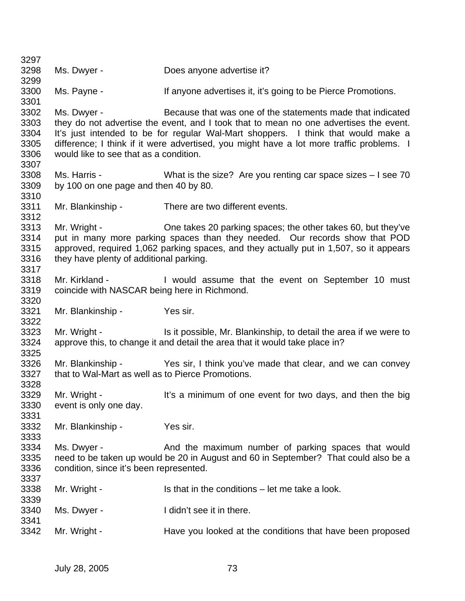3297 3298 Ms. Dwyer - Does anyone advertise it? 3299 3300 Ms. Payne - If anyone advertises it, it's going to be Pierce Promotions. 3301 3302 Ms. Dwyer - Because that was one of the statements made that indicated 3303 they do not advertise the event, and I took that to mean no one advertises the event. 3304 It's just intended to be for regular Wal-Mart shoppers. I think that would make a 3305 difference; I think if it were advertised, you might have a lot more traffic problems. I 3306 would like to see that as a condition. 3307 3308 Ms. Harris - What is the size? Are you renting car space sizes – I see 70 3309 by 100 on one page and then 40 by 80. 3310 3311 Mr. Blankinship - There are two different events. 3312 3313 Mr. Wright - One takes 20 parking spaces; the other takes 60, but they've 3314 put in many more parking spaces than they needed. Our records show that POD 3315 approved, required 1,062 parking spaces, and they actually put in 1,507, so it appears 3316 they have plenty of additional parking. 3317 3318 Mr. Kirkland - I would assume that the event on September 10 must 3319 coincide with NASCAR being here in Richmond. 3320 3321 Mr. Blankinship - Yes sir. 3322 3323 Mr. Wright - Is it possible, Mr. Blankinship, to detail the area if we were to 3324 approve this, to change it and detail the area that it would take place in? 3325 3326 Mr. Blankinship - Yes sir, I think you've made that clear, and we can convey 3327 that to Wal-Mart as well as to Pierce Promotions. 3328 3329 Mr. Wright - It's a minimum of one event for two days, and then the big 3330 event is only one day. 3331 3332 Mr. Blankinship - Yes sir. 3333 3334 Ms. Dwyer - And the maximum number of parking spaces that would 3335 need to be taken up would be 20 in August and 60 in September? That could also be a 3336 condition, since it's been represented. 3337 3338 Mr. Wright - Is that in the conditions – let me take a look. 3339 3340 Ms. Dwyer - I didn't see it in there. 3341 3342 Mr. Wright - Have you looked at the conditions that have been proposed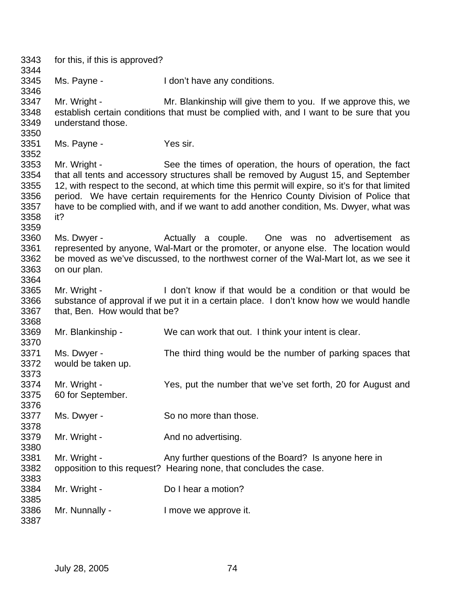3343 for this, if this is approved? 3344 3345 Ms. Payne - I don't have any conditions. 3346 3347 Mr. Wright - Mr. Blankinship will give them to you. If we approve this, we 3348 establish certain conditions that must be complied with, and I want to be sure that you 3349 understand those. 3350 3351 Ms. Payne - Yes sir. 3352 3353 Mr. Wright - See the times of operation, the hours of operation, the fact 3354 that all tents and accessory structures shall be removed by August 15, and September 3355 12, with respect to the second, at which time this permit will expire, so it's for that limited 3356 period. We have certain requirements for the Henrico County Division of Police that 3357 have to be complied with, and if we want to add another condition, Ms. Dwyer, what was 3358 it? 3359 3360 Ms. Dwyer - Actually a couple. One was no advertisement as 3361 represented by anyone, Wal-Mart or the promoter, or anyone else. The location would 3362 be moved as we've discussed, to the northwest corner of the Wal-Mart lot, as we see it 3363 on our plan. 3364 3365 Mr. Wright - I don't know if that would be a condition or that would be 3366 substance of approval if we put it in a certain place. I don't know how we would handle 3367 that, Ben. How would that be? 3368 3369 Mr. Blankinship - We can work that out. I think your intent is clear. 3370 3371 Ms. Dwyer - The third thing would be the number of parking spaces that 3372 would be taken up. 3373 3374 Mr. Wright - Yes, put the number that we've set forth, 20 for August and 3375 60 for September. 3376 3377 Ms. Dwyer - So no more than those. 3378 3379 Mr. Wright - And no advertising. 3380 3381 Mr. Wright - Any further questions of the Board? Is anyone here in 3382 opposition to this request? Hearing none, that concludes the case. 3383 3384 Mr. Wright - Do I hear a motion? 3385 3386 Mr. Nunnally - I move we approve it. 3387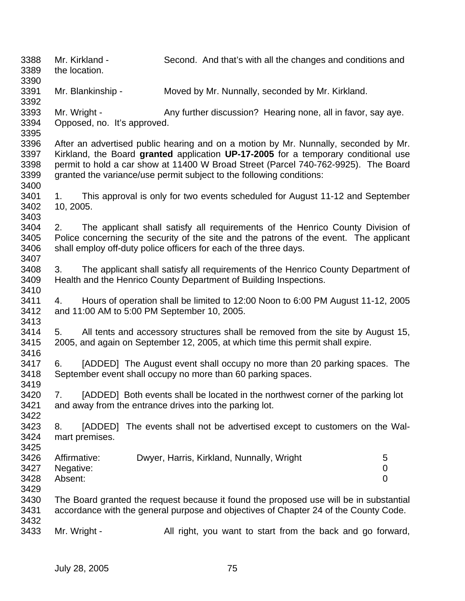3388 Mr. Kirkland - Second. And that's with all the changes and conditions and 3389 the location. 3390 3391 Mr. Blankinship - Moved by Mr. Nunnally, seconded by Mr. Kirkland. 3392 3393 Mr. Wright - Any further discussion? Hearing none, all in favor, say aye. 3394 Opposed, no. It's approved. 3395 3396 After an advertised public hearing and on a motion by Mr. Nunnally, seconded by Mr. 3397 Kirkland, the Board **granted** application **UP-17-2005** for a temporary conditional use 3398 permit to hold a car show at 11400 W Broad Street (Parcel 740-762-9925). The Board 3399 granted the variance/use permit subject to the following conditions: 3400 3401 1. This approval is only for two events scheduled for August 11-12 and September 3402 10, 2005. 3403 3404 2. The applicant shall satisfy all requirements of the Henrico County Division of 3405 Police concerning the security of the site and the patrons of the event. The applicant 3406 shall employ off-duty police officers for each of the three days. 3407 3408 3. The applicant shall satisfy all requirements of the Henrico County Department of 3409 Health and the Henrico County Department of Building Inspections. 3410 3411 4. Hours of operation shall be limited to 12:00 Noon to 6:00 PM August 11-12, 2005 3412 and 11:00 AM to 5:00 PM September 10, 2005. 3413 3414 5. All tents and accessory structures shall be removed from the site by August 15, 3415 2005, and again on September 12, 2005, at which time this permit shall expire. 3416 3417 6. [ADDED] The August event shall occupy no more than 20 parking spaces. The 3418 September event shall occupy no more than 60 parking spaces. 3419 3420 7. [ADDED] Both events shall be located in the northwest corner of the parking lot 3421 and away from the entrance drives into the parking lot. 3422 3423 8. [ADDED] The events shall not be advertised except to customers on the Wal-3424 mart premises. 3425 3426 Affirmative: Dwyer, Harris, Kirkland, Nunnally, Wright 5 3427 Negative: 0 3428 Absent: 0 3429 3430 The Board granted the request because it found the proposed use will be in substantial 3431 accordance with the general purpose and objectives of Chapter 24 of the County Code. 3432 3433 Mr. Wright - All right, you want to start from the back and go forward,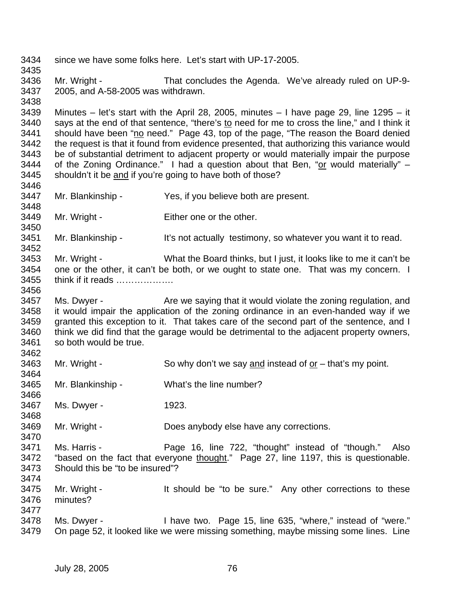3434 since we have some folks here. Let's start with UP-17-2005. 3435 3436 Mr. Wright - That concludes the Agenda. We've already ruled on UP-9- 3437 2005, and A-58-2005 was withdrawn. 3438 3439 Minutes – let's start with the April 28, 2005, minutes – I have page 29, line 1295 – it 3440 says at the end of that sentence, "there's to need for me to cross the line," and I think it 3441 should have been "no need." Page 43, top of the page, "The reason the Board denied 3442 the request is that it found from evidence presented, that authorizing this variance would 3443 be of substantial detriment to adjacent property or would materially impair the purpose 3444 of the Zoning Ordinance." I had a question about that Ben, "or would materially"  $-$ 3445 shouldn't it be and if you're going to have both of those? 3446 3447 Mr. Blankinship - Yes, if you believe both are present. 3448 3449 Mr. Wright - Either one or the other. 3450 3451 Mr. Blankinship - It's not actually testimony, so whatever you want it to read. 3452 3453 Mr. Wright - What the Board thinks, but I just, it looks like to me it can't be 3454 one or the other, it can't be both, or we ought to state one. That was my concern. I 3455 think if it reads ………………. 3456 3457 Ms. Dwyer - Are we saying that it would violate the zoning regulation, and 3458 it would impair the application of the zoning ordinance in an even-handed way if we 3459 granted this exception to it. That takes care of the second part of the sentence, and I 3460 think we did find that the garage would be detrimental to the adjacent property owners, 3461 so both would be true. 3462 3463 Mr. Wright - So why don't we say and instead of or – that's my point. 3464 3465 Mr. Blankinship - What's the line number? 3466 3467 Ms. Dwyer - 1923. 3468 3469 Mr. Wright - Does anybody else have any corrections. 3470 3471 Ms. Harris - Page 16, line 722, "thought" instead of "though." Also 3472 "based on the fact that everyone thought." Page 27, line 1197, this is questionable. 3473 Should this be "to be insured"? 3474 3475 Mr. Wright - It should be "to be sure." Any other corrections to these 3476 minutes? 3477 3478 Ms. Dwyer - I have two. Page 15, line 635, "where," instead of "were." 3479 On page 52, it looked like we were missing something, maybe missing some lines. Line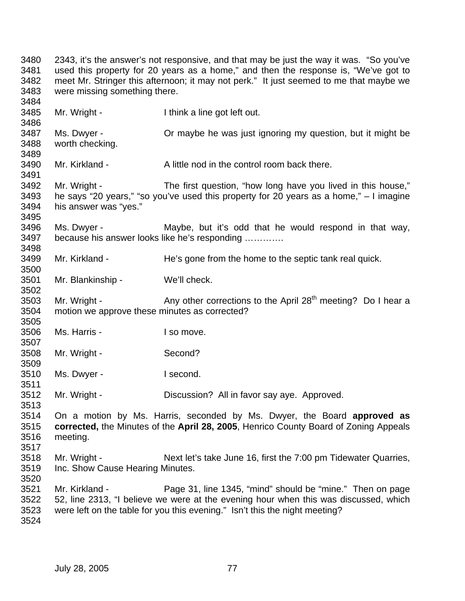3480 2343, it's the answer's not responsive, and that may be just the way it was. "So you've 3481 used this property for 20 years as a home," and then the response is, "We've got to 3482 meet Mr. Stringer this afternoon; it may not perk." It just seemed to me that maybe we 3483 were missing something there. 3484 3485 Mr. Wright - I think a line got left out. 3486 3487 Ms. Dwyer - Or maybe he was just ignoring my question, but it might be 3488 worth checking. 3489 3490 Mr. Kirkland - A little nod in the control room back there. 3491 3492 Mr. Wright - The first question, "how long have you lived in this house," 3493 he says "20 years," "so you've used this property for  $20$  years as a home,"  $-1$  imagine 3494 his answer was "yes." 3495 3496 Ms. Dwyer - Maybe, but it's odd that he would respond in that way, 3497 because his answer looks like he's responding …………. 3498 3499 Mr. Kirkland - He's gone from the home to the septic tank real quick. 3500 3501 Mr. Blankinship - We'll check. 3502 3503 Mr. Wright -  $\qquad \qquad$  Any other corrections to the April 28<sup>th</sup> meeting? Do I hear a 3504 motion we approve these minutes as corrected? 3505 3506 Ms. Harris - I so move. 3507 3508 Mr. Wright - Second? 3509 3510 Ms. Dwyer - I second. 3511 3512 Mr. Wright - Discussion? All in favor say aye. Approved. 3513 3514 On a motion by Ms. Harris, seconded by Ms. Dwyer, the Board **approved as**  3515 **corrected,** the Minutes of the **April 28, 2005**, Henrico County Board of Zoning Appeals 3516 meeting. 3517 3518 Mr. Wright - Next let's take June 16, first the 7:00 pm Tidewater Quarries, 3519 Inc. Show Cause Hearing Minutes. 3520 3521 Mr. Kirkland - Page 31, line 1345, "mind" should be "mine." Then on page 3522 52, line 2313, "I believe we were at the evening hour when this was discussed, which 3523 were left on the table for you this evening." Isn't this the night meeting? 3524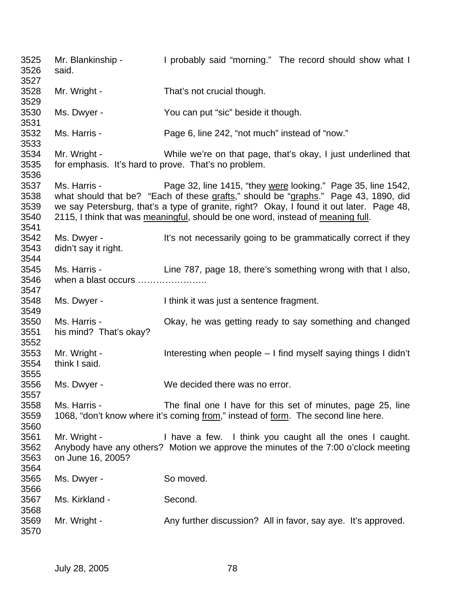3525 Mr. Blankinship - I probably said "morning." The record should show what I 3526 said. 3527 3528 Mr. Wright - That's not crucial though. 3529 3530 Ms. Dwyer - You can put "sic" beside it though. 3531 3532 Ms. Harris - Page 6, line 242, "not much" instead of "now." 3533 3534 Mr. Wright - While we're on that page, that's okay, I just underlined that 3535 for emphasis. It's hard to prove. That's no problem. 3536 3537 Ms. Harris - Page 32, line 1415, "they were looking." Page 35, line 1542, 3538 what should that be? "Each of these grafts," should be "graphs." Page 43, 1890, did 3539 we say Petersburg, that's a type of granite, right? Okay, I found it out later. Page 48, 3540 2115, I think that was meaningful, should be one word, instead of meaning full. 3541 3542 Ms. Dwyer - It's not necessarily going to be grammatically correct if they 3543 didn't say it right. 3544 3545 Ms. Harris - Line 787, page 18, there's something wrong with that I also, 3546 when a blast occurs ………………….. 3547 3548 Ms. Dwyer - I think it was just a sentence fragment. 3549 3550 Ms. Harris - Okay, he was getting ready to say something and changed 3551 his mind? That's okay? 3552 3553 Mr. Wright - Interesting when people – I find myself saying things I didn't 3554 think I said. 3555 3556 Ms. Dwyer - We decided there was no error. 3557 3558 Ms. Harris - The final one I have for this set of minutes, page 25, line 3559 1068, "don't know where it's coming from," instead of form. The second line here. 3560 3561 Mr. Wright - I have a few. I think you caught all the ones I caught. 3562 Anybody have any others? Motion we approve the minutes of the 7:00 o'clock meeting 3563 on June 16, 2005? 3564 3565 Ms. Dwyer - So moved. 3566 3567 Ms. Kirkland - Second. 3568 3569 Mr. Wright - Any further discussion? All in favor, say aye. It's approved. 3570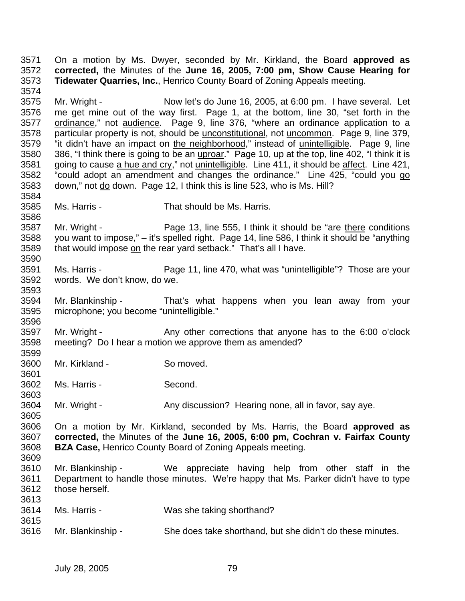3571 On a motion by Ms. Dwyer, seconded by Mr. Kirkland, the Board **approved as**  3572 **corrected,** the Minutes of the **June 16, 2005, 7:00 pm, Show Cause Hearing for**  3573 **Tidewater Quarries, Inc.**, Henrico County Board of Zoning Appeals meeting. 3574 3575 Mr. Wright - Now let's do June 16, 2005, at 6:00 pm. I have several. Let 3576 me get mine out of the way first. Page 1, at the bottom, line 30, "set forth in the 3577 ordinance," not audience. Page 9, line 376, "where an ordinance application to a 3578 particular property is not, should be unconstitutional, not uncommon. Page 9, line 379, 3579 "it didn't have an impact on the neighborhood," instead of unintelligible. Page 9, line 3580 386, "I think there is going to be an uproar." Page 10, up at the top, line 402, "I think it is 3581 going to cause a hue and cry," not unintelligible. Line 411, it should be affect. Line 421, 3582 "could adopt an amendment and changes the ordinance." Line 425, "could you go 3583 down," not do down. Page 12, I think this is line 523, who is Ms. Hill? 3584 3585 Ms. Harris - That should be Ms. Harris. 3586 3587 Mr. Wright - Page 13, line 555, I think it should be "are there conditions" 3588 you want to impose," – it's spelled right. Page 14, line 586, I think it should be "anything 3589 that would impose on the rear yard setback." That's all I have. 3590 3591 Ms. Harris - Page 11, line 470, what was "unintelligible"? Those are your 3592 words. We don't know, do we. 3593 3594 Mr. Blankinship - That's what happens when you lean away from your 3595 microphone; you become "unintelligible." 3596 3597 Mr. Wright - Any other corrections that anyone has to the 6:00 o'clock 3598 meeting? Do I hear a motion we approve them as amended? 3599 3600 Mr. Kirkland - So moved. 3601

3602 Ms. Harris - Second. 3603

3604 Mr. Wright - Any discussion? Hearing none, all in favor, say aye. 3605

3606 On a motion by Mr. Kirkland, seconded by Ms. Harris, the Board **approved as**  3607 **corrected,** the Minutes of the **June 16, 2005, 6:00 pm, Cochran v. Fairfax County**  3608 **BZA Case,** Henrico County Board of Zoning Appeals meeting.

- 3609 3610 Mr. Blankinship - We appreciate having help from other staff in the 3611 Department to handle those minutes. We're happy that Ms. Parker didn't have to type 3612 those herself.
	- 3614 Ms. Harris Was she taking shorthand? 3615
	- 3616 Mr. Blankinship She does take shorthand, but she didn't do these minutes.

3613